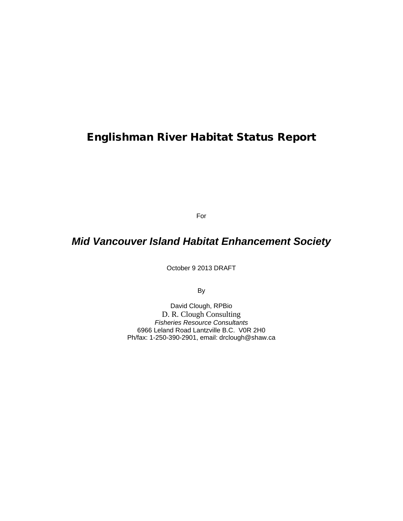# Englishman River Habitat Status Report

For

# *Mid Vancouver Island Habitat Enhancement Society*

October 9 2013 DRAFT

By

David Clough, RPBio D. R. Clough Consulting *Fisheries Resource Consultants* 6966 Leland Road Lantzville B.C. V0R 2H0 Ph/fax: 1-250-390-2901, email: drclough@shaw.ca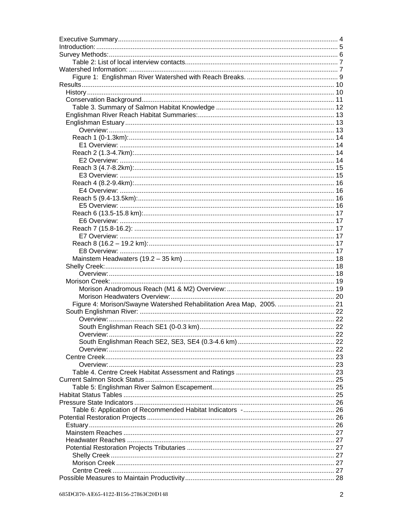| Figure 4: Morison/Swayne Watershed Rehabilitation Area Map, 2005.  21 |  |
|-----------------------------------------------------------------------|--|
|                                                                       |  |
|                                                                       |  |
|                                                                       |  |
|                                                                       |  |
|                                                                       |  |
|                                                                       |  |
|                                                                       |  |
|                                                                       |  |
|                                                                       |  |
|                                                                       |  |
|                                                                       |  |
|                                                                       |  |
|                                                                       |  |
|                                                                       |  |
|                                                                       |  |
|                                                                       |  |
|                                                                       |  |
|                                                                       |  |
|                                                                       |  |
|                                                                       |  |
|                                                                       |  |
|                                                                       |  |
|                                                                       |  |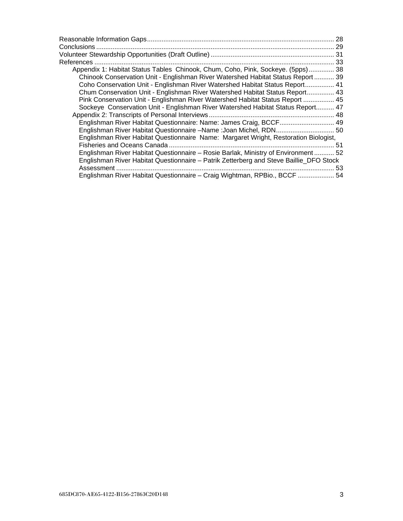|                                                                                        | 28 |
|----------------------------------------------------------------------------------------|----|
|                                                                                        |    |
|                                                                                        |    |
|                                                                                        |    |
| Appendix 1: Habitat Status Tables Chinook, Chum, Coho, Pink, Sockeye. (5pps) 38        |    |
| Chinook Conservation Unit - Englishman River Watershed Habitat Status Report 39        |    |
| Coho Conservation Unit - Englishman River Watershed Habitat Status Report 41           |    |
| Chum Conservation Unit - Englishman River Watershed Habitat Status Report 43           |    |
| Pink Conservation Unit - Englishman River Watershed Habitat Status Report  45          |    |
| Sockeye Conservation Unit - Englishman River Watershed Habitat Status Report 47        |    |
|                                                                                        |    |
| Englishman River Habitat Questionnaire: Name: James Craig, BCCF 49                     |    |
| Englishman River Habitat Questionnaire -Name :Joan Michel, RDN 50                      |    |
| Englishman River Habitat Questionnaire Name: Margaret Wright, Restoration Biologist,   |    |
|                                                                                        | 51 |
| Englishman River Habitat Questionnaire - Rosie Barlak, Ministry of Environment  52     |    |
| Englishman River Habitat Questionnaire - Patrik Zetterberg and Steve Baillie_DFO Stock |    |
| Assessment.                                                                            | 53 |
| Englishman River Habitat Questionnaire - Craig Wightman, RPBio., BCCF  54              |    |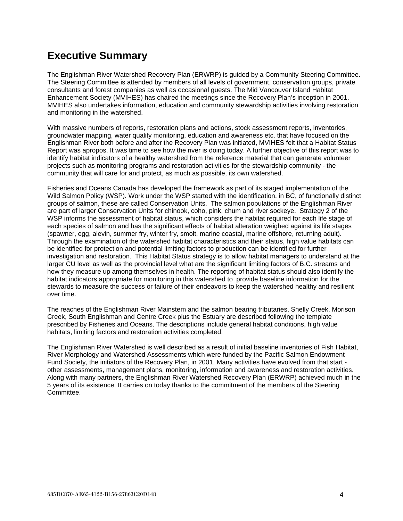# <span id="page-3-0"></span>**Executive Summary**

The Englishman River Watershed Recovery Plan (ERWRP) is guided by a Community Steering Committee. The Steering Committee is attended by members of all levels of government, conservation groups, private consultants and forest companies as well as occasional guests. The Mid Vancouver Island Habitat Enhancement Society (MVIHES) has chaired the meetings since the Recovery Plan's inception in 2001. MVIHES also undertakes information, education and community stewardship activities involving restoration and monitoring in the watershed.

With massive numbers of reports, restoration plans and actions, stock assessment reports, inventories, groundwater mapping, water quality monitoring, education and awareness etc. that have focused on the Englishman River both before and after the Recovery Plan was initiated, MVIHES felt that a Habitat Status Report was apropos. It was time to see how the river is doing today. A further objective of this report was to identify habitat indicators of a healthy watershed from the reference material that can generate volunteer projects such as monitoring programs and restoration activities for the stewardship community - the community that will care for and protect, as much as possible, its own watershed.

Fisheries and Oceans Canada has developed the framework as part of its staged implementation of the Wild Salmon Policy (WSP). Work under the WSP started with the identification, in BC, of functionally distinct groups of salmon, these are called Conservation Units. The salmon populations of the Englishman River are part of larger Conservation Units for chinook, coho, pink, chum and river sockeye. Strategy 2 of the WSP informs the assessment of habitat status, which considers the habitat required for each life stage of each species of salmon and has the significant effects of habitat alteration weighed against its life stages (spawner, egg, alevin, summer fry, winter fry, smolt, marine coastal, marine offshore, returning adult). Through the examination of the watershed habitat characteristics and their status, high value habitats can be identified for protection and potential limiting factors to production can be identified for further investigation and restoration. This Habitat Status strategy is to allow habitat managers to understand at the larger CU level as well as the provincial level what are the significant limiting factors of B.C. streams and how they measure up among themselves in health. The reporting of habitat status should also identify the habitat indicators appropriate for monitoring in this watershed to provide baseline information for the stewards to measure the success or failure of their endeavors to keep the watershed healthy and resilient over time.

The reaches of the Englishman River Mainstem and the salmon bearing tributaries, Shelly Creek, Morison Creek, South Englishman and Centre Creek plus the Estuary are described following the template prescribed by Fisheries and Oceans. The descriptions include general habitat conditions, high value habitats, limiting factors and restoration activities completed.

The Englishman River Watershed is well described as a result of initial baseline inventories of Fish Habitat, River Morphology and Watershed Assessments which were funded by the Pacific Salmon Endowment Fund Society, the initiators of the Recovery Plan, in 2001. Many activities have evolved from that start other assessments, management plans, monitoring, information and awareness and restoration activities. Along with many partners, the Englishman River Watershed Recovery Plan (ERWRP) achieved much in the 5 years of its existence. It carries on today thanks to the commitment of the members of the Steering **Committee.**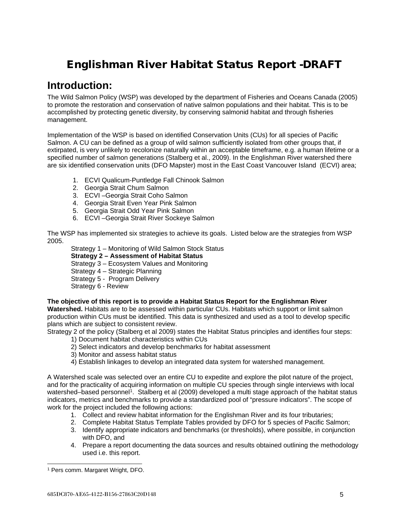# Englishman River Habitat Status Report -DRAFT

# <span id="page-4-0"></span>**Introduction:**

The Wild Salmon Policy (WSP) was developed by the department of Fisheries and Oceans Canada (2005) to promote the restoration and conservation of native salmon populations and their habitat. This is to be accomplished by protecting genetic diversity, by conserving salmonid habitat and through fisheries management.

Implementation of the WSP is based on identified Conservation Units (CUs) for all species of Pacific Salmon. A CU can be defined as a group of wild salmon sufficiently isolated from other groups that, if extirpated, is very unlikely to recolonize naturally within an acceptable timeframe, e.g. a human lifetime or a specified number of salmon generations (Stalberg et al., 2009). In the Englishman River watershed there are six identified conservation units (DFO Mapster) most in the East Coast Vancouver Island (ECVI) area;

- 1. ECVI Qualicum-Puntledge Fall Chinook Salmon
- 2. Georgia Strait Chum Salmon
- 3. ECVI –Georgia Strait Coho Salmon
- 4. Georgia Strait Even Year Pink Salmon
- 5. Georgia Strait Odd Year Pink Salmon
- 6. ECVI –Georgia Strait River Sockeye Salmon

The WSP has implemented six strategies to achieve its goals. Listed below are the strategies from WSP 2005.

Strategy 1 – Monitoring of Wild Salmon Stock Status

#### **Strategy 2 – Assessment of Habitat Status**

Strategy 3 – Ecosystem Values and Monitoring

Strategy 4 – Strategic Planning

Strategy 5 - Program Delivery

Strategy 6 - Review

#### **The objective of this report is to provide a Habitat Status Report for the Englishman River**

**Watershed.** Habitats are to be assessed within particular CUs. Habitats which support or limit salmon production within CUs must be identified. This data is synthesized and used as a tool to develop specific plans which are subject to consistent review.

Strategy 2 of the policy (Stalberg et al 2009) states the Habitat Status principles and identifies four steps:

- 1) Document habitat characteristics within CUs
- 2) Select indicators and develop benchmarks for habitat assessment
- 3) Monitor and assess habitat status
- 4) Establish linkages to develop an integrated data system for watershed management.

A Watershed scale was selected over an entire CU to expedite and explore the pilot nature of the project, and for the practicality of acquiring information on multiple CU species through single interviews with local watershed–based personnel<sup>1</sup>. Stalberg et al (2009) developed a multi stage approach of the habitat status indicators, metrics and benchmarks to provide a standardized pool of "pressure indicators". The scope of work for the project included the following actions:

- 1. Collect and review habitat information for the Englishman River and its four tributaries;
- 2. Complete Habitat Status Template Tables provided by DFO for 5 species of Pacific Salmon;
- 3. Identify appropriate indicators and benchmarks (or thresholds), where possible, in conjunction with DFO, and
- 4. Prepare a report documenting the data sources and results obtained outlining the methodology used i.e. this report.

 <sup>1</sup> Pers comm. Margaret Wright, DFO.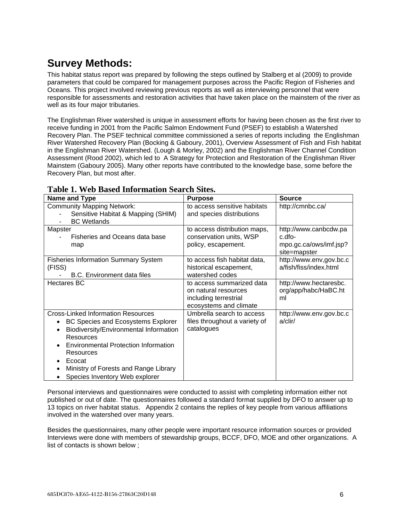# <span id="page-5-0"></span>**Survey Methods:**

This habitat status report was prepared by following the steps outlined by Stalberg et al (2009) to provide parameters that could be compared for management purposes across the Pacific Region of Fisheries and Oceans. This project involved reviewing previous reports as well as interviewing personnel that were responsible for assessments and restoration activities that have taken place on the mainstem of the river as well as its four major tributaries.

The Englishman River watershed is unique in assessment efforts for having been chosen as the first river to receive funding in 2001 from the Pacific Salmon Endowment Fund (PSEF) to establish a Watershed Recovery Plan. The PSEF technical committee commissioned a series of reports including the Englishman River Watershed Recovery Plan (Bocking & Gaboury, 2001), Overview Assessment of Fish and Fish habitat in the Englishman River Watershed. (Lough & Morley, 2002) and the Englishman River Channel Condition Assessment (Rood 2002), which led to A Strategy for Protection and Restoration of the Englishman River Mainstem (Gaboury 2005). Many other reports have contributed to the knowledge base, some before the Recovery Plan, but most after.

| Name and Type                                                                                                                                                                                                                                                                                                                               | <b>Purpose</b>                                                                                       | <b>Source</b>                                                             |
|---------------------------------------------------------------------------------------------------------------------------------------------------------------------------------------------------------------------------------------------------------------------------------------------------------------------------------------------|------------------------------------------------------------------------------------------------------|---------------------------------------------------------------------------|
| <b>Community Mapping Network:</b><br>Sensitive Habitat & Mapping (SHIM)<br><b>BC</b> Wetlands                                                                                                                                                                                                                                               | to access sensitive habitats<br>and species distributions                                            | http://cmnbc.ca/                                                          |
| Mapster<br>Fisheries and Oceans data base<br>map                                                                                                                                                                                                                                                                                            | to access distribution maps,<br>conservation units, WSP<br>policy, escapement.                       | http://www.canbcdw.pa<br>c.dfo-<br>mpo.gc.ca/ows/imf.jsp?<br>site=mapster |
| <b>Fisheries Information Summary System</b><br>(FISS)<br>B.C. Environment data files                                                                                                                                                                                                                                                        | to access fish habitat data,<br>historical escapement,<br>watershed codes                            | http://www.env,gov.bc.c<br>a/fish/fiss/index.html                         |
| <b>Hectares BC</b>                                                                                                                                                                                                                                                                                                                          | to access summarized data<br>on natural resources<br>including terrestrial<br>ecosystems and climate | http://www.hectaresbc.<br>org/app/habc/HaBC.ht<br>ml                      |
| <b>Cross-Linked Information Resources</b><br>BC Species and Ecosystems Explorer<br>$\bullet$<br>Biodiversity/Environmental Information<br>$\bullet$<br>Resources<br><b>Environmental Protection Information</b><br>Resources<br>Ecocat<br>$\bullet$<br>Ministry of Forests and Range Library<br>$\bullet$<br>Species Inventory Web explorer | Umbrella search to access<br>files throughout a variety of<br>catalogues                             | http://www.env.gov.bc.c<br>$a$ /clir/                                     |

## **Table 1. Web Based Information Search Sites.**

Personal interviews and questionnaires were conducted to assist with completing information either not published or out of date. The questionnaires followed a standard format supplied by DFO to answer up to 13 topics on river habitat status. Appendix 2 contains the replies of key people from various affiliations involved in the watershed over many years.

Besides the questionnaires, many other people were important resource information sources or provided Interviews were done with members of stewardship groups, BCCF, DFO, MOE and other organizations. A list of contacts is shown below ;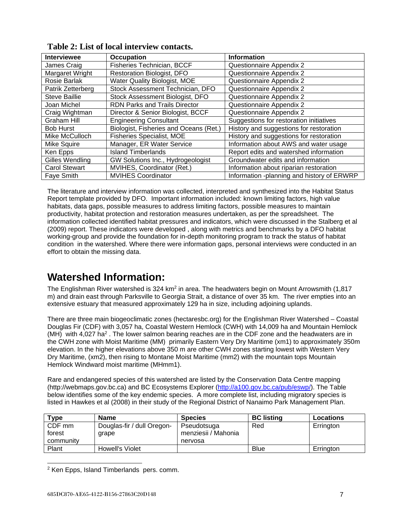| <b>Interviewee</b>     | Occupation                             | <b>Information</b>                         |
|------------------------|----------------------------------------|--------------------------------------------|
| James Craig            | Fisheries Technician, BCCF             | Questionnaire Appendix 2                   |
| Margaret Wright        | <b>Restoration Biologist, DFO</b>      | Questionnaire Appendix 2                   |
| Rosie Barlak           | Water Quality Biologist, MOE           | Questionnaire Appendix 2                   |
| Patrik Zetterberg      | Stock Assessment Technician, DFO       | Questionnaire Appendix 2                   |
| <b>Steve Baillie</b>   | Stock Assessment Biologist, DFO        | Questionnaire Appendix 2                   |
| Joan Michel            | <b>RDN Parks and Trails Director</b>   | Questionnaire Appendix 2                   |
| Craig Wightman         | Director & Senior Biologist, BCCF      | Questionnaire Appendix 2                   |
| Graham Hill            | <b>Engineering Consultant</b>          | Suggestions for restoration initiatives    |
| <b>Bob Hurst</b>       | Biologist, Fisheries and Oceans (Ret.) | History and suggestions for restoration    |
| Mike McCulloch         | <b>Fisheries Specialist, MOE</b>       | History and suggestions for restoration    |
| Mike Squire            | Manager, ER Water Service              | Information about AWS and water usage      |
| Ken Epps               | <b>Island Timberlands</b>              | Report edits and watershed information     |
| <b>Gilles Wendling</b> | GW Solutions Inc., Hydrogeologist      | Groundwater edits and information          |
| <b>Carol Stewart</b>   | MVIHES, Coordinator (Ret.)             | Information about riparian restoration     |
| <b>Faye Smith</b>      | <b>MVIHES Coordinator</b>              | Information -planning and history of ERWRP |

<span id="page-6-0"></span>

The literature and interview information was collected, interpreted and synthesized into the Habitat Status Report template provided by DFO. Important information included: known limiting factors, high value habitats, data gaps, possible measures to address limiting factors, possible measures to maintain productivity, habitat protection and restoration measures undertaken, as per the spreadsheet. The information collected identified habitat pressures and indicators, which were discussed in the Stalberg et al (2009) report. These indicators were developed , along with metrics and benchmarks by a DFO habitat working-group and provide the foundation for in-depth monitoring program to track the status of habitat condition in the watershed. Where there were information gaps, personal interviews were conducted in an effort to obtain the missing data.

# <span id="page-6-1"></span>**Watershed Information:**

The Englishman River watershed is 324 km<sup>2</sup> in area. The headwaters begin on Mount Arrowsmith (1,817 m) and drain east through Parksville to Georgia Strait, a distance of over 35 km. The river empties into an extensive estuary that measured approximately 129 ha in size, including adjoining uplands.

There are three main biogeoclimatic zones (hectaresbc.org) for the Englishman River Watershed – Coastal Douglas Fir (CDF) with 3,057 ha, Coastal Western Hemlock (CWH) with 14,009 ha and Mountain Hemlock  $(MH)$  with 4,027 ha<sup>2</sup>. The lower salmon bearing reaches are in the CDF zone and the headwaters are in the CWH zone with Moist Maritime (MM) primarily Eastern Very Dry Maritime (xm1) to approximately 350m elevation. In the higher elevations above 350 m are other CWH zones starting lowest with Western Very Dry Maritime, (xm2), then rising to Montane Moist Maritime (mm2) with the mountain tops Mountain Hemlock Windward moist maritime (MHmm1).

Rare and endangered species of this watershed are listed by the Conservation Data Centre mapping (http://webmaps.gov.bc.ca) and BC Ecosystems Explorer [\(http://a100.gov.bc.ca/pub/eswp/\)](http://a100.gov.bc.ca/pub/eswp/). The Table below identifies some of the key endemic species. A more complete list, including migratory species is listed in Hawkes et al (2008) in their study of the Regional District of Nanaimo Park Management Plan.

| Type      | <b>Name</b>                | <b>Species</b>      | <b>BC listing</b> | <b>Locations</b> |
|-----------|----------------------------|---------------------|-------------------|------------------|
| CDF mm    | Douglas-fir / dull Oregon- | Pseudotsuga         | Red               | Errington        |
| forest    | grape                      | menziesii / Mahonia |                   |                  |
| community |                            | nervosa             |                   |                  |
| Plant     | Howell's Violet            |                     | <b>Blue</b>       | Errington        |

 <sup>2</sup> Ken Epps, Island Timberlands pers. comm.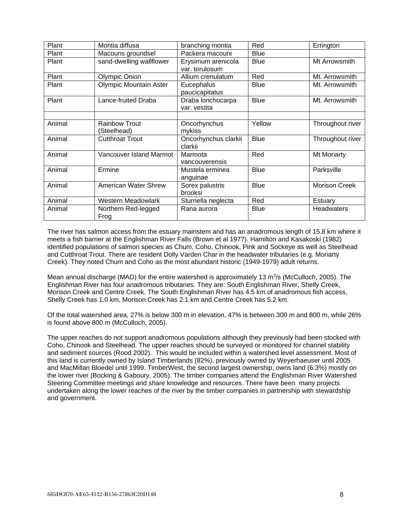| Plant  | Montia diffusa                      | branching montia                  | Red         | Errington            |  |
|--------|-------------------------------------|-----------------------------------|-------------|----------------------|--|
| Plant  | Macouns groundsel                   | Packera macouni                   | Blue        |                      |  |
| Plant  | sand-dwelling wallflower            | Erysimum arenicola                | <b>Blue</b> | Mt Arrowsmith        |  |
|        |                                     | var. torulosum                    |             |                      |  |
| Plant  | Olympic Onion                       | Allium crenulatum                 | Red         | Mt. Arrowsmith       |  |
| Plant  | <b>Olympic Mountain Aster</b>       | Eucephalus<br>paucicapitatus      | <b>Blue</b> | Mt. Arrowsmith       |  |
| Plant  | Lance-fruited Draba                 | Draba lonchocarpa<br>var. vestita | <b>Blue</b> | Mt. Arrowsmith       |  |
|        |                                     |                                   |             |                      |  |
| Animal | <b>Rainbow Trout</b><br>(Steelhead) | Oncorhynchus<br>mykiss            | Yellow      | Throughout river     |  |
| Animal | <b>Cutthroat Trout</b>              | Oncorhynchus clarkii<br>clarkii   | <b>Blue</b> | Throughout river     |  |
| Animal | Vancouver Island Marmot             | Marmota<br>vancouverensis         | Red         | Mt Moriarty          |  |
| Animal | Ermine                              | Mustela erminea<br>anguinae       | <b>Blue</b> | Parksville           |  |
| Animal | <b>American Water Shrew</b>         | Sorex palustris<br>brooksi        | <b>Blue</b> | <b>Morison Creek</b> |  |
| Animal | Western Meadowlark                  | Sturnella neglecta                | Red         | Estuary              |  |
| Animal | Northern Red-legged<br>Frog         | Rana aurora                       | Blue        | <b>Headwaters</b>    |  |

The river has salmon access from the estuary mainstem and has an anadromous length of 15.8 km where it meets a fish barrier at the Englishman River Falls (Brown et al 1977). Hamilton and Kasakoski (1982) identified populations of salmon species as Chum, Coho, Chinook, Pink and Sockeye as well as Steelhead and Cutthroat Trout. There are resident Dolly Varden Char in the headwater tributaries (e.g. Moriarty Creek). They noted Chum and Coho as the most abundant historic (1949-1979) adult returns.

Mean annual discharge (MAD) for the entire watershed is approximately 13  $\text{m}^3\text{/s}$  (McCulloch, 2005). The Englishman River has four anadromous tributaries. They are: South Englishman River, Shelly Creek, Morison Creek and Centre Creek. The South Englishman River has 4.5 km of anadromous fish access, Shelly Creek has 1.0 km, Morison Creek has 2.1 km and Centre Creek has 5.2 km.

Of the total watershed area, 27% is below 300 m in elevation, 47% is between 300 m and 800 m, while 26% is found above 800 m (McCulloch, 2005).

The upper reaches do not support anadromous populations although they previously had been stocked with Coho, Chinook and Steelhead. The upper reaches should be surveyed or monitored for channel stability and sediment sources (Rood 2002). This would be included within a watershed level assessment. Most of this land is currently owned by Island Timberlands (82%), previously owned by Weyerhaeuser until 2005 and MacMillan Bloedel until 1999. TimberWest, the second largest ownership, owns land (6.3%) mostly on the lower river (Bocking & Gaboury, 2005). The timber companies attend the Englishman River Watershed Steering Committee meetings and share knowledge and resources. There have been many projects undertaken along the lower reaches of the river by the timber companies in partnership with stewardship and government.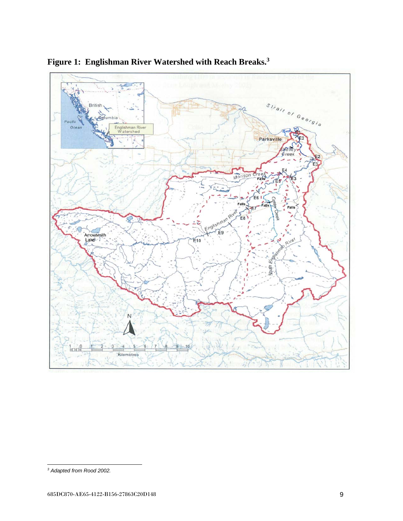

<span id="page-8-0"></span>**Figure 1: Englishman River Watershed with Reach Breaks.3**

j *<sup>3</sup> Adapted from Rood 2002.*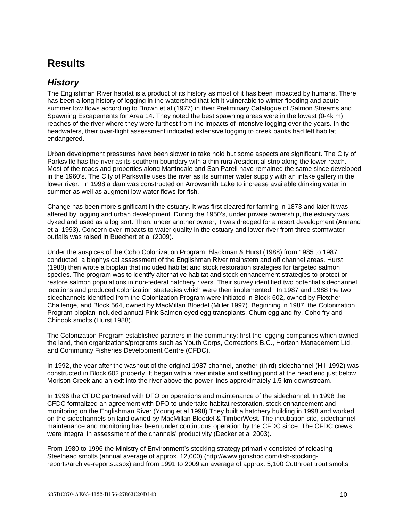# <span id="page-9-0"></span>**Results**

# <span id="page-9-1"></span>*History*

The Englishman River habitat is a product of its history as most of it has been impacted by humans. There has been a long history of logging in the watershed that left it vulnerable to winter flooding and acute summer low flows according to Brown et al (1977) in their Preliminary Catalogue of Salmon Streams and Spawning Escapements for Area 14. They noted the best spawning areas were in the lowest (0-4k m) reaches of the river where they were furthest from the impacts of intensive logging over the years. In the headwaters, their over-flight assessment indicated extensive logging to creek banks had left habitat endangered.

Urban development pressures have been slower to take hold but some aspects are significant. The City of Parksville has the river as its southern boundary with a thin rural/residential strip along the lower reach. Most of the roads and properties along Martindale and San Pareil have remained the same since developed in the 1960's. The City of Parksville uses the river as its summer water supply with an intake gallery in the lower river. In 1998 a dam was constructed on Arrowsmith Lake to increase available drinking water in summer as well as augment low water flows for fish.

Change has been more significant in the estuary. It was first cleared for farming in 1873 and later it was altered by logging and urban development. During the 1950's, under private ownership, the estuary was dyked and used as a log sort. Then, under another owner, it was dredged for a resort development (Annand et al 1993). Concern over impacts to water quality in the estuary and lower river from three stormwater outfalls was raised in Buechert et al (2009).

Under the auspices of the Coho Colonization Program, Blackman & Hurst (1988) from 1985 to 1987 conducted a biophysical assessment of the Englishman River mainstem and off channel areas. Hurst (1988) then wrote a bioplan that included habitat and stock restoration strategies for targeted salmon species. The program was to identify alternative habitat and stock enhancement strategies to protect or restore salmon populations in non-federal hatchery rivers. Their survey identified two potential sidechannel locations and produced colonization strategies which were then implemented. In 1987 and 1988 the two sidechannels identified from the Colonization Program were initiated in Block 602, owned by Fletcher Challenge, and Block 564, owned by MacMillan Bloedel (Miller 1997). Beginning in 1987, the Colonization Program bioplan included annual Pink Salmon eyed egg transplants, Chum egg and fry, Coho fry and Chinook smolts (Hurst 1988).

The Colonization Program established partners in the community: first the logging companies which owned the land, then organizations/programs such as Youth Corps, Corrections B.C., Horizon Management Ltd. and Community Fisheries Development Centre (CFDC).

In 1992, the year after the washout of the original 1987 channel, another (third) sidechannel (Hill 1992) was constructed in Block 602 property. It began with a river intake and settling pond at the head end just below Morison Creek and an exit into the river above the power lines approximately 1.5 km downstream.

In 1996 the CFDC partnered with DFO on operations and maintenance of the sidechannel. In 1998 the CFDC formalized an agreement with DFO to undertake habitat restoration, stock enhancement and monitoring on the Englishman River (Young et al 1998).They built a hatchery building in 1998 and worked on the sidechannels on land owned by MacMillan Bloedel & TimberWest. The incubation site, sidechannel maintenance and monitoring has been under continuous operation by the CFDC since. The CFDC crews were integral in assessment of the channels' productivity (Decker et al 2003).

From 1980 to 1996 the Ministry of Environment's stocking strategy primarily consisted of releasing Steelhead smolts (annual average of approx. 12,000) (http://www.gofishbc.com/fish-stockingreports/archive-reports.aspx) and from 1991 to 2009 an average of approx. 5,100 Cutthroat trout smolts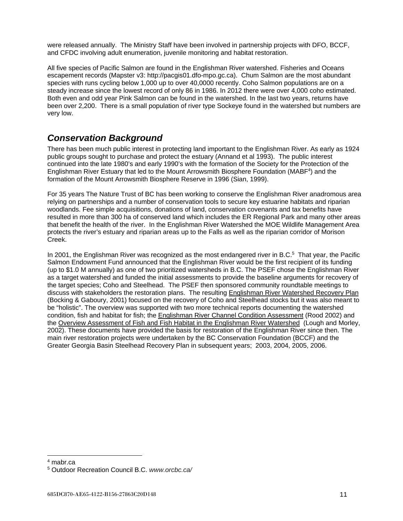were released annually. The Ministry Staff have been involved in partnership projects with DFO, BCCF, and CFDC involving adult enumeration, juvenile monitoring and habitat restoration.

All five species of Pacific Salmon are found in the Englishman River watershed. Fisheries and Oceans escapement records (Mapster v3: http://pacgis01.dfo-mpo.gc.ca). Chum Salmon are the most abundant species with runs cycling below 1,000 up to over 40,0000 recently. Coho Salmon populations are on a steady increase since the lowest record of only 86 in 1986. In 2012 there were over 4,000 coho estimated. Both even and odd year Pink Salmon can be found in the watershed. In the last two years, returns have been over 2,200. There is a small population of river type Sockeye found in the watershed but numbers are very low.

## <span id="page-10-0"></span>*Conservation Background*

There has been much public interest in protecting land important to the Englishman River. As early as 1924 public groups sought to purchase and protect the estuary (Annand et al 1993). The public interest continued into the late 1980's and early 1990's with the formation of the Society for the Protection of the Englishman River Estuary that led to the Mount Arrowsmith Biosphere Foundation (MABF4) and the formation of the Mount Arrowsmith Biosphere Reserve in 1996 (Sian, 1999).

For 35 years The Nature Trust of BC has been working to conserve the Englishman River anadromous area relying on partnerships and a number of conservation tools to secure key estuarine habitats and riparian woodlands. Fee simple acquisitions, donations of land, conservation covenants and tax benefits have resulted in more than 300 ha of conserved land which includes the ER Regional Park and many other areas that benefit the health of the river. In the Englishman River Watershed the MOE Wildlife Management Area protects the river's estuary and riparian areas up to the Falls as well as the riparian corridor of Morison Creek.

In 2001, the Englishman River was recognized as the most endangered river in B.C.<sup>5</sup> That year, the Pacific Salmon Endowment Fund announced that the Englishman River would be the first recipient of its funding (up to \$1.0 M annually) as one of two prioritized watersheds in B.C. The PSEF chose the Englishman River as a target watershed and funded the initial assessments to provide the baseline arguments for recovery of the target species; Coho and Steelhead. The PSEF then sponsored community roundtable meetings to discuss with stakeholders the restoration plans. The resulting Englishman River Watershed Recovery Plan (Bocking & Gaboury, 2001) focused on the recovery of Coho and Steelhead stocks but it was also meant to be "holistic". The overview was supported with two more technical reports documenting the watershed condition, fish and habitat for fish; the Englishman River Channel Condition Assessment (Rood 2002) and the Overview Assessment of Fish and Fish Habitat in the Englishman River Watershed (Lough and Morley, 2002). These documents have provided the basis for restoration of the Englishman River since then. The main river restoration projects were undertaken by the BC Conservation Foundation (BCCF) and the Greater Georgia Basin Steelhead Recovery Plan in subsequent years; 2003, 2004, 2005, 2006.

 <sup>4</sup> mabr.ca

<sup>5</sup> Outdoor Recreation Council B.C. *www.orcbc.ca/*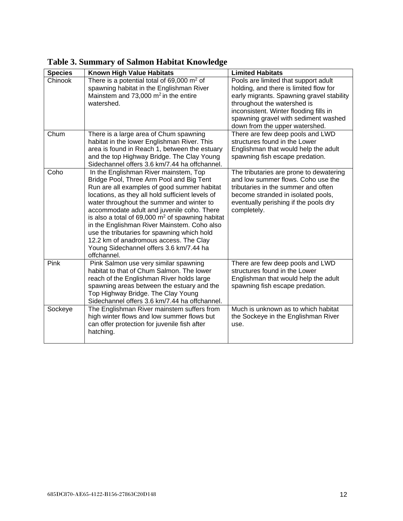| <b>Species</b> | Known High Value Habitats                                                                     | <b>Limited Habitats</b>                                                     |
|----------------|-----------------------------------------------------------------------------------------------|-----------------------------------------------------------------------------|
| Chinook        | There is a potential total of $69,000$ m <sup>2</sup> of                                      | Pools are limited that support adult                                        |
|                | spawning habitat in the Englishman River                                                      | holding, and there is limited flow for                                      |
|                | Mainstem and 73,000 $m2$ in the entire                                                        | early migrants. Spawning gravel stability                                   |
|                | watershed.                                                                                    | throughout the watershed is                                                 |
|                |                                                                                               | inconsistent. Winter flooding fills in                                      |
|                |                                                                                               | spawning gravel with sediment washed                                        |
|                |                                                                                               | down from the upper watershed.                                              |
| Chum           | There is a large area of Chum spawning                                                        | There are few deep pools and LWD                                            |
|                | habitat in the lower Englishman River. This                                                   | structures found in the Lower                                               |
|                | area is found in Reach 1, between the estuary                                                 | Englishman that would help the adult                                        |
|                | and the top Highway Bridge. The Clay Young                                                    | spawning fish escape predation.                                             |
|                | Sidechannel offers 3.6 km/7.44 ha offchannel.                                                 |                                                                             |
| Coho           | In the Englishman River mainstem, Top                                                         | The tributaries are prone to dewatering                                     |
|                | Bridge Pool, Three Arm Pool and Big Tent                                                      | and low summer flows. Coho use the                                          |
|                | Run are all examples of good summer habitat                                                   | tributaries in the summer and often                                         |
|                | locations, as they all hold sufficient levels of<br>water throughout the summer and winter to | become stranded in isolated pools,<br>eventually perishing if the pools dry |
|                | accommodate adult and juvenile coho. There                                                    | completely.                                                                 |
|                | is also a total of 69,000 $m2$ of spawning habitat                                            |                                                                             |
|                | in the Englishman River Mainstem. Coho also                                                   |                                                                             |
|                | use the tributaries for spawning which hold                                                   |                                                                             |
|                | 12.2 km of anadromous access. The Clay                                                        |                                                                             |
|                | Young Sidechannel offers 3.6 km/7.44 ha                                                       |                                                                             |
|                | offchannel.                                                                                   |                                                                             |
| Pink           | Pink Salmon use very similar spawning                                                         | There are few deep pools and LWD                                            |
|                | habitat to that of Chum Salmon. The lower                                                     | structures found in the Lower                                               |
|                | reach of the Englishman River holds large                                                     | Englishman that would help the adult                                        |
|                | spawning areas between the estuary and the                                                    | spawning fish escape predation.                                             |
|                | Top Highway Bridge. The Clay Young                                                            |                                                                             |
|                | Sidechannel offers 3.6 km/7.44 ha offchannel.                                                 |                                                                             |
| Sockeye        | The Englishman River mainstem suffers from                                                    | Much is unknown as to which habitat                                         |
|                | high winter flows and low summer flows but                                                    | the Sockeye in the Englishman River                                         |
|                | can offer protection for juvenile fish after                                                  | use.                                                                        |
|                | hatching.                                                                                     |                                                                             |
|                |                                                                                               |                                                                             |

<span id="page-11-0"></span>**Table 3. Summary of Salmon Habitat Knowledge**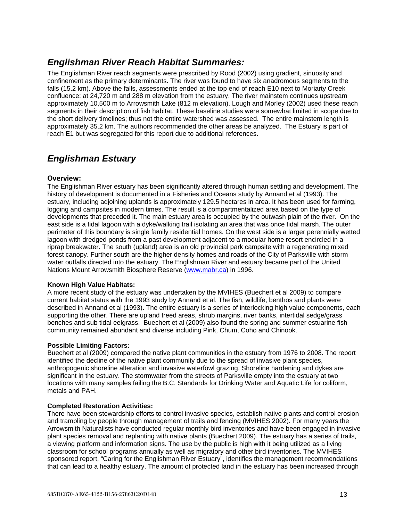# <span id="page-12-0"></span>*Englishman River Reach Habitat Summaries:*

The Englishman River reach segments were prescribed by Rood (2002) using gradient, sinuosity and confinement as the primary determinants. The river was found to have six anadromous segments to the falls (15.2 km). Above the falls, assessments ended at the top end of reach E10 next to Moriarty Creek confluence; at 24,720 m and 288 m elevation from the estuary. The river mainstem continues upstream approximately 10,500 m to Arrowsmith Lake (812 m elevation). Lough and Morley (2002) used these reach segments in their description of fish habitat. These baseline studies were somewhat limited in scope due to the short delivery timelines; thus not the entire watershed was assessed. The entire mainstem length is approximately 35.2 km. The authors recommended the other areas be analyzed. The Estuary is part of reach E1 but was segregated for this report due to additional references.

# <span id="page-12-1"></span>*Englishman Estuary*

#### <span id="page-12-2"></span>**Overview:**

The Englishman River estuary has been significantly altered through human settling and development. The history of development is documented in a Fisheries and Oceans study by Annand et al (1993). The estuary, including adjoining uplands is approximately 129.5 hectares in area. It has been used for farming, logging and campsites in modern times. The result is a compartmentalized area based on the type of developments that preceded it. The main estuary area is occupied by the outwash plain of the river. On the east side is a tidal lagoon with a dyke/walking trail isolating an area that was once tidal marsh. The outer perimeter of this boundary is single family residential homes. On the west side is a larger perennially wetted lagoon with dredged ponds from a past development adjacent to a modular home resort encircled in a riprap breakwater. The south (upland) area is an old provincial park campsite with a regenerating mixed forest canopy. Further south are the higher density homes and roads of the City of Parksville with storm water outfalls directed into the estuary. The Englishman River and estuary became part of the United Nations Mount Arrowsmith Biosphere Reserve [\(www.mabr.ca\)](http://www.mabr.ca/) in 1996.

#### **Known High Value Habitats:**

A more recent study of the estuary was undertaken by the MVIHES (Buechert et al 2009) to compare current habitat status with the 1993 study by Annand et al. The fish, wildlife, benthos and plants were described in Annand et al (1993). The entire estuary is a series of interlocking high value components, each supporting the other. There are upland treed areas, shrub margins, river banks, intertidal sedge/grass benches and sub tidal eelgrass. Buechert et al (2009) also found the spring and summer estuarine fish community remained abundant and diverse including Pink, Chum, Coho and Chinook.

#### **Possible Limiting Factors:**

Buechert et al (2009) compared the native plant communities in the estuary from 1976 to 2008. The report identified the decline of the native plant community due to the spread of invasive plant species, anthropogenic shoreline alteration and invasive waterfowl grazing. Shoreline hardening and dykes are significant in the estuary. The stormwater from the streets of Parksville empty into the estuary at two locations with many samples failing the B.C. Standards for Drinking Water and Aquatic Life for coliform, metals and PAH.

#### **Completed Restoration Activities:**

There have been stewardship efforts to control invasive species, establish native plants and control erosion and trampling by people through management of trails and fencing (MVIHES 2002). For many years the Arrowsmith Naturalists have conducted regular monthly bird inventories and have been engaged in invasive plant species removal and replanting with native plants (Buechert 2009). The estuary has a series of trails, a viewing platform and information signs. The use by the public is high with it being utilized as a living classroom for school programs annually as well as migratory and other bird inventories. The MVIHES sponsored report, "Caring for the Englishman River Estuary", identifies the management recommendations that can lead to a healthy estuary. The amount of protected land in the estuary has been increased through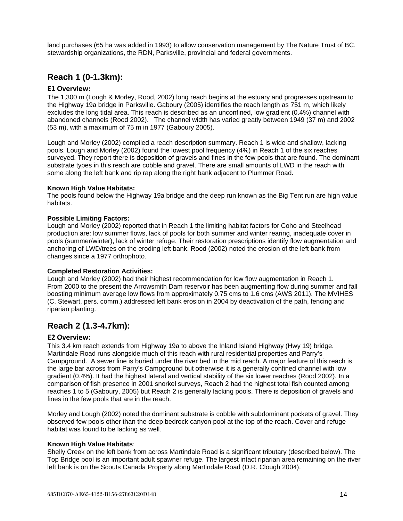land purchases (65 ha was added in 1993) to allow conservation management by The Nature Trust of BC, stewardship organizations, the RDN, Parksville, provincial and federal governments.

## <span id="page-13-0"></span>**Reach 1 (0-1.3km):**

### <span id="page-13-1"></span>**E1 Overview:**

The 1,300 m (Lough & Morley, Rood, 2002) long reach begins at the estuary and progresses upstream to the Highway 19a bridge in Parksville. Gaboury (2005) identifies the reach length as 751 m, which likely excludes the long tidal area. This reach is described as an unconfined, low gradient (0.4%) channel with abandoned channels (Rood 2002). The channel width has varied greatly between 1949 (37 m) and 2002 (53 m), with a maximum of 75 m in 1977 (Gaboury 2005).

Lough and Morley (2002) compiled a reach description summary. Reach 1 is wide and shallow, lacking pools. Lough and Morley (2002) found the lowest pool frequency (4%) in Reach 1 of the six reaches surveyed. They report there is deposition of gravels and fines in the few pools that are found. The dominant substrate types in this reach are cobble and gravel. There are small amounts of LWD in the reach with some along the left bank and rip rap along the right bank adjacent to Plummer Road.

#### **Known High Value Habitats:**

The pools found below the Highway 19a bridge and the deep run known as the Big Tent run are high value habitats.

#### **Possible Limiting Factors:**

Lough and Morley (2002) reported that in Reach 1 the limiting habitat factors for Coho and Steelhead production are: low summer flows, lack of pools for both summer and winter rearing, inadequate cover in pools (summer/winter), lack of winter refuge. Their restoration prescriptions identify flow augmentation and anchoring of LWD/trees on the eroding left bank. Rood (2002) noted the erosion of the left bank from changes since a 1977 orthophoto.

#### **Completed Restoration Activities:**

Lough and Morley (2002) had their highest recommendation for low flow augmentation in Reach 1. From 2000 to the present the Arrowsmith Dam reservoir has been augmenting flow during summer and fall boosting minimum average low flows from approximately 0.75 cms to 1.6 cms (AWS 2011). The MVIHES (C. Stewart, pers. comm.) addressed left bank erosion in 2004 by deactivation of the path, fencing and riparian planting.

## <span id="page-13-2"></span>**Reach 2 (1.3-4.7km):**

#### <span id="page-13-3"></span>**E2 Overview:**

This 3.4 km reach extends from Highway 19a to above the Inland Island Highway (Hwy 19) bridge. Martindale Road runs alongside much of this reach with rural residential properties and Parry's Campground. A sewer line is buried under the river bed in the mid reach. A major feature of this reach is the large bar across from Parry's Campground but otherwise it is a generally confined channel with low gradient (0.4%). It had the highest lateral and vertical stability of the six lower reaches (Rood 2002). In a comparison of fish presence in 2001 snorkel surveys, Reach 2 had the highest total fish counted among reaches 1 to 5 (Gaboury, 2005) but Reach 2 is generally lacking pools. There is deposition of gravels and fines in the few pools that are in the reach.

Morley and Lough (2002) noted the dominant substrate is cobble with subdominant pockets of gravel. They observed few pools other than the deep bedrock canyon pool at the top of the reach. Cover and refuge habitat was found to be lacking as well.

#### **Known High Value Habitats**:

Shelly Creek on the left bank from across Martindale Road is a significant tributary (described below). The Top Bridge pool is an important adult spawner refuge. The largest intact riparian area remaining on the river left bank is on the Scouts Canada Property along Martindale Road (D.R. Clough 2004).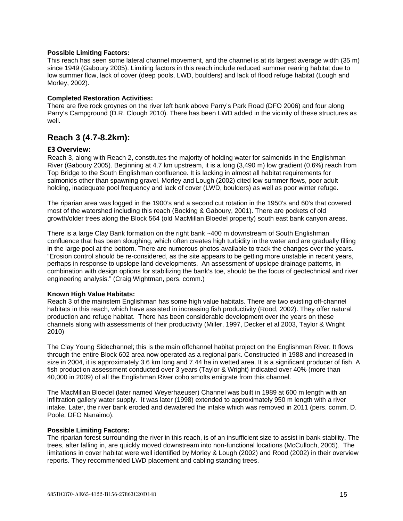#### **Possible Limiting Factors:**

This reach has seen some lateral channel movement, and the channel is at its largest average width (35 m) since 1949 (Gaboury 2005). Limiting factors in this reach include reduced summer rearing habitat due to low summer flow, lack of cover (deep pools, LWD, boulders) and lack of flood refuge habitat (Lough and Morley, 2002).

#### **Completed Restoration Activities:**

There are five rock groynes on the river left bank above Parry's Park Road (DFO 2006) and four along Parry's Campground (D.R. Clough 2010). There has been LWD added in the vicinity of these structures as well.

### <span id="page-14-0"></span>**Reach 3 (4.7-8.2km):**

#### <span id="page-14-1"></span>**E3 Overview:**

Reach 3, along with Reach 2, constitutes the majority of holding water for salmonids in the Englishman River (Gaboury 2005). Beginning at 4.7 km upstream, it is a long (3,490 m) low gradient (0.6%) reach from Top Bridge to the South Englishman confluence. It is lacking in almost all habitat requirements for salmonids other than spawning gravel. Morley and Lough (2002) cited low summer flows, poor adult holding, inadequate pool frequency and lack of cover (LWD, boulders) as well as poor winter refuge.

The riparian area was logged in the 1900's and a second cut rotation in the 1950's and 60's that covered most of the watershed including this reach (Bocking & Gaboury, 2001). There are pockets of old growth/older trees along the Block 564 (old MacMillan Bloedel property) south east bank canyon areas.

There is a large Clay Bank formation on the right bank ~400 m downstream of South Englishman confluence that has been sloughing, which often creates high turbidity in the water and are gradually filling in the large pool at the bottom. There are numerous photos available to track the changes over the years. "Erosion control should be re-considered, as the site appears to be getting more unstable in recent years, perhaps in response to upslope land developments. An assessment of upslope drainage patterns, in combination with design options for stabilizing the bank's toe, should be the focus of geotechnical and river engineering analysis." (Craig Wightman, pers. comm.)

#### **Known High Value Habitats:**

Reach 3 of the mainstem Englishman has some high value habitats. There are two existing off-channel habitats in this reach, which have assisted in increasing fish productivity (Rood, 2002). They offer natural production and refuge habitat. There has been considerable development over the years on these channels along with assessments of their productivity (Miller, 1997, Decker et al 2003, Taylor & Wright 2010)

The Clay Young Sidechannel; this is the main offchannel habitat project on the Englishman River. It flows through the entire Block 602 area now operated as a regional park. Constructed in 1988 and increased in size in 2004, it is approximately 3.6 km long and 7.44 ha in wetted area. It is a significant producer of fish. A fish production assessment conducted over 3 years (Taylor & Wright) indicated over 40% (more than 40,000 in 2009) of all the Englishman River coho smolts emigrate from this channel.

The MacMillan Bloedel (later named Weyerhaeuser) Channel was built in 1989 at 600 m length with an infiltration gallery water supply. It was later (1998) extended to approximately 950 m length with a river intake. Later, the river bank eroded and dewatered the intake which was removed in 2011 (pers. comm. D. Poole, DFO Nanaimo).

#### **Possible Limiting Factors:**

The riparian forest surrounding the river in this reach, is of an insufficient size to assist in bank stability. The trees, after falling in, are quickly moved downstream into non-functional locations (McCulloch, 2005). The limitations in cover habitat were well identified by Morley & Lough (2002) and Rood (2002) in their overview reports. They recommended LWD placement and cabling standing trees.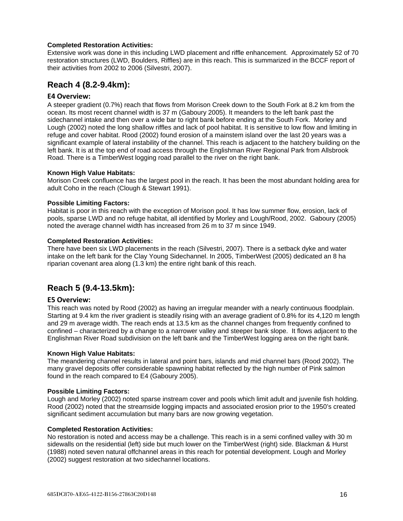#### **Completed Restoration Activities:**

Extensive work was done in this including LWD placement and riffle enhancement. Approximately 52 of 70 restoration structures (LWD, Boulders, Riffles) are in this reach. This is summarized in the BCCF report of their activities from 2002 to 2006 (Silvestri, 2007).

### <span id="page-15-0"></span>**Reach 4 (8.2-9.4km):**

#### <span id="page-15-1"></span>**E4 Overview:**

A steeper gradient (0.7%) reach that flows from Morison Creek down to the South Fork at 8.2 km from the ocean. Its most recent channel width is 37 m (Gaboury 2005). It meanders to the left bank past the sidechannel intake and then over a wide bar to right bank before ending at the South Fork. Morley and Lough (2002) noted the long shallow riffles and lack of pool habitat. It is sensitive to low flow and limiting in refuge and cover habitat. Rood (2002) found erosion of a mainstem island over the last 20 years was a significant example of lateral instability of the channel. This reach is adjacent to the hatchery building on the left bank. It is at the top end of road access through the Englishman River Regional Park from Allsbrook Road. There is a TimberWest logging road parallel to the river on the right bank.

#### **Known High Value Habitats:**

Morison Creek confluence has the largest pool in the reach. It has been the most abundant holding area for adult Coho in the reach (Clough & Stewart 1991).

#### **Possible Limiting Factors:**

Habitat is poor in this reach with the exception of Morison pool. It has low summer flow, erosion, lack of pools, sparse LWD and no refuge habitat, all identified by Morley and Lough/Rood, 2002. Gaboury (2005) noted the average channel width has increased from 26 m to 37 m since 1949.

#### **Completed Restoration Activities:**

There have been six LWD placements in the reach (Silvestri, 2007). There is a setback dyke and water intake on the left bank for the Clay Young Sidechannel. In 2005, TimberWest (2005) dedicated an 8 ha riparian covenant area along (1.3 km) the entire right bank of this reach.

## <span id="page-15-2"></span>**Reach 5 (9.4-13.5km):**

#### <span id="page-15-3"></span>**E5 Overview:**

This reach was noted by Rood (2002) as having an irregular meander with a nearly continuous floodplain. Starting at 9.4 km the river gradient is steadily rising with an average gradient of 0.8% for its 4,120 m length and 29 m average width. The reach ends at 13.5 km as the channel changes from frequently confined to confined – characterized by a change to a narrower valley and steeper bank slope. It flows adjacent to the Englishman River Road subdivision on the left bank and the TimberWest logging area on the right bank.

#### **Known High Value Habitats:**

The meandering channel results in lateral and point bars, islands and mid channel bars (Rood 2002). The many gravel deposits offer considerable spawning habitat reflected by the high number of Pink salmon found in the reach compared to E4 (Gaboury 2005).

#### **Possible Limiting Factors:**

Lough and Morley (2002) noted sparse instream cover and pools which limit adult and juvenile fish holding. Rood (2002) noted that the streamside logging impacts and associated erosion prior to the 1950's created significant sediment accumulation but many bars are now growing vegetation.

#### **Completed Restoration Activities:**

No restoration is noted and access may be a challenge. This reach is in a semi confined valley with 30 m sidewalls on the residential (left) side but much lower on the TimberWest (right) side. Blackman & Hurst (1988) noted seven natural offchannel areas in this reach for potential development. Lough and Morley (2002) suggest restoration at two sidechannel locations.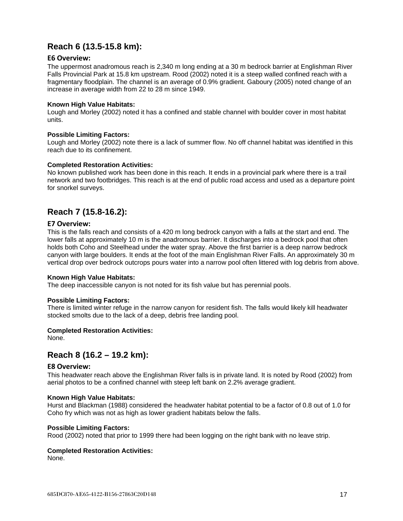## <span id="page-16-0"></span>**Reach 6 (13.5-15.8 km):**

#### <span id="page-16-1"></span>**E6 Overview:**

The uppermost anadromous reach is 2,340 m long ending at a 30 m bedrock barrier at Englishman River Falls Provincial Park at 15.8 km upstream. Rood (2002) noted it is a steep walled confined reach with a fragmentary floodplain. The channel is an average of 0.9% gradient. Gaboury (2005) noted change of an increase in average width from 22 to 28 m since 1949.

#### **Known High Value Habitats:**

Lough and Morley (2002) noted it has a confined and stable channel with boulder cover in most habitat units.

#### **Possible Limiting Factors:**

Lough and Morley (2002) note there is a lack of summer flow. No off channel habitat was identified in this reach due to its confinement.

#### **Completed Restoration Activities:**

No known published work has been done in this reach. It ends in a provincial park where there is a trail network and two footbridges. This reach is at the end of public road access and used as a departure point for snorkel surveys.

## <span id="page-16-2"></span>**Reach 7 (15.8-16.2):**

#### <span id="page-16-3"></span>**E7 Overview:**

This is the falls reach and consists of a 420 m long bedrock canyon with a falls at the start and end. The lower falls at approximately 10 m is the anadromous barrier. It discharges into a bedrock pool that often holds both Coho and Steelhead under the water spray. Above the first barrier is a deep narrow bedrock canyon with large boulders. It ends at the foot of the main Englishman River Falls. An approximately 30 m vertical drop over bedrock outcrops pours water into a narrow pool often littered with log debris from above.

#### **Known High Value Habitats:**

The deep inaccessible canyon is not noted for its fish value but has perennial pools.

#### **Possible Limiting Factors:**

There is limited winter refuge in the narrow canyon for resident fish. The falls would likely kill headwater stocked smolts due to the lack of a deep, debris free landing pool.

#### **Completed Restoration Activities:**

<span id="page-16-4"></span>None.

## **Reach 8 (16.2 – 19.2 km):**

#### <span id="page-16-5"></span>**E8 Overview:**

This headwater reach above the Englishman River falls is in private land. It is noted by Rood (2002) from aerial photos to be a confined channel with steep left bank on 2.2% average gradient.

#### **Known High Value Habitats:**

Hurst and Blackman (1988) considered the headwater habitat potential to be a factor of 0.8 out of 1.0 for Coho fry which was not as high as lower gradient habitats below the falls.

#### **Possible Limiting Factors:**

Rood (2002) noted that prior to 1999 there had been logging on the right bank with no leave strip.

#### **Completed Restoration Activities:**

None.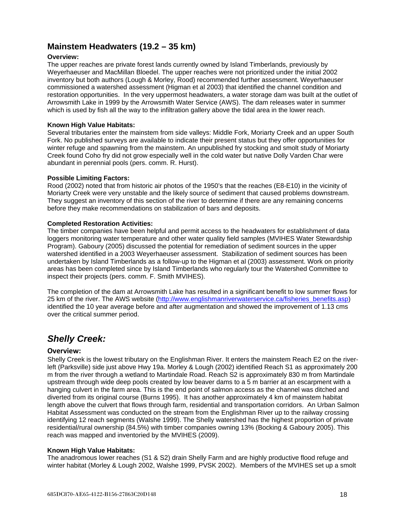## <span id="page-17-0"></span>**Mainstem Headwaters (19.2 – 35 km)**

#### **Overview:**

The upper reaches are private forest lands currently owned by Island Timberlands, previously by Weyerhaeuser and MacMillan Bloedel. The upper reaches were not prioritized under the initial 2002 inventory but both authors (Lough & Morley, Rood) recommended further assessment. Weyerhaeuser commissioned a watershed assessment (Higman et al 2003) that identified the channel condition and restoration opportunities. In the very uppermost headwaters, a water storage dam was built at the outlet of Arrowsmith Lake in 1999 by the Arrowsmith Water Service (AWS). The dam releases water in summer which is used by fish all the way to the infiltration gallery above the tidal area in the lower reach.

#### **Known High Value Habitats:**

Several tributaries enter the mainstem from side valleys: Middle Fork, Moriarty Creek and an upper South Fork. No published surveys are available to indicate their present status but they offer opportunities for winter refuge and spawning from the mainstem. An unpublished fry stocking and smolt study of Moriarty Creek found Coho fry did not grow especially well in the cold water but native Dolly Varden Char were abundant in perennial pools (pers. comm. R. Hurst).

#### **Possible Limiting Factors:**

Rood (2002) noted that from historic air photos of the 1950's that the reaches (E8-E10) in the vicinity of Moriarty Creek were very unstable and the likely source of sediment that caused problems downstream. They suggest an inventory of this section of the river to determine if there are any remaining concerns before they make recommendations on stabilization of bars and deposits.

#### **Completed Restoration Activities:**

The timber companies have been helpful and permit access to the headwaters for establishment of data loggers monitoring water temperature and other water quality field samples (MVIHES Water Stewardship Program). Gaboury (2005) discussed the potential for remediation of sediment sources in the upper watershed identified in a 2003 Weyerhaeuser assessment. Stabilization of sediment sources has been undertaken by Island Timberlands as a follow-up to the Higman et al (2003) assessment. Work on priority areas has been completed since by Island Timberlands who regularly tour the Watershed Committee to inspect their projects (pers. comm. F. Smith MVIHES).

The completion of the dam at Arrowsmith Lake has resulted in a significant benefit to low summer flows for 25 km of the river. The AWS website [\(http://www.englishmanriverwaterservice.ca/fisheries\\_benefits.asp\)](http://www.englishmanriverwaterservice.ca/fisheries_benefits.asp) identified the 10 year average before and after augmentation and showed the improvement of 1.13 cms over the critical summer period.

## <span id="page-17-1"></span>*Shelly Creek:*

#### <span id="page-17-2"></span>**Overview:**

Shelly Creek is the lowest tributary on the Englishman River. It enters the mainstem Reach E2 on the riverleft (Parksville) side just above Hwy 19a. Morley & Lough (2002) identified Reach S1 as approximately 200 m from the river through a wetland to Martindale Road. Reach S2 is approximately 830 m from Martindale upstream through wide deep pools created by low beaver dams to a 5 m barrier at an escarpment with a hanging culvert in the farm area. This is the end point of salmon access as the channel was ditched and diverted from its original course (Burns 1995). It has another approximately 4 km of mainstem habitat length above the culvert that flows through farm, residential and transportation corridors. An Urban Salmon Habitat Assessment was conducted on the stream from the Englishman River up to the railway crossing identifying 12 reach segments (Walshe 1999). The Shelly watershed has the highest proportion of private residential/rural ownership (84.5%) with timber companies owning 13% (Bocking & Gaboury 2005). This reach was mapped and inventoried by the MVIHES (2009).

#### **Known High Value Habitats:**

The anadromous lower reaches (S1 & S2) drain Shelly Farm and are highly productive flood refuge and winter habitat (Morley & Lough 2002, Walshe 1999, PVSK 2002). Members of the MVIHES set up a smolt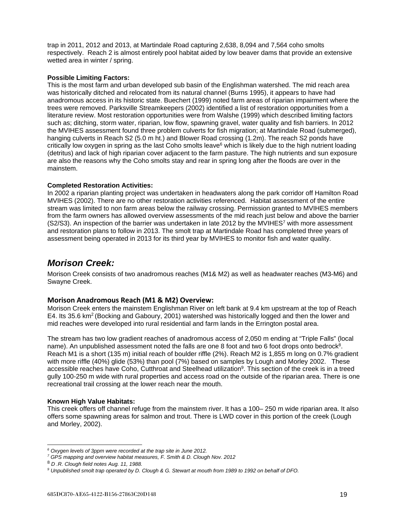trap in 2011, 2012 and 2013, at Martindale Road capturing 2,638, 8,094 and 7,564 coho smolts respectively. Reach 2 is almost entirely pool habitat aided by low beaver dams that provide an extensive wetted area in winter / spring.

#### **Possible Limiting Factors:**

This is the most farm and urban developed sub basin of the Englishman watershed. The mid reach area was historically ditched and relocated from its natural channel (Burns 1995), it appears to have had anadromous access in its historic state. Buechert (1999) noted farm areas of riparian impairment where the trees were removed. Parksville Streamkeepers (2002) identified a list of restoration opportunities from a literature review. Most restoration opportunities were from Walshe (1999) which described limiting factors such as; ditching, storm water, riparian, low flow, spawning gravel, water quality and fish barriers. In 2012 the MVIHES assessment found three problem culverts for fish migration; at Martindale Road (submerged), hanging culverts in Reach S2 (5.0 m ht.) and Blower Road crossing (1.2m). The reach S2 ponds have critically low oxygen in spring as the last Coho smolts leave<sup>6</sup> which is likely due to the high nutrient loading (detritus) and lack of high riparian cover adjacent to the farm pasture. The high nutrients and sun exposure are also the reasons why the Coho smolts stay and rear in spring long after the floods are over in the mainstem.

#### **Completed Restoration Activities:**

In 2002 a riparian planting project was undertaken in headwaters along the park corridor off Hamilton Road MVIHES (2002). There are no other restoration activities referenced. Habitat assessment of the entire stream was limited to non farm areas below the railway crossing. Permission granted to MVIHES members from the farm owners has allowed overview assessments of the mid reach just below and above the barrier (S2/S3). An inspection of the barrier was undertaken in late 2012 by the MVIHES<sup>7</sup> with more assessment and restoration plans to follow in 2013. The smolt trap at Martindale Road has completed three years of assessment being operated in 2013 for its third year by MVIHES to monitor fish and water quality.

## <span id="page-18-0"></span>*Morison Creek:*

Morison Creek consists of two anadromous reaches (M1& M2) as well as headwater reaches (M3-M6) and Swayne Creek.

#### <span id="page-18-1"></span>**Morison Anadromous Reach (M1 & M2) Overview:**

Morison Creek enters the mainstem Englishman River on left bank at 9.4 km upstream at the top of Reach E4. Its 35.6 km<sup>2</sup> (Bocking and Gaboury, 2001) watershed was historically logged and then the lower and mid reaches were developed into rural residential and farm lands in the Errington postal area.

The stream has two low gradient reaches of anadromous access of 2,050 m ending at "Triple Falls" (local name). An unpublished assessment noted the falls are one 8 foot and two 6 foot drops onto bedrock<sup>8</sup>. Reach M1 is a short (135 m) initial reach of boulder riffle (2%). Reach M2 is 1,855 m long on 0.7% gradient with more riffle (40%) glide (53%) than pool (7%) based on samples by Lough and Morley 2002. These accessible reaches have Coho, Cutthroat and Steelhead utilization<sup>9</sup>. This section of the creek is in a treed gully 100-250 m wide with rural properties and access road on the outside of the riparian area. There is one recreational trail crossing at the lower reach near the mouth.

#### **Known High Value Habitats:**

This creek offers off channel refuge from the mainstem river. It has a 100– 250 m wide riparian area. It also offers some spawning areas for salmon and trout. There is LWD cover in this portion of the creek (Lough and Morley, 2002).

<sup>-</sup>*<sup>6</sup> Oxygen levels of 3ppm were recorded at the trap site in June 2012.* 

*<sup>7</sup> GPS mapping and overview habitat measures, F. Smith & D. Clough Nov. 2012*

<sup>8</sup> *D .R. Clough field notes Aug. 11, 1988.*

*<sup>9</sup> Unpublished smolt trap operated by D. Clough & G. Stewart at mouth from 1989 to 1992 on behalf of DFO.*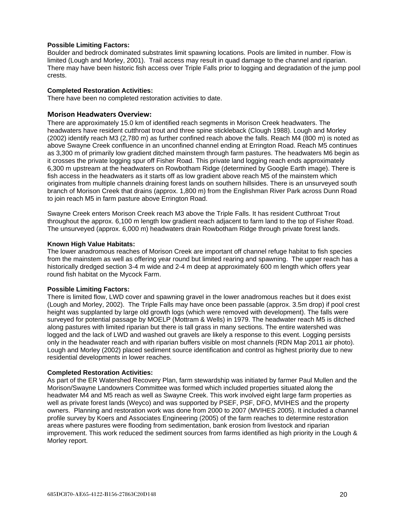#### **Possible Limiting Factors:**

Boulder and bedrock dominated substrates limit spawning locations. Pools are limited in number. Flow is limited (Lough and Morley, 2001). Trail access may result in quad damage to the channel and riparian. There may have been historic fish access over Triple Falls prior to logging and degradation of the jump pool crests.

#### **Completed Restoration Activities:**

There have been no completed restoration activities to date.

#### <span id="page-19-0"></span>**Morison Headwaters Overview:**

There are approximately 15.0 km of identified reach segments in Morison Creek headwaters. The headwaters have resident cutthroat trout and three spine stickleback (Clough 1988). Lough and Morley (2002) identify reach M3 (2,780 m) as further confined reach above the falls. Reach M4 (800 m) is noted as above Swayne Creek confluence in an unconfined channel ending at Errington Road. Reach M5 continues as 3,300 m of primarily low gradient ditched mainstem through farm pastures. The headwaters M6 begin as it crosses the private logging spur off Fisher Road. This private land logging reach ends approximately 6,300 m upstream at the headwaters on Rowbotham Ridge (determined by Google Earth image). There is fish access in the headwaters as it starts off as low gradient above reach M5 of the mainstem which originates from multiple channels draining forest lands on southern hillsides. There is an unsurveyed south branch of Morison Creek that drains (approx. 1,800 m) from the Englishman River Park across Dunn Road to join reach M5 in farm pasture above Errington Road.

Swayne Creek enters Morison Creek reach M3 above the Triple Falls. It has resident Cutthroat Trout throughout the approx. 6,100 m length low gradient reach adjacent to farm land to the top of Fisher Road. The unsurveyed (approx. 6,000 m) headwaters drain Rowbotham Ridge through private forest lands.

#### **Known High Value Habitats:**

The lower anadromous reaches of Morison Creek are important off channel refuge habitat to fish species from the mainstem as well as offering year round but limited rearing and spawning. The upper reach has a historically dredged section 3-4 m wide and 2-4 m deep at approximately 600 m length which offers year round fish habitat on the Mycock Farm.

#### **Possible Limiting Factors:**

There is limited flow, LWD cover and spawning gravel in the lower anadromous reaches but it does exist (Lough and Morley, 2002). The Triple Falls may have once been passable (approx. 3.5m drop) if pool crest height was supplanted by large old growth logs (which were removed with development). The falls were surveyed for potential passage by MOELP (Mottram & Wells) in 1979. The headwater reach M5 is ditched along pastures with limited riparian but there is tall grass in many sections. The entire watershed was logged and the lack of LWD and washed out gravels are likely a response to this event. Logging persists only in the headwater reach and with riparian buffers visible on most channels (RDN Map 2011 air photo). Lough and Morley (2002) placed sediment source identification and control as highest priority due to new residential developments in lower reaches.

#### **Completed Restoration Activities:**

As part of the ER Watershed Recovery Plan, farm stewardship was initiated by farmer Paul Mullen and the Morison/Swayne Landowners Committee was formed which included properties situated along the headwater M4 and M5 reach as well as Swayne Creek. This work involved eight large farm properties as well as private forest lands (Weyco) and was supported by PSEF, PSF, DFO, MVIHES and the property owners. Planning and restoration work was done from 2000 to 2007 (MVIHES 2005). It included a channel profile survey by Koers and Associates Engineering (2005) of the farm reaches to determine restoration areas where pastures were flooding from sedimentation, bank erosion from livestock and riparian improvement. This work reduced the sediment sources from farms identified as high priority in the Lough & Morley report.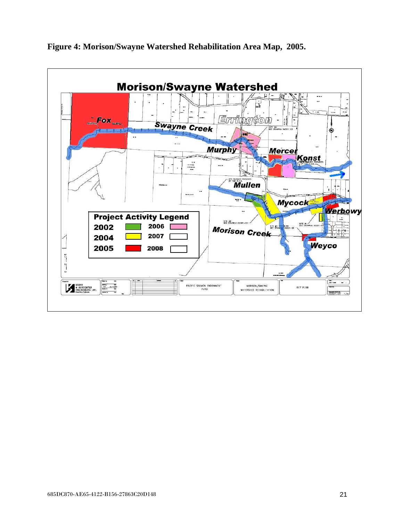

## <span id="page-20-0"></span>**Figure 4: Morison/Swayne Watershed Rehabilitation Area Map, 2005.**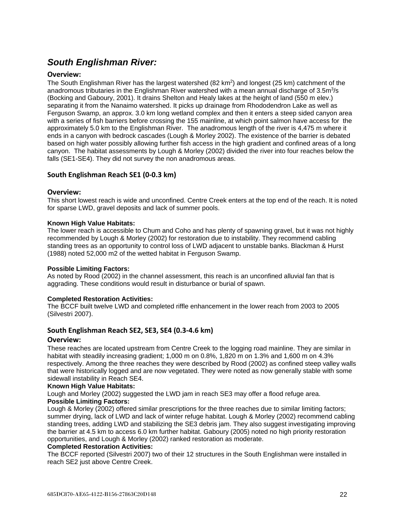# <span id="page-21-0"></span>*South Englishman River:*

#### <span id="page-21-1"></span>**Overview:**

The South Englishman River has the largest watershed (82 km<sup>2</sup>) and longest (25 km) catchment of the anadromous tributaries in the Englishman River watershed with a mean annual discharge of 3.5m<sup>3</sup>/s (Bocking and Gaboury, 2001). It drains Shelton and Healy lakes at the height of land (550 m elev.) separating it from the Nanaimo watershed. It picks up drainage from Rhododendron Lake as well as Ferguson Swamp, an approx. 3.0 km long wetland complex and then it enters a steep sided canyon area with a series of fish barriers before crossing the 155 mainline, at which point salmon have access for the approximately 5.0 km to the Englishman River. The anadromous length of the river is 4,475 m where it ends in a canyon with bedrock cascades (Lough & Morley 2002). The existence of the barrier is debated based on high water possibly allowing further fish access in the high gradient and confined areas of a long canyon. The habitat assessments by Lough & Morley (2002) divided the river into four reaches below the falls (SE1-SE4). They did not survey the non anadromous areas.

#### <span id="page-21-2"></span>**South Englishman Reach SE1 (0-0.3 km)**

#### <span id="page-21-3"></span>**Overview:**

This short lowest reach is wide and unconfined. Centre Creek enters at the top end of the reach. It is noted for sparse LWD, gravel deposits and lack of summer pools.

#### **Known High Value Habitats:**

The lower reach is accessible to Chum and Coho and has plenty of spawning gravel, but it was not highly recommended by Lough & Morley (2002) for restoration due to instability. They recommend cabling standing trees as an opportunity to control loss of LWD adjacent to unstable banks. Blackman & Hurst (1988) noted 52,000 m2 of the wetted habitat in Ferguson Swamp.

#### **Possible Limiting Factors:**

As noted by Rood (2002) in the channel assessment, this reach is an unconfined alluvial fan that is aggrading. These conditions would result in disturbance or burial of spawn.

#### **Completed Restoration Activities:**

The BCCF built twelve LWD and completed riffle enhancement in the lower reach from 2003 to 2005 (Silvestri 2007).

#### <span id="page-21-4"></span>**South Englishman Reach SE2, SE3, SE4 (0.3-4.6 km)**

#### <span id="page-21-5"></span>**Overview:**

These reaches are located upstream from Centre Creek to the logging road mainline. They are similar in habitat with steadily increasing gradient; 1,000 m on 0.8%, 1,820 m on 1,3% and 1,600 m on 4,3% respectively. Among the three reaches they were described by Rood (2002) as confined steep valley walls that were historically logged and are now vegetated. They were noted as now generally stable with some sidewall instability in Reach SE4.

#### **Known High Value Habitats:**

Lough and Morley (2002) suggested the LWD jam in reach SE3 may offer a flood refuge area. **Possible Limiting Factors:**

Lough & Morley (2002) offered similar prescriptions for the three reaches due to similar limiting factors; summer drying, lack of LWD and lack of winter refuge habitat. Lough & Morley (2002) recommend cabling standing trees, adding LWD and stabilizing the SE3 debris jam. They also suggest investigating improving the barrier at 4.5 km to access 6.0 km further habitat. Gaboury (2005) noted no high priority restoration opportunities, and Lough & Morley (2002) ranked restoration as moderate.

#### **Completed Restoration Activities:**

The BCCF reported (Silvestri 2007) two of their 12 structures in the South Englishman were installed in reach SE2 just above Centre Creek.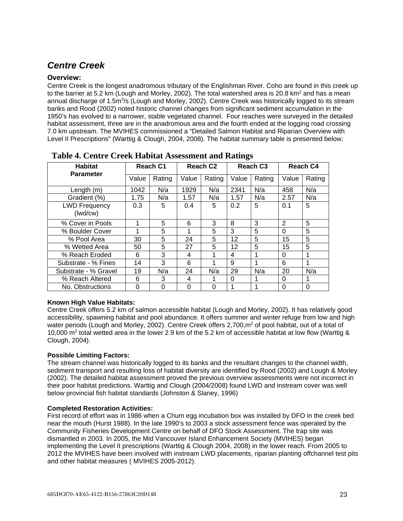# <span id="page-22-0"></span>*Centre Creek*

#### <span id="page-22-1"></span>**Overview:**

Centre Creek is the longest anadromous tributary of the Englishman River. Coho are found in this creek up to the barrier at 5.2 km (Lough and Morley, 2002). The total watershed area is 20.8 km<sup>2</sup> and has a mean annual discharge of 1.5m<sup>3</sup>/s (Lough and Morley, 2002). Centre Creek was historically logged to its stream banks and Rood (2002) noted historic channel changes from significant sediment accumulation in the 1950's has evolved to a narrower, stable vegetated channel. Four reaches were surveyed in the detailed habitat assessment, three are in the anadromous area and the fourth ended at the logging road crossing 7.0 km upstream. The MVIHES commissioned a "Detailed Salmon Habitat and Riparian Overview with Level II Prescriptions" (Warttig & Clough, 2004, 2008). The habitat summary table is presented below;

| <b>Habitat</b>                   | Reach C1 |          |          | Reach C <sub>2</sub> |       | Reach C <sub>3</sub> |                | Reach C4 |  |
|----------------------------------|----------|----------|----------|----------------------|-------|----------------------|----------------|----------|--|
| <b>Parameter</b>                 | Value    | Rating   | Value    | Rating               | Value | Rating               | Value          | Rating   |  |
| Length $(m)$                     | 1042     | N/a      | 1929     | N/a                  | 2341  | N/a                  | 458            | N/a      |  |
| Gradient (%)                     | 1.75     | N/a      | 1.57     | N/a                  | 1.57  | N/a                  | 2.57           | N/a      |  |
| <b>LWD Frequency</b><br>(lwd/cw) | 0.3      | 5        | 0.4      | 5                    | 0.2   | 5                    | 0.1            | 5        |  |
| % Cover in Pools                 |          | 5        | 6        | 3                    | 8     | 3                    | $\overline{2}$ | 5        |  |
| % Boulder Cover                  | 1        | 5        | 1        | 5                    | 3     | 5                    | $\Omega$       | 5        |  |
| % Pool Area                      | 30       | 5        | 24       | 5                    | 12    | 5                    | 15             | 5        |  |
| % Wetted Area                    | 50       | 5        | 27       | 5                    | 12    | 5                    | 15             | 5        |  |
| % Reach Eroded                   | 6        | 3        | 4        | 1                    | 4     | 1                    | $\Omega$       |          |  |
| Substrate - % Fines              | 14       | 3        | 6        | 1                    | 9     | 1                    | 6              | 1        |  |
| Substrate - % Gravel             | 19       | N/a      | 24       | N/a                  | 29    | N/a                  | 20             | N/a      |  |
| % Reach Altered                  | 6        | 3        | 4        |                      | 0     | 1                    | $\Omega$       |          |  |
| No. Obstructions                 | 0        | $\Omega$ | $\Omega$ | $\Omega$             |       | 1                    | $\Omega$       | $\Omega$ |  |

<span id="page-22-2"></span> **Table 4. Centre Creek Habitat Assessment and Ratings** 

#### **Known High Value Habitats:**

Centre Creek offers 5.2 km of salmon accessible habitat (Lough and Morley, 2002). It has relatively good accessibility, spawning habitat and pool abundance. It offers summer and winter refuge from low and high water periods (Lough and Morley, 2002). Centre Creek offers 2,700,m<sup>2</sup> of pool habitat, out of a total of 10,000 m2 total wetted area in the lower 2.9 km of the 5.2 km of accessible habitat at low flow (Warttig & Clough, 2004).

### **Possible Limiting Factors:**

The stream channel was historically logged to its banks and the resultant changes to the channel width, sediment transport and resulting loss of habitat diversity are identified by Rood (2002) and Lough & Morley (2002). The detailed habitat assessment proved the previous overview assessments were not incorrect in their poor habitat predictions. Warttig and Clough (2004/2008) found LWD and instream cover was well below provincial fish habitat standards (Johnston & Slaney, 1996)

#### **Completed Restoration Activities:**

First record of effort was in 1986 when a Chum egg incubation box was installed by DFO in the creek bed near the mouth (Hurst 1988). In the late 1990's to 2003 a stock assessment fence was operated by the Community Fisheries Development Centre on behalf of DFO Stock Assessment. The trap site was dismantled in 2003. In 2005, the Mid Vancouver Island Enhancement Society (MVIHES) began implementing the Level II prescriptions (Warttig & Clough 2004, 2008) in the lower reach. From 2005 to 2012 the MVIHES have been involved with instream LWD placements, riparian planting offchannel test pits and other habitat measures ( MVIHES 2005-2012).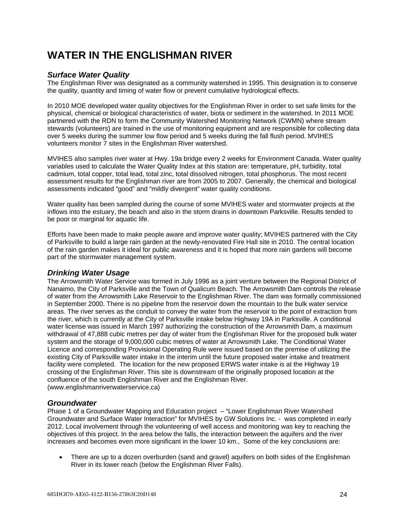# **WATER IN THE ENGLISHMAN RIVER**

### *Surface Water Quality*

The Englishman River was designated as a community watershed in 1995. This designation is to conserve the quality, quantity and timing of water flow or prevent cumulative hydrological effects.

In 2010 MOE developed water quality objectives for the Englishman River in order to set safe limits for the physical, chemical or biological characteristics of water, biota or sediment in the watershed. In 2011 MOE partnered with the RDN to form the Community Watershed Monitoring Network (CWMN) where stream stewards (volunteers) are trained in the use of monitoring equipment and are responsible for collecting data over 5 weeks during the summer low flow period and 5 weeks during the fall flush period. MVIHES volunteers monitor 7 sites in the Englishman River watershed.

MVIHES also samples river water at Hwy. 19a bridge every 2 weeks for Environment Canada. Water quality variables used to calculate the Water Quality Index at this station are: temperature, pH, turbidity, total cadmium, total copper, total lead, total zinc, total dissolved nitrogen, total phosphorus. The most recent assessment results for the Englishman river are from 2005 to 2007. Generally, the chemical and biological assessments indicated "good" and "mildly divergent" water quality conditions.

Water quality has been sampled during the course of some MVIHES water and stormwater projects at the inflows into the estuary, the beach and also in the storm drains in downtown Parksville. Results tended to be poor or marginal for aquatic life.

Efforts have been made to make people aware and improve water quality; MVIHES partnered with the City of Parksville to build a large rain garden at the newly-renovated Fire Hall site in 2010. The central location of the rain garden makes it ideal for public awareness and it is hoped that more rain gardens will become part of the stormwater management system.

### *Drinking Water Usage*

The Arrowsmith Water Service was formed in July 1996 as a joint venture between the Regional District of Nanaimo, the City of Parksville and the Town of Qualicum Beach. The Arrowsmith Dam controls the release of water from the Arrowsmith Lake Reservoir to the Englishman River. The dam was formally commissioned in September 2000. There is no pipeline from the reservoir down the mountain to the bulk water service areas. The river serves as the conduit to convey the water from the reservoir to the point of extraction from the river, which is currently at the City of Parksville intake below Highway 19A in Parksville. A conditional water license was issued in March 1997 authorizing the construction of the Arrowsmith Dam, a maximum withdrawal of 47,888 cubic metres per day of water from the Englishman River for the proposed bulk water system and the storage of 9,000,000 cubic metres of water at Arrowsmith Lake. The Conditional Water Licence and corresponding Provisional Operating Rule were issued based on the premise of utilizing the existing City of Parksville water intake in the interim until the future proposed water intake and treatment facility were completed. The location for the new proposed ERWS water intake is at the Highway 19 crossing of the Englishman River. This site is downstream of the originally proposed location at the confluence of the south Englishman River and the Englishman River. (www.englishmanriverwaterservice.ca)

### *Groundwater*

Phase 1 of a Groundwater Mapping and Education project – "Lower Englishman River Watershed Groundwater and Surface Water Interaction" for MVIHES by GW Solutions Inc. - was completed in early 2012. Local involvement through the volunteering of well access and monitoring was key to reaching the objectives of this project. In the area below the falls, the interaction between the aquifers and the river increases and becomes even more significant in the lower 10 km., Some of the key conclusions are:

• There are up to a dozen overburden (sand and gravel) aquifers on both sides of the Englishman River in its lower reach (below the Englishman River Falls).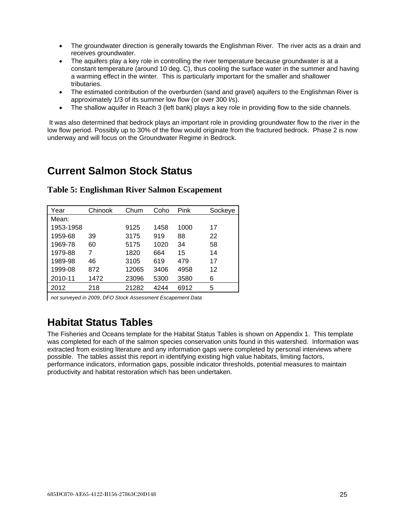- The groundwater direction is generally towards the Englishman River. The river acts as a drain and receives groundwater.
- The aquifers play a key role in controlling the river temperature because groundwater is at a constant temperature (around 10 deg. C), thus cooling the surface water in the summer and having a warming effect in the winter. This is particularly important for the smaller and shallower tributaries.
- The estimated contribution of the overburden (sand and gravel) aquifers to the Englishman River is approximately 1/3 of its summer low flow (or over 300 l/s).
- The shallow aquifer in Reach 3 (left bank) plays a key role in providing flow to the side channels.

It was also determined that bedrock plays an important role in providing groundwater flow to the river in the low flow period. Possibly up to 30% of the flow would originate from the fractured bedrock. Phase 2 is now underway and will focus on the Groundwater Regime in Bedrock.

# <span id="page-24-0"></span>**Current Salmon Stock Status**

| Year      | Chinook | Chum  | Coho | Pink | Sockeye |
|-----------|---------|-------|------|------|---------|
| Mean:     |         |       |      |      |         |
| 1953-1958 |         | 9125  | 1458 | 1000 | 17      |
| 1959-68   | 39      | 3175  | 919  | 88   | 22      |
| 1969-78   | 60      | 5175  | 1020 | 34   | 58      |
| 1979-88   | 7       | 1820  | 664  | 15   | 14      |
| 1989-98   | 46      | 3105  | 619  | 479  | 17      |
| 1999-08   | 872     | 12065 | 3406 | 4958 | 12      |
| 2010-11   | 1472    | 23096 | 5300 | 3580 | 6       |
| 2012      | 218     | 21282 | 4244 | 6912 | 5       |

#### <span id="page-24-1"></span>**Table 5: Englishman River Salmon Escapement**

*not surveyed in 2009, DFO Stock Assessment Escapement Data*

# <span id="page-24-2"></span>**Habitat Status Tables**

The Fisheries and Oceans template for the Habitat Status Tables is shown on Appendix 1. This template was completed for each of the salmon species conservation units found in this watershed. Information was extracted from existing literature and any information gaps were completed by personal interviews where possible. The tables assist this report in identifying existing high value habitats, limiting factors, performance indicators, information gaps, possible indicator thresholds, potential measures to maintain productivity and habitat restoration which has been undertaken.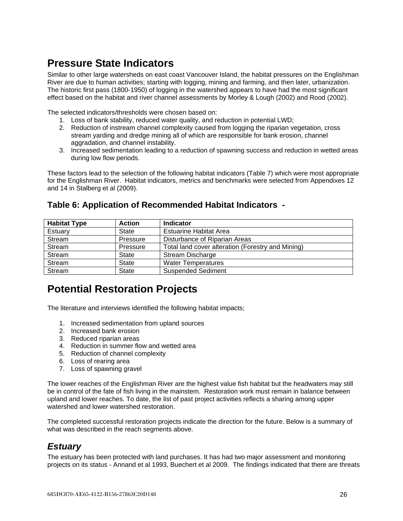# <span id="page-25-0"></span>**Pressure State Indicators**

Similar to other large watersheds on east coast Vancouver Island, the habitat pressures on the Englishman River are due to human activities; starting with logging, mining and farming, and then later, urbanization. The historic first pass (1800-1950) of logging in the watershed appears to have had the most significant effect based on the habitat and river channel assessments by Morley & Lough (2002) and Rood (2002).

The selected indicators/thresholds were chosen based on:

- 1. Loss of bank stability, reduced water quality, and reduction in potential LWD;
- 2. Reduction of instream channel complexity caused from logging the riparian vegetation, cross stream yarding and dredge mining all of which are responsible for bank erosion, channel aggradation, and channel instability.
- 3. Increased sedimentation leading to a reduction of spawning success and reduction in wetted areas during low flow periods.

These factors lead to the selection of the following habitat indicators (Table 7) which were most appropriate for the Englishman River. Habitat indicators, metrics and benchmarks were selected from Appendixes 12 and 14 in Stalberg et al (2009).

| <b>Habitat Type</b> | <b>Action</b> | <b>Indicator</b>                                  |
|---------------------|---------------|---------------------------------------------------|
| Estuary             | <b>State</b>  | <b>Estuarine Habitat Area</b>                     |
| Stream              | Pressure      | Disturbance of Riparian Areas                     |
| Stream              | Pressure      | Total land cover alteration (Forestry and Mining) |
| Stream              | <b>State</b>  | Stream Discharge                                  |
| Stream              | <b>State</b>  | <b>Water Temperatures</b>                         |
| Stream              | <b>State</b>  | <b>Suspended Sediment</b>                         |

## <span id="page-25-1"></span>**Table 6: Application of Recommended Habitat Indicators -**

# <span id="page-25-2"></span>**Potential Restoration Projects**

The literature and interviews identified the following habitat impacts;

- 1. Increased sedimentation from upland sources
- 2. Increased bank erosion
- 3. Reduced riparian areas
- 4. Reduction in summer flow and wetted area
- 5. Reduction of channel complexity
- 6. Loss of rearing area
- 7. Loss of spawning gravel

The lower reaches of the Englishman River are the highest value fish habitat but the headwaters may still be in control of the fate of fish living in the mainstem. Restoration work must remain in balance between upland and lower reaches. To date, the list of past project activities reflects a sharing among upper watershed and lower watershed restoration.

The completed successful restoration projects indicate the direction for the future. Below is a summary of what was described in the reach segments above.

## <span id="page-25-3"></span>*Estuary*

The estuary has been protected with land purchases. It has had two major assessment and monitoring projects on its status - Annand et al 1993, Buechert et al 2009. The findings indicated that there are threats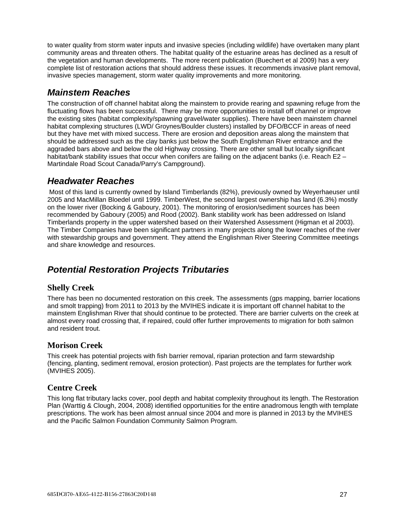to water quality from storm water inputs and invasive species (including wildlife) have overtaken many plant community areas and threaten others. The habitat quality of the estuarine areas has declined as a result of the vegetation and human developments. The more recent publication (Buechert et al 2009) has a very complete list of restoration actions that should address these issues. It recommends invasive plant removal, invasive species management, storm water quality improvements and more monitoring.

# <span id="page-26-0"></span>*Mainstem Reaches*

The construction of off channel habitat along the mainstem to provide rearing and spawning refuge from the fluctuating flows has been successful. There may be more opportunities to install off channel or improve the existing sites (habitat complexity/spawning gravel/water supplies). There have been mainstem channel habitat complexing structures (LWD/ Groynes/Boulder clusters) installed by DFO/BCCF in areas of need but they have met with mixed success. There are erosion and deposition areas along the mainstem that should be addressed such as the clay banks just below the South Englishman River entrance and the aggraded bars above and below the old Highway crossing. There are other small but locally significant habitat/bank stability issues that occur when conifers are failing on the adiacent banks (i.e. Reach E2 – Martindale Road Scout Canada/Parry's Campground).

## <span id="page-26-1"></span>*Headwater Reaches*

Most of this land is currently owned by Island Timberlands (82%), previously owned by Weyerhaeuser until 2005 and MacMillan Bloedel until 1999. TimberWest, the second largest ownership has land (6.3%) mostly on the lower river (Bocking & Gaboury, 2001). The monitoring of erosion/sediment sources has been recommended by Gaboury (2005) and Rood (2002). Bank stability work has been addressed on Island Timberlands property in the upper watershed based on their Watershed Assessment (Higman et al 2003). The Timber Companies have been significant partners in many projects along the lower reaches of the river with stewardship groups and government. They attend the Englishman River Steering Committee meetings and share knowledge and resources.

## <span id="page-26-2"></span>*Potential Restoration Projects Tributaries*

## <span id="page-26-3"></span>**Shelly Creek**

There has been no documented restoration on this creek. The assessments (gps mapping, barrier locations and smolt trapping) from 2011 to 2013 by the MVIHES indicate it is important off channel habitat to the mainstem Englishman River that should continue to be protected. There are barrier culverts on the creek at almost every road crossing that, if repaired, could offer further improvements to migration for both salmon and resident trout.

## <span id="page-26-4"></span>**Morison Creek**

This creek has potential projects with fish barrier removal, riparian protection and farm stewardship (fencing, planting, sediment removal, erosion protection). Past projects are the templates for further work (MVIHES 2005).

## <span id="page-26-5"></span>**Centre Creek**

This long flat tributary lacks cover, pool depth and habitat complexity throughout its length. The Restoration Plan (Warttig & Clough, 2004, 2008) identified opportunities for the entire anadromous length with template prescriptions. The work has been almost annual since 2004 and more is planned in 2013 by the MVIHES and the Pacific Salmon Foundation Community Salmon Program.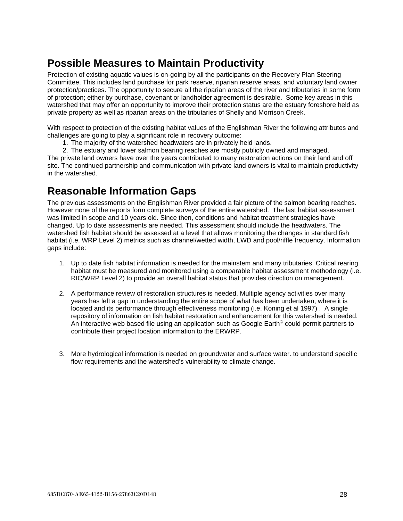# <span id="page-27-0"></span>**Possible Measures to Maintain Productivity**

Protection of existing aquatic values is on-going by all the participants on the Recovery Plan Steering Committee. This includes land purchase for park reserve, riparian reserve areas, and voluntary land owner protection/practices. The opportunity to secure all the riparian areas of the river and tributaries in some form of protection; either by purchase, covenant or landholder agreement is desirable. Some key areas in this watershed that may offer an opportunity to improve their protection status are the estuary foreshore held as private property as well as riparian areas on the tributaries of Shelly and Morrison Creek.

With respect to protection of the existing habitat values of the Englishman River the following attributes and challenges are going to play a significant role in recovery outcome:

1. The majority of the watershed headwaters are in privately held lands.

2. The estuary and lower salmon bearing reaches are mostly publicly owned and managed. The private land owners have over the years contributed to many restoration actions on their land and off site. The continued partnership and communication with private land owners is vital to maintain productivity in the watershed.

# <span id="page-27-1"></span>**Reasonable Information Gaps**

The previous assessments on the Englishman River provided a fair picture of the salmon bearing reaches. However none of the reports form complete surveys of the entire watershed. The last habitat assessment was limited in scope and 10 years old. Since then, conditions and habitat treatment strategies have changed. Up to date assessments are needed. This assessment should include the headwaters. The watershed fish habitat should be assessed at a level that allows monitoring the changes in standard fish habitat (i.e. WRP Level 2) metrics such as channel/wetted width, LWD and pool/riffle frequency. Information gaps include:

- 1. Up to date fish habitat information is needed for the mainstem and many tributaries. Critical rearing habitat must be measured and monitored using a comparable habitat assessment methodology (i.e. RIC/WRP Level 2) to provide an overall habitat status that provides direction on management.
- 2. A performance review of restoration structures is needed. Multiple agency activities over many years has left a gap in understanding the entire scope of what has been undertaken, where it is located and its performance through effectiveness monitoring (i.e. Koning et al 1997) . A single repository of information on fish habitat restoration and enhancement for this watershed is needed. An interactive web based file using an application such as Google Earth<sup>®</sup> could permit partners to contribute their project location information to the ERWRP.
- 3. More hydrological information is needed on groundwater and surface water. to understand specific flow requirements and the watershed's vulnerability to climate change.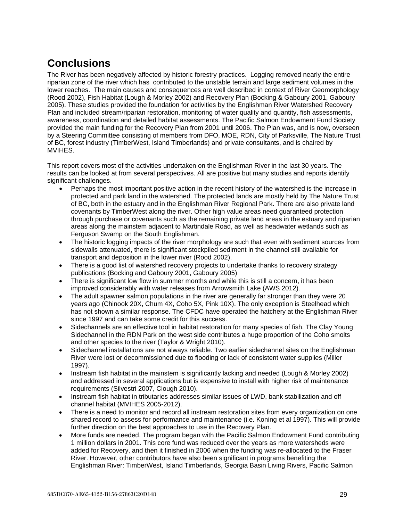# <span id="page-28-0"></span>**Conclusions**

The River has been negatively affected by historic forestry practices. Logging removed nearly the entire riparian zone of the river which has contributed to the unstable terrain and large sediment volumes in the lower reaches. The main causes and consequences are well described in context of River Geomorphology (Rood 2002), Fish Habitat (Lough & Morley 2002) and Recovery Plan (Bocking & Gaboury 2001, Gaboury 2005). These studies provided the foundation for activities by the Englishman River Watershed Recovery Plan and included stream/riparian restoration, monitoring of water quality and quantity, fish assessments, awareness, coordination and detailed habitat assessments. The Pacific Salmon Endowment Fund Society provided the main funding for the Recovery Plan from 2001 until 2006. The Plan was, and is now, overseen by a Steering Committee consisting of members from DFO, MOE, RDN, City of Parksville, The Nature Trust of BC, forest industry (TimberWest, Island Timberlands) and private consultants, and is chaired by MVIHES.

This report covers most of the activities undertaken on the Englishman River in the last 30 years. The results can be looked at from several perspectives. All are positive but many studies and reports identify significant challenges.

- Perhaps the most important positive action in the recent history of the watershed is the increase in protected and park land in the watershed. The protected lands are mostly held by The Nature Trust of BC, both in the estuary and in the Englishman River Regional Park. There are also private land covenants by TimberWest along the river. Other high value areas need guaranteed protection through purchase or covenants such as the remaining private land areas in the estuary and riparian areas along the mainstem adjacent to Martindale Road, as well as headwater wetlands such as Ferguson Swamp on the South Englishman.
- The historic logging impacts of the river morphology are such that even with sediment sources from sidewalls attenuated, there is significant stockpiled sediment in the channel still available for transport and deposition in the lower river (Rood 2002).
- There is a good list of watershed recovery projects to undertake thanks to recovery strategy publications (Bocking and Gaboury 2001, Gaboury 2005)
- There is significant low flow in summer months and while this is still a concern, it has been improved considerably with water releases from Arrowsmith Lake (AWS 2012).
- The adult spawner salmon populations in the river are generally far stronger than they were 20 years ago (Chinook 20X, Chum 4X, Coho 5X, Pink 10X). The only exception is Steelhead which has not shown a similar response. The CFDC have operated the hatchery at the Englishman River since 1997 and can take some credit for this success.
- Sidechannels are an effective tool in habitat restoration for many species of fish. The Clay Young Sidechannel in the RDN Park on the west side contributes a huge proportion of the Coho smolts and other species to the river (Taylor & Wright 2010).
- Sidechannel installations are not always reliable. Two earlier sidechannel sites on the Englishman River were lost or decommissioned due to flooding or lack of consistent water supplies (Miller 1997).
- Instream fish habitat in the mainstem is significantly lacking and needed (Lough & Morley 2002) and addressed in several applications but is expensive to install with higher risk of maintenance requirements (Silvestri 2007, Clough 2010).
- Instream fish habitat in tributaries addresses similar issues of LWD, bank stabilization and off channel habitat (MVIHES 2005-2012).
- There is a need to monitor and record all instream restoration sites from every organization on one shared record to assess for performance and maintenance (i.e. Koning et al 1997). This will provide further direction on the best approaches to use in the Recovery Plan.
- More funds are needed. The program began with the Pacific Salmon Endowment Fund contributing 1 million dollars in 2001. This core fund was reduced over the years as more watersheds were added for Recovery, and then it finished in 2006 when the funding was re-allocated to the Fraser River. However, other contributors have also been significant in programs benefiting the Englishman River: TimberWest, Island Timberlands, Georgia Basin Living Rivers, Pacific Salmon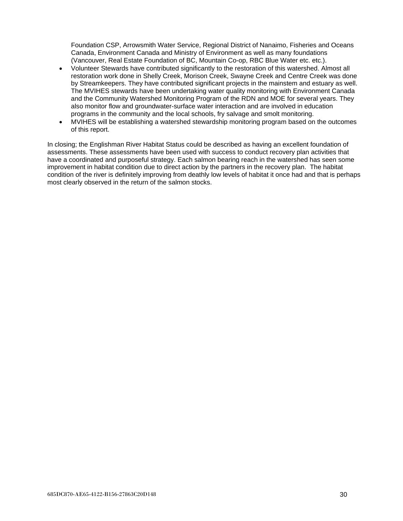Foundation CSP, Arrowsmith Water Service, Regional District of Nanaimo, Fisheries and Oceans Canada, Environment Canada and Ministry of Environment as well as many foundations (Vancouver, Real Estate Foundation of BC, Mountain Co-op, RBC Blue Water etc. etc.).

- Volunteer Stewards have contributed significantly to the restoration of this watershed. Almost all restoration work done in Shelly Creek, Morison Creek, Swayne Creek and Centre Creek was done by Streamkeepers. They have contributed significant projects in the mainstem and estuary as well. The MVIHES stewards have been undertaking water quality monitoring with Environment Canada and the Community Watershed Monitoring Program of the RDN and MOE for several years. They also monitor flow and groundwater-surface water interaction and are involved in education programs in the community and the local schools, fry salvage and smolt monitoring.
- MVIHES will be establishing a watershed stewardship monitoring program based on the outcomes of this report.

In closing; the Englishman River Habitat Status could be described as having an excellent foundation of assessments. These assessments have been used with success to conduct recovery plan activities that have a coordinated and purposeful strategy. Each salmon bearing reach in the watershed has seen some improvement in habitat condition due to direct action by the partners in the recovery plan. The habitat condition of the river is definitely improving from deathly low levels of habitat it once had and that is perhaps most clearly observed in the return of the salmon stocks.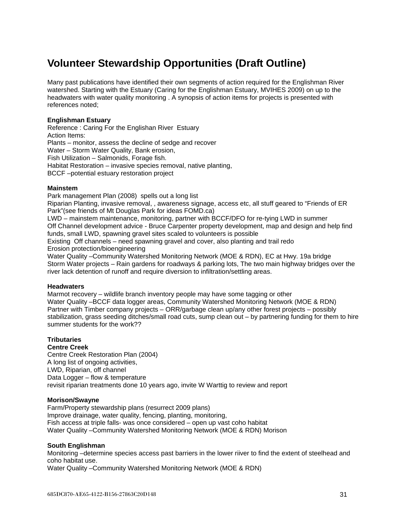# <span id="page-30-0"></span>**Volunteer Stewardship Opportunities (Draft Outline)**

Many past publications have identified their own segments of action required for the Englishman River watershed. Starting with the Estuary (Caring for the Englishman Estuary, MVIHES 2009) on up to the headwaters with water quality monitoring . A synopsis of action items for projects is presented with references noted;

#### **Englishman Estuary**

Reference : Caring For the Englishan River Estuary Action Items: Plants – monitor, assess the decline of sedge and recover Water – Storm Water Quality, Bank erosion, Fish Utilization – Salmonids, Forage fish. Habitat Restoration – invasive species removal, native planting, BCCF –potential estuary restoration project

#### **Mainstem**

Park management Plan (2008) spells out a long list

Riparian Planting, invasive removal, , awareness signage, access etc, all stuff geared to "Friends of ER Park"(see friends of Mt Douglas Park for ideas FOMD.ca)

LWD – mainstem maintenance, monitoring, partner with BCCF/DFO for re-tying LWD in summer Off Channel development advice - Bruce Carpenter property development, map and design and help find funds, small LWD, spawning gravel sites scaled to volunteers is possible

Existing Off channels – need spawning gravel and cover, also planting and trail redo Erosion protection/bioengineering

Water Quality –Community Watershed Monitoring Network (MOE & RDN), EC at Hwy. 19a bridge Storm Water projects – Rain gardens for roadways & parking lots, The two main highway bridges over the river lack detention of runoff and require diversion to infiltration/settling areas.

#### **Headwaters**

Marmot recovery – wildlife branch inventory people may have some tagging or other Water Quality –BCCF data logger areas, Community Watershed Monitoring Network (MOE & RDN) Partner with Timber company projects – ORR/garbage clean up/any other forest projects – possibly stabilization, grass seeding ditches/small road cuts, sump clean out – by partnering funding for them to hire summer students for the work??

#### **Tributaries**

#### **Centre Creek**

Centre Creek Restoration Plan (2004) A long list of ongoing activities, LWD, Riparian, off channel Data Logger – flow & temperature revisit riparian treatments done 10 years ago, invite W Warttig to review and report

#### **Morison/Swayne**

Farm/Property stewardship plans (resurrect 2009 plans) Improve drainage, water quality, fencing, planting, monitoring, Fish access at triple falls- was once considered – open up vast coho habitat Water Quality –Community Watershed Monitoring Network (MOE & RDN) Morison

#### **South Englishman**

Monitoring –determine species access past barriers in the lower riiver to find the extent of steelhead and coho habitat use.

Water Quality –Community Watershed Monitoring Network (MOE & RDN)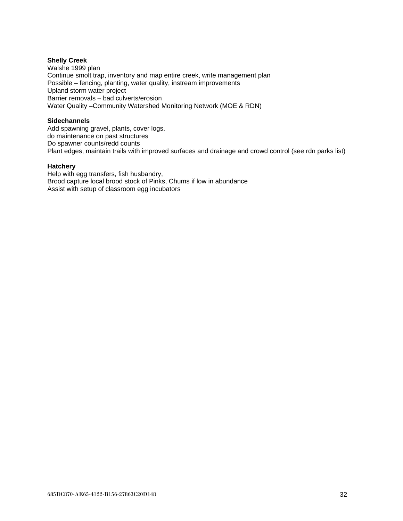#### **Shelly Creek**

Walshe 1999 plan Continue smolt trap, inventory and map entire creek, write management plan Possible – fencing, planting, water quality, instream improvements Upland storm water project Barrier removals – bad culverts/erosion Water Quality –Community Watershed Monitoring Network (MOE & RDN)

#### **Sidechannels**

Add spawning gravel, plants, cover logs, do maintenance on past structures Do spawner counts/redd counts Plant edges, maintain trails with improved surfaces and drainage and crowd control (see rdn parks list)

#### **Hatchery**

Help with egg transfers, fish husbandry, Brood capture local brood stock of Pinks, Chums if low in abundance Assist with setup of classroom egg incubators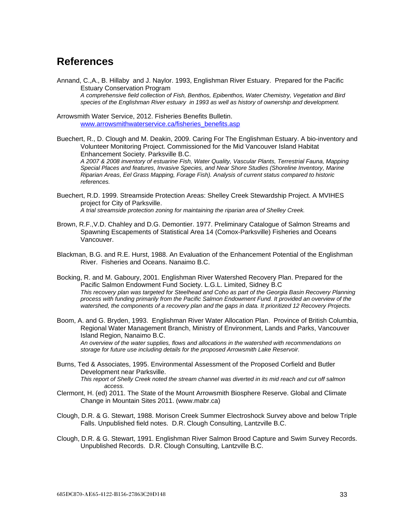# <span id="page-32-0"></span>**References**

Annand, C.,A., B. Hillaby and J. Naylor. 1993, Englishman River Estuary. Prepared for the Pacific Estuary Conservation Program *A comprehensive field collection of Fish, Benthos, Epibenthos, Water Chemistry, Vegetation and Bird species of the Englishman River estuary in 1993 as well as history of ownership and development.* 

Arrowsmith Water Service, 2012. Fisheries Benefits Bulletin. [www.arrowsmithwaterservice.ca/fisheries\\_benefits.asp](http://www.arrowsmithwaterservice.ca/fisheries_benefits.asp)

Buechert, R., D. Clough and M. Deakin, 2009. Caring For The Englishman Estuary. A bio-inventory and Volunteer Monitoring Project. Commissioned for the Mid Vancouver Island Habitat Enhancement Society. Parksville B.C.

*A 2007 & 2008 inventory of estuarine Fish, Water Quality, Vascular Plants, Terrestrial Fauna, Mapping Special Places and features, Invasive Species, and Near Shore Studies (Shoreline Inventory, Marine Riparian Areas, Eel Grass Mapping, Forage Fish). Analysis of current status compared to historic references.*

- Buechert, R.D. 1999. Streamside Protection Areas: Shelley Creek Stewardship Project. A MVIHES project for City of Parksville. *A trial streamside protection zoning for maintaining the riparian area of Shelley Creek.*
- Brown, R.F.,V.D. Chahley and D.G. Demontier. 1977. Preliminary Catalogue of Salmon Streams and Spawning Escapements of Statistical Area 14 (Comox-Parksville) Fisheries and Oceans Vancouver.
- Blackman, B.G. and R.E. Hurst, 1988. An Evaluation of the Enhancement Potential of the Englishman River. Fisheries and Oceans. Nanaimo B.C.
- Bocking, R. and M. Gaboury, 2001. Englishman River Watershed Recovery Plan. Prepared for the Pacific Salmon Endowment Fund Society. L.G.L. Limited, Sidney B.C *This recovery plan was targeted for Steelhead and Coho as part of the Georgia Basin Recovery Planning process with funding primarily from the Pacific Salmon Endowment Fund. It provided an overview of the watershed, the components of a recovery plan and the gaps in data. It prioritized 12 Recovery Projects.*
- Boom, A. and G. Bryden, 1993. Englishman River Water Allocation Plan. Province of British Columbia, Regional Water Management Branch, Ministry of Environment, Lands and Parks, Vancouver Island Region, Nanaimo B.C. *An overview of the water supplies, flows and allocations in the watershed with recommendations on storage for future use including details for the proposed Arrowsmith Lake Reservoir.*
- Burns, Ted & Associates, 1995. Environmental Assessment of the Proposed Corfield and Butler Development near Parksville.

*This report of Shelly Creek noted the stream channel was diverted in its mid reach and cut off salmon access.*

- Clermont, H. (ed) 2011. The State of the Mount Arrowsmith Biosphere Reserve. Global and Climate Change in Mountain Sites 2011. (www.mabr.ca)
- Clough, D.R. & G. Stewart, 1988. Morison Creek Summer Electroshock Survey above and below Triple Falls. Unpublished field notes. D.R. Clough Consulting, Lantzville B.C.
- Clough, D.R. & G. Stewart, 1991. Englishman River Salmon Brood Capture and Swim Survey Records. Unpublished Records. D.R. Clough Consulting, Lantzville B.C.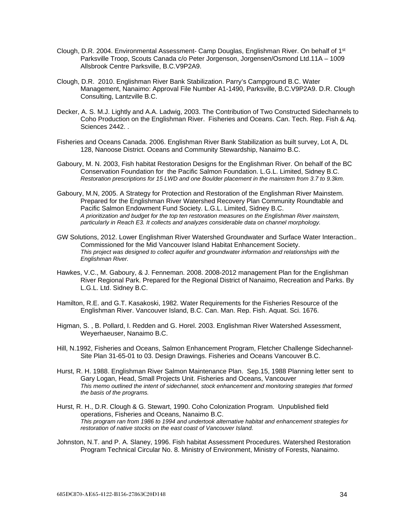- Clough, D.R. 2004. Environmental Assessment- Camp Douglas, Englishman River. On behalf of 1<sup>st</sup> Parksville Troop, Scouts Canada c/o Peter Jorgenson, Jorgensen/Osmond Ltd.11A – 1009 Allsbrook Centre Parksville, B.C.V9P2A9.
- Clough, D.R. 2010. Englishman River Bank Stabilization. Parry's Campground B.C. Water Management, Nanaimo: Approval File Number A1-1490, Parksville, B.C.V9P2A9. D.R. Clough Consulting, Lantzville B.C.
- Decker, A. S. M.J. Lightly and A.A. Ladwig, 2003. The Contribution of Two Constructed Sidechannels to Coho Production on the Englishman River. Fisheries and Oceans. Can. Tech. Rep. Fish & Aq. Sciences 2442. .
- Fisheries and Oceans Canada. 2006. Englishman River Bank Stabilization as built survey, Lot A, DL 128, Nanoose District. Oceans and Community Stewardship, Nanaimo B.C.
- Gaboury, M. N. 2003, Fish habitat Restoration Designs for the Englishman River. On behalf of the BC Conservation Foundation for the Pacific Salmon Foundation. L.G.L. Limited, Sidney B.C. *Restoration prescriptions for 15 LWD and one Boulder placement in the mainstem from 3.7 to 9.3km.*
- Gaboury, M.N, 2005. A Strategy for Protection and Restoration of the Englishman River Mainstem. Prepared for the Englishman River Watershed Recovery Plan Community Roundtable and Pacific Salmon Endowment Fund Society. L.G.L. Limited, Sidney B.C. *A prioritization and budget for the top ten restoration measures on the Englishman River mainstem, particularly in Reach E3. It collects and analyzes considerable data on channel morphology.*
- GW Solutions, 2012. Lower Englishman River Watershed Groundwater and Surface Water Interaction.. Commissioned for the Mid Vancouver Island Habitat Enhancement Society. *This project was designed to collect aquifer and groundwater information and relationships with the Englishman River.*
- Hawkes, V.C., M. Gaboury, & J. Fenneman. 2008. 2008-2012 management Plan for the Englishman River Regional Park. Prepared for the Regional District of Nanaimo, Recreation and Parks. By L.G.L. Ltd. Sidney B.C.
- Hamilton, R.E. and G.T. Kasakoski, 1982. Water Requirements for the Fisheries Resource of the Englishman River. Vancouver Island, B.C. Can. Man. Rep. Fish. Aquat. Sci. 1676.
- Higman, S. , B. Pollard, I. Redden and G. Horel. 2003. Englishman River Watershed Assessment, Weyerhaeuser, Nanaimo B.C.
- Hill, N.1992, Fisheries and Oceans, Salmon Enhancement Program, Fletcher Challenge Sidechannel-Site Plan 31-65-01 to 03. Design Drawings. Fisheries and Oceans Vancouver B.C.
- Hurst, R. H. 1988. Englishman River Salmon Maintenance Plan. Sep.15, 1988 Planning letter sent to Gary Logan, Head, Small Projects Unit. Fisheries and Oceans, Vancouver *This memo outlined the intent of sidechannel, stock enhancement and monitoring strategies that formed the basis of the programs.*
- Hurst, R. H., D.R. Clough & G. Stewart, 1990. Coho Colonization Program. Unpublished field operations, Fisheries and Oceans, Nanaimo B.C. *This program ran from 1986 to 1994 and undertook alternative habitat and enhancement strategies for restoration of native stocks on the east coast of Vancouver Island.*
- Johnston, N.T. and P. A. Slaney, 1996. Fish habitat Assessment Procedures. Watershed Restoration Program Technical Circular No. 8. Ministry of Environment, Ministry of Forests, Nanaimo.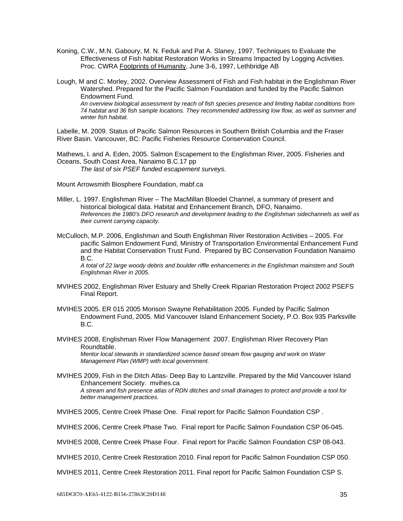- Koning, C.W., M.N. Gaboury, M. N. Feduk and Pat A. Slaney, 1997. Techniques to Evaluate the Effectiveness of Fish habitat Restoration Works in Streams Impacted by Logging Activities. Proc. CWRA Footprints of Humanity, June 3-6, 1997, Lethbridge AB
- Lough, M and C. Morley, 2002. Overview Assessment of Fish and Fish habitat in the Englishman River Watershed. Prepared for the Pacific Salmon Foundation and funded by the Pacific Salmon Endowment Fund. *An overview biological assessment by reach of fish species presence and limiting habitat conditions from 74 habitat and 36 fish sample locations. They recommended addressing low flow, as well as summer and winter fish habitat.*

Labelle, M. 2009. Status of Pacific Salmon Resources in Southern British Columbia and the Fraser River Basin*.* Vancouver, BC: Pacific Fisheries Resource Conservation Council.

Mathews, I. and A. Eden, 2005. Salmon Escapement to the Englishman River, 2005. Fisheries and Oceans, South Coast Area, Nanaimo B.C.17 pp

*The last of six PSEF funded escapement surveys.*

Mount Arrowsmith Biosphere Foundation, mabf.ca

- Miller, L. 1997. Englishman River The MacMillan Bloedel Channel, a summary of present and historical biological data. Habitat and Enhancement Branch, DFO, Nanaimo. *References the 1980's DFO research and development leading to the Englishman sidechannels as well as their current carrying capacity.*
- McCulloch, M.P. 2006, Englishman and South Englishman River Restoration Activities 2005. For pacific Salmon Endowment Fund, Ministry of Transportation Environmental Enhancement Fund and the Habitat Conservation Trust Fund. Prepared by BC Conservation Foundation Nanaimo B.C.

*A total of 22 large woody debris and boulder riffle enhancements in the Englishman mainstem and South Englishman River in 2005.* 

- MVIHES 2002, Englishman River Estuary and Shelly Creek Riparian Restoration Project 2002 PSEFS Final Report.
- MVIHES 2005. ER 015 2005 Morison Swayne Rehabilitation 2005. Funded by Pacific Salmon Endowment Fund, 2005. Mid Vancouver Island Enhancement Society, P.O. Box 935 Parksville B.C.
- MVIHES 2008, Englishman River Flow Management 2007. Englishman River Recovery Plan Roundtable.

*Mentor local stewards in standardized science based stream flow gauging and work on Water Management Plan (WMP) with local government.*

MVIHES 2009, Fish in the Ditch Atlas- Deep Bay to Lantzville. Prepared by the Mid Vancouver Island Enhancement Society. mvihes.ca *A stream and fish presence atlas of RDN ditches and small drainages to protect and provide a tool for better management practices.*

MVIHES 2005, Centre Creek Phase One. Final report for Pacific Salmon Foundation CSP .

MVIHES 2006, Centre Creek Phase Two. Final report for Pacific Salmon Foundation CSP 06-045.

MVIHES 2008, Centre Creek Phase Four. Final report for Pacific Salmon Foundation CSP 08-043.

MVIHES 2010, Centre Creek Restoration 2010. Final report for Pacific Salmon Foundation CSP 050.

MVIHES 2011, Centre Creek Restoration 2011. Final report for Pacific Salmon Foundation CSP S.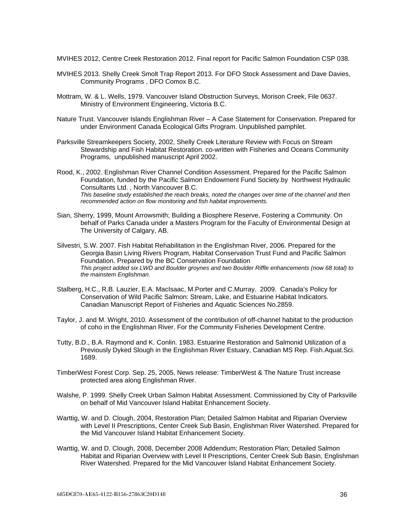MVIHES 2012, Centre Creek Restoration 2012. Final report for Pacific Salmon Foundation CSP 038.

- MVIHES 2013. Shelly Creek Smolt Trap Report 2013. For DFO Stock Assessment and Dave Davies, Community Programs , DFO Comox B.C.
- Mottram, W. & L. Wells, 1979. Vancouver Island Obstruction Surveys, Morison Creek, File 0637. Ministry of Environment Engineering, Victoria B.C.
- Nature Trust. Vancouver Islands Englishman River A Case Statement for Conservation. Prepared for under Environment Canada Ecological Gifts Program. Unpublished pamphlet.
- Parksville Streamkeepers Society, 2002, Shelly Creek Literature Review with Focus on Stream Stewardship and Fish Habitat Restoration. co-written with Fisheries and Oceans Community Programs, unpublished manuscript April 2002.
- Rood, K., 2002. Englishman River Channel Condition Assessment. Prepared for the Pacific Salmon Foundation, funded by the Pacific Salmon Endowment Fund Society.by Northwest Hydraulic Consultants Ltd. , North Vancouver B.C. *This baseline study established the reach breaks, noted the changes over time of the channel and then recommended action on flow monitoring and fish habitat improvements.*
- Sian, Sherry, 1999, Mount Arrowsmith; Building a Biosphere Reserve, Fostering a Community. On behalf of Parks Canada under a Masters Program for the Faculty of Environmental Design at The University of Calgary, AB.
- Silvestri, S.W. 2007. Fish Habitat Rehabilitation in the Englishman River, 2006. Prepared for the Georgia Basin Living Rivers Program, Habitat Conservation Trust Fund and Pacific Salmon Foundation. Prepared by the BC Conservation Foundation *This project added six LWD and Boulder groynes and two Boulder Riffle enhancements (now 68 total) to the mainstem Englishman.*
- Stalberg, H.C., R.B. Lauzier, E.A. MacIsaac, M.Porter and C.Murray. 2009. Canada's Policy for Conservation of Wild Pacific Salmon: Stream, Lake, and Estuarine Habitat Indicators. Canadian Manuscript Report of Fisheries and Aquatic Sciences No.2859.
- Taylor, J. and M. Wright, 2010. Assessment of the contribution of off-channel habitat to the production of coho in the Englishman River. For the Community Fisheries Development Centre.
- Tutty, B.D., B.A. Raymond and K. Conlin. 1983. Estuarine Restoration and Salmonid Utilization of a Previously Dyked Slough in the Englishman River Estuary, Canadian MS Rep. Fish.Aquat.Sci. 1689.
- TimberWest Forest Corp. Sep. 25, 2005, News release: TimberWest & The Nature Trust increase protected area along Englishman River.
- Walshe, P. 1999. Shelly Creek Urban Salmon Habitat Assessment. Commissioned by City of Parksville on behalf of Mid Vancouver Island Habitat Enhancement Society.
- Warttig, W. and D. Clough, 2004, Restoration Plan; Detailed Salmon Habitat and Riparian Overview with Level II Prescriptions, Center Creek Sub Basin, Englishman River Watershed. Prepared for the Mid Vancouver Island Habitat Enhancement Society.
- Warttig, W. and D. Clough, 2008, December 2008 Addendum; Restoration Plan; Detailed Salmon Habitat and Riparian Overview with Level II Prescriptions, Center Creek Sub Basin, Englishman River Watershed. Prepared for the Mid Vancouver Island Habitat Enhancement Society.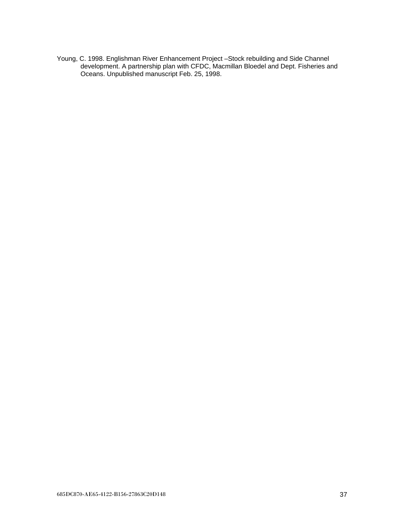Young, C. 1998. Englishman River Enhancement Project –Stock rebuilding and Side Channel development. A partnership plan with CFDC, Macmillan Bloedel and Dept. Fisheries and Oceans. Unpublished manuscript Feb. 25, 1998.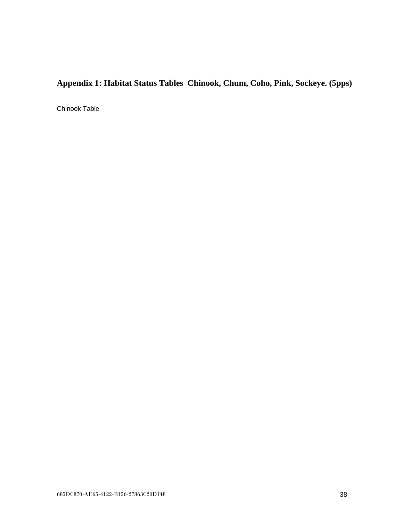# <span id="page-37-0"></span>**Appendix 1: Habitat Status Tables Chinook, Chum, Coho, Pink, Sockeye. (5pps)**

Chinook Table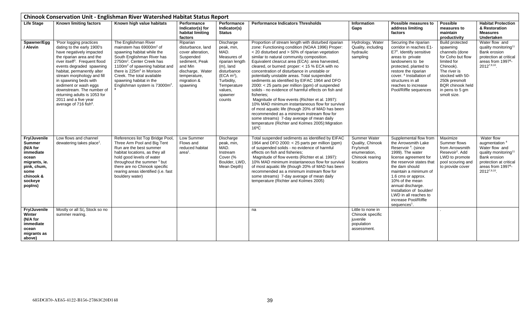<span id="page-38-0"></span>

|                                                                                                                                                   | Chinook Conservation Unit - Englishman River Watershed Habitat Status Report                                                                                                                                                                                                                                                                                                                                                      |                                                                                                                                                                                                                                                                                                                                                                |                                                                                                                                                             |                                                                                                                                                                               |                                                                                                                                                                                                                                                                                                                                                                                                                                                                                                                                                                                                                                                                                                                                                                                                                                                                                                               |                                                                                               |                                                                                                                                                                                                                                                                                                                                                                    |                                                                                                                                                                                                                  |                                                                                                                                                                                         |
|---------------------------------------------------------------------------------------------------------------------------------------------------|-----------------------------------------------------------------------------------------------------------------------------------------------------------------------------------------------------------------------------------------------------------------------------------------------------------------------------------------------------------------------------------------------------------------------------------|----------------------------------------------------------------------------------------------------------------------------------------------------------------------------------------------------------------------------------------------------------------------------------------------------------------------------------------------------------------|-------------------------------------------------------------------------------------------------------------------------------------------------------------|-------------------------------------------------------------------------------------------------------------------------------------------------------------------------------|---------------------------------------------------------------------------------------------------------------------------------------------------------------------------------------------------------------------------------------------------------------------------------------------------------------------------------------------------------------------------------------------------------------------------------------------------------------------------------------------------------------------------------------------------------------------------------------------------------------------------------------------------------------------------------------------------------------------------------------------------------------------------------------------------------------------------------------------------------------------------------------------------------------|-----------------------------------------------------------------------------------------------|--------------------------------------------------------------------------------------------------------------------------------------------------------------------------------------------------------------------------------------------------------------------------------------------------------------------------------------------------------------------|------------------------------------------------------------------------------------------------------------------------------------------------------------------------------------------------------------------|-----------------------------------------------------------------------------------------------------------------------------------------------------------------------------------------|
| <b>Life Stage</b>                                                                                                                                 | <b>Known limiting factors</b>                                                                                                                                                                                                                                                                                                                                                                                                     | Known high value habitats                                                                                                                                                                                                                                                                                                                                      | Performance<br>Indicator(s) for<br>habitat limiting<br>factors                                                                                              | <b>Performance</b><br>Indicator(s)<br><b>Status</b>                                                                                                                           | <b>Performance Indicators Thresholds</b>                                                                                                                                                                                                                                                                                                                                                                                                                                                                                                                                                                                                                                                                                                                                                                                                                                                                      | Information<br>Gaps                                                                           | Possible measures to<br>address limiting<br>factors                                                                                                                                                                                                                                                                                                                | <b>Possible</b><br>measures to<br>maintain<br>productivity                                                                                                                                                       | <b>Habitat Protection</b><br>& Restoration<br><b>Measures</b><br>Undertaken                                                                                                             |
| Spawner/Egg<br>/ Alevin                                                                                                                           | 'Poor logging practices<br>dating to the early 1900's<br>have negatively impacted<br>the riparian area and the<br>river itself <sup>3</sup> . Frequent flood<br>events degraded spawning<br>habitat, permanently alter<br>stream morphology and fill<br>in spawning beds with<br>sediment or wash eggs<br>downstream. The number of<br>returning adults is 1053 for<br>2011 and a five year<br>average of 716 fish <sup>6</sup> . | The Englishman River<br>mainstem has 69000m <sup>2</sup> of<br>spawning habitat while the<br>South Englishman River has<br>2750m <sup>2</sup> . Center Creek has<br>1100m <sup>2</sup> of spawning habitat and<br>there is 225m <sup>2</sup> in Morison<br>Creek. The total available<br>spawning habitat in the<br>Englishman system is 73000m <sup>2</sup> . | Riparian<br>disturbance, land<br>cover alteration,<br>Suspended<br>sediment, Peak<br>and Min<br>discharge, Water<br>temperature,<br>migration &<br>spawning | Discharge<br>peak, min,<br>MAD.<br>Measures of<br>riparian length<br>$(m)$ , land<br>disturbance<br>$(ECA m2)$ ,<br>Turbidity,<br>Temperature<br>values,<br>spawner<br>counts | Proportion of stream length with disturbed riparian<br>zone: Functioning condition (NOAA 1996) Proper:<br>< 20 disturbed and > 50% of riparian vegetation<br>similar to natural community composition.<br>Equivalent clearcut area (ECA): area harvested,<br>cleared, or burned: proper: < 15 % ECA with no<br>concentration of disturbance in unstable or<br>potentially unstable areas. Total suspended<br>sediments as identified by EIFAC 1964 and DFO<br>2000: < 25 parts per million (ppm) of suspended<br>solids - no evidence of harmful effects on fish and<br>fisheries:<br>Magnitude of flow events (Richter et al. 1997):<br>10% MAD minimum instantaneous flow for survival<br>of most aquatic life (though 20% of MAD has been<br>recommended as a minimum instream flow for<br>some streams) 7-day average of mean daily<br>temperature (Richter and Kolmes 2005): Migration<br>$16^{\circ}$ C | Hydrology, Water<br>Quality, including<br>hydraulic<br>sampling                               | Securing the riparian<br>corridor in reaches E1-<br>E7 <sup>4</sup> . Identify sensitive<br>areas to private<br>landowners to be<br>protected, planted to<br>restore the riparian<br>cover. <sup>4</sup> Installation of<br>structures in all<br>reaches to increase<br>Pool/Riffle sequences                                                                      | <b>Build protected</b><br>spawning<br>channels (done<br>for Coho but flow<br>limited for<br>Chinook).<br>The river is<br>stocked with 50-<br>250k presmolt<br>BQR chinook held<br>in pens to 5 gm<br>smolt size. | Water flow and<br>quality monitoring <sup>11</sup><br>Bank erosion<br>protection at critical<br>areas from 1997 <sup>8</sup> -<br>20127,9,10                                            |
| <b>Fry/Juvenile</b><br><b>Summer</b><br>(N/A for<br>immediate<br>ocean<br>migrants, ie.<br>pink, chum,<br>some<br>chinook &<br>sockeye<br>popins) | Low flows and channel<br>dewatering takes place <sup>1</sup> .                                                                                                                                                                                                                                                                                                                                                                    | References list Top Bridge Pool,<br>Three Arm Pool and Big Tent<br>Run are the best summer<br>habitat locations, as they all<br>hold good levels of water<br>throughout the summer 3 but<br>there are no Chinook specific<br>rearing areas identified (i.e. fast<br>bouldery water)                                                                            | Low Summer<br>Flows and<br>reduced habitat<br>$area1$ .                                                                                                     | Discharge<br>peak, min,<br>MAD.<br>Instream<br>Cover (%<br>Boulder, LWD,<br>Mean Depth)                                                                                       | Total suspended sediments as identified by EIFAC<br>1964 and DFO 2000: $<$ 25 parts per million (ppm)<br>of suspended solids - no evidence of harmful<br>effects on fish and fisheries:<br>Magnitude of flow events (Richter et al. 1997):<br>10% MAD minimum instantaneous flow for survival<br>of most aquatic life (though 20% of MAD has been<br>recommended as a minimum instream flow for<br>some streams) 7-day average of mean daily<br>temperature (Richter and Kolmes 2005)                                                                                                                                                                                                                                                                                                                                                                                                                         | Summer Water<br>Quality, Chinook<br>Fry/smolt<br>enumeration.<br>Chinook rearing<br>locations | Supplemental flow from<br>the Arrowsmith Lake<br>Reservoir <sup>4</sup> . (since<br>1999). The water<br>license agreement for<br>the reservoir states that<br>the dam should<br>maintain a minimum of<br>1.6 cms or approx.<br>10% of the mean<br>annual discharge.<br>Installation of boulder/<br>LWD in all reaches to<br>increase Pool/Riffle<br>$sequences1$ . | Maximize<br>Summer flows<br>from Arrowsmith<br>Resevoir <sup>2</sup> , Add<br>LWD to promote<br>pool scouring and<br>to provide cover                                                                            | Water flow<br>augmentation <sup>4</sup><br>Water flow and<br>quality monitoring <sup>11</sup><br>Bank erosion<br>protection at critical<br>areas from 1997 <sup>8</sup> -<br>20127,9,10 |
| <b>Fry/Juvenile</b><br>Winter<br>(N/A for<br>immediate<br>ocean<br>migrants as<br>above)                                                          | Mostly or all S/0 Stock so no<br>summer rearing.                                                                                                                                                                                                                                                                                                                                                                                  |                                                                                                                                                                                                                                                                                                                                                                |                                                                                                                                                             |                                                                                                                                                                               | na                                                                                                                                                                                                                                                                                                                                                                                                                                                                                                                                                                                                                                                                                                                                                                                                                                                                                                            | Little to none in<br>Chinook specific<br>juvenile<br>population<br>assessment.                |                                                                                                                                                                                                                                                                                                                                                                    |                                                                                                                                                                                                                  |                                                                                                                                                                                         |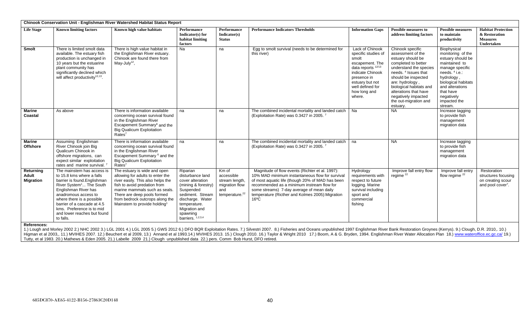|                                        |                                                                                                                                                                                                                                                                                                                    | <b>Chinook Conservation Unit - Englishman River Watershed Habitat Status Report</b>                                                                                                                                                                                                  |                                                                                                                                                                                                |                                                                                              |                                                                                                                                                                                                                                                                                                                         |                                                                                                                                                                                                         |                                                                                                                                                                                                                                                                                                          |                                                                                                                                                                                                                                      |                                                                                          |
|----------------------------------------|--------------------------------------------------------------------------------------------------------------------------------------------------------------------------------------------------------------------------------------------------------------------------------------------------------------------|--------------------------------------------------------------------------------------------------------------------------------------------------------------------------------------------------------------------------------------------------------------------------------------|------------------------------------------------------------------------------------------------------------------------------------------------------------------------------------------------|----------------------------------------------------------------------------------------------|-------------------------------------------------------------------------------------------------------------------------------------------------------------------------------------------------------------------------------------------------------------------------------------------------------------------------|---------------------------------------------------------------------------------------------------------------------------------------------------------------------------------------------------------|----------------------------------------------------------------------------------------------------------------------------------------------------------------------------------------------------------------------------------------------------------------------------------------------------------|--------------------------------------------------------------------------------------------------------------------------------------------------------------------------------------------------------------------------------------|------------------------------------------------------------------------------------------|
| <b>Life Stage</b>                      | <b>Known limiting factors</b>                                                                                                                                                                                                                                                                                      | Known high value habitats                                                                                                                                                                                                                                                            | Performance<br>Indicator(s) for<br>habitat limiting<br>factors                                                                                                                                 | <b>Performance</b><br>Indicator(s)<br><b>Status</b>                                          | <b>Performance Indicators Thresholds</b>                                                                                                                                                                                                                                                                                | <b>Information Gaps</b>                                                                                                                                                                                 | <b>Possible measures to</b><br>address limiting factors                                                                                                                                                                                                                                                  | <b>Possible measures</b><br>to maintain<br>productivity                                                                                                                                                                              | <b>Habitat Protection</b><br>& Restoration<br><b>Measures</b><br>Undertaken              |
| Smolt                                  | There is limited smolt data<br>available. The estuary fish<br>production is unchanged in<br>10 years but the estuarine<br>plant community has<br>significantly declined which<br>will affect productivity <sup>12,13</sup> .                                                                                       | There is high value habitat in<br>the Englishman River estuary.<br>Chinook are found there from<br>May-July <sup>12</sup> ,                                                                                                                                                          | Na                                                                                                                                                                                             | na                                                                                           | Eqq to smolt survival (needs to be determined for<br>this river)                                                                                                                                                                                                                                                        | Lack of Chinook<br>specific studies of<br>smolt<br>escapement. The<br>data reports <sup>12/13</sup><br>indicate Chinook<br>presence in<br>estuary but not<br>well defined for<br>how long and<br>where. | Chinook specific<br>assessment of the<br>estuary should be<br>completed to better<br>understand the species<br>needs. <sup>4</sup> Issues that<br>should be inspected<br>are: hydrology,<br>biological habitats and<br>alterations that have<br>negatively impacted<br>the out-migration and<br>estuary. | Biophysical<br>monitoring of the<br>estuary should be<br>maintained to<br>manage specific<br>needs. <sup>4</sup> i.e.:<br>hydrology,<br>biological habitats<br>and alterations<br>that have<br>negatively<br>impacted the<br>stream. |                                                                                          |
| <b>Marine</b><br>Coastal               | As above                                                                                                                                                                                                                                                                                                           | There is information available<br>concerning ocean survival found<br>in the Englishman River<br>Escapement Summary <sup>6</sup> and the<br><b>Big Qualicum Exploitation</b><br>$Rates^7$                                                                                             | na                                                                                                                                                                                             | na                                                                                           | The combined incidental mortality and landed catch<br>(Exploitation Rate) was 0.3427 in 2005. <sup>7</sup>                                                                                                                                                                                                              | Na                                                                                                                                                                                                      | <b>NA</b>                                                                                                                                                                                                                                                                                                | Increase tagging<br>to provide fish<br>management<br>migration data                                                                                                                                                                  |                                                                                          |
| <b>Marine</b><br><b>Offshore</b>       | Assuming Englishman<br>River Chinook join Big<br>Qualicum Chinook in<br>offshore migrations, can<br>expect similar exploitation<br>rates and marine survival. <sup>7</sup>                                                                                                                                         | There is information available<br>concerning ocean survival found<br>in the Englishman River<br>Escapement Summary <sup>6</sup> and the<br><b>Big Qualicum Exploitation</b><br>$Rates^7$                                                                                             | na                                                                                                                                                                                             | na                                                                                           | The combined incidental mortality and landed catch<br>(Exploitation Rate) was 0.3427 in 2005. <sup>7</sup>                                                                                                                                                                                                              | na                                                                                                                                                                                                      | <b>NA</b>                                                                                                                                                                                                                                                                                                | Increase tagging<br>to provide fish<br>management<br>migration data                                                                                                                                                                  |                                                                                          |
| Returning<br>Adult<br><b>Migration</b> | The mainstem has access is<br>to 15.8 kms where a falls<br>barrier is found.Englishman<br>River System <sup>1</sup> The South<br>Englishman River has<br>anadromous access to<br>where there is a possible<br>barrier of a cascade at 4.5<br>kms. Preference is to mid<br>and lower reaches but found<br>to falls. | The estuary is wide and open<br>allowing for adults to enter the<br>river easily. This also helps the<br>fish to avoid predation from<br>marine mammals such as seals.<br>There are deep pools formed<br>from bedrock outcrops along the<br>Mainstem to provide holding <sup>1</sup> | Riparian<br>disturbance land<br>cover alteration<br>(mining & forestry)<br>Suspended<br>sediment. Stream<br>discharge. Water<br>temperature.<br>Migration and<br>spawning<br>barriers. 1,2,3,4 | Km of<br>accessible<br>stream length,<br>migration flow<br>and<br>temperature. <sup>22</sup> | Magnitude of flow events (Richter et al. 1997):<br>10% MAD minimum instantaneous flow for survival<br>of most aquatic life (though 20% of MAD has been<br>recommended as a minimum instream flow for<br>some streams) 7-day average of mean daily<br>temperature (Ricther and Kolmes 2005): Migration<br>$16^{\circ}$ C | Hydrology<br>requirements with<br>respect to future<br>logging. Marine<br>survival including<br>sport and<br>commercial<br>fishing                                                                      | Improve fall entry flow<br>regime <sup>22</sup>                                                                                                                                                                                                                                                          | Improve fall entry<br>flow regime <sup>22</sup>                                                                                                                                                                                      | Restoration<br>structures focusing<br>on creating scour<br>and pool cover <sup>7</sup> . |

#### **References:**

1.) Lough and Morley 2002 2.) NHC 2002 3.) LGL 2001 4.) LGL 2005 5.) GWS 2012 6.) DFO BQR Exploitation Rates. 7.) Silvestri 2007. 8.) Fisheries and Oceans unpublished 1997 Englishman River Bank Restoration Groynes (Kerrys) Higman et al 2003,, 11.) MVIHES 2007. 12.) Beuchert et al 2009, 13.) Annand et al 1993.14.) MVIHES 2013. 15.) Clough 2010. 16.) Taylor & Wright 2010 17.) Boom, A & G. Bryden, 1994. Englishman River Water Allocation Plan 18 Tutty, et al 1983. 20.) Mathews & Eden 2005. 21.) Labelle 2009 21.) Clough unpublished data 22.) pers. Comm Bob Hurst, DFO retired.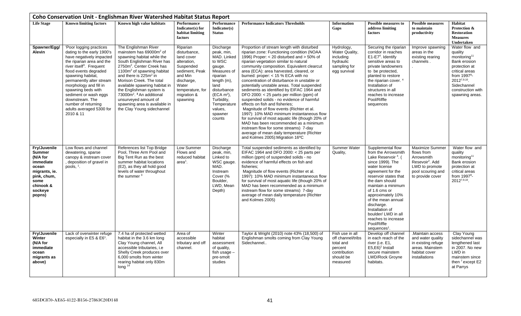<span id="page-40-0"></span>

|                                                                                                                                           |                                                                                                                                                                                                                                                                                                                                                                                              | Coho Conservation Unit - Englishman River Watershed Habitat Status Report                                                                                                                                                                                                                                                                                                                                                                                                  |                                                                                                                                                                       |                                                                                                                                                                                                          |                                                                                                                                                                                                                                                                                                                                                                                                                                                                                                                                                                                                                                                                                                                                                                                                                                                                                                              |                                                                                                       |                                                                                                                                                                                                                                                                                                                                                                                            |                                                                                                                                              |                                                                                                                                                                                                 |
|-------------------------------------------------------------------------------------------------------------------------------------------|----------------------------------------------------------------------------------------------------------------------------------------------------------------------------------------------------------------------------------------------------------------------------------------------------------------------------------------------------------------------------------------------|----------------------------------------------------------------------------------------------------------------------------------------------------------------------------------------------------------------------------------------------------------------------------------------------------------------------------------------------------------------------------------------------------------------------------------------------------------------------------|-----------------------------------------------------------------------------------------------------------------------------------------------------------------------|----------------------------------------------------------------------------------------------------------------------------------------------------------------------------------------------------------|--------------------------------------------------------------------------------------------------------------------------------------------------------------------------------------------------------------------------------------------------------------------------------------------------------------------------------------------------------------------------------------------------------------------------------------------------------------------------------------------------------------------------------------------------------------------------------------------------------------------------------------------------------------------------------------------------------------------------------------------------------------------------------------------------------------------------------------------------------------------------------------------------------------|-------------------------------------------------------------------------------------------------------|--------------------------------------------------------------------------------------------------------------------------------------------------------------------------------------------------------------------------------------------------------------------------------------------------------------------------------------------------------------------------------------------|----------------------------------------------------------------------------------------------------------------------------------------------|-------------------------------------------------------------------------------------------------------------------------------------------------------------------------------------------------|
| <b>Life Stage</b>                                                                                                                         | <b>Known limiting factors</b>                                                                                                                                                                                                                                                                                                                                                                | Known high value habitats                                                                                                                                                                                                                                                                                                                                                                                                                                                  | Performance<br>Indicator(s) for<br>habitat limiting<br>factors                                                                                                        | <b>Performance</b><br>Indicator(s)<br><b>Status</b>                                                                                                                                                      | <b>Performance Indicators Thresholds</b>                                                                                                                                                                                                                                                                                                                                                                                                                                                                                                                                                                                                                                                                                                                                                                                                                                                                     | <b>Information</b><br>Gaps                                                                            | <b>Possible measures to</b><br>address limiting<br>factors                                                                                                                                                                                                                                                                                                                                 | <b>Possible measures</b><br>to maintain<br>productivity                                                                                      | Habitat<br>Protection &<br><b>Restoration</b><br><b>Measures</b><br>Undertaken                                                                                                                  |
| Spawner/Egg/<br><b>Alevin</b>                                                                                                             | 'Poor logging practices<br>dating to the early 1900's<br>have negatively impacted<br>the riparian area and the<br>river itself <sup>3</sup> . Frequent<br>flood events degraded<br>spawning habitat,<br>permanently alter stream<br>morphology and fill in<br>spawning beds with<br>sediment or wash eggs<br>downstream. The<br>number of returning<br>adults averaged 5300 for<br>2010 & 11 | The Englishman River<br>mainstem has 69000m <sup>2</sup> of<br>spawning habitat while the<br>South Englishman River has<br>2750m <sup>2</sup> . Center Creek has<br>1100 $m2$ of spawning habitat<br>and there is 225m <sup>2</sup> in<br>Morison Creek. The total<br>available spawning habitat in<br>the Englishman system is<br>73000m <sup>2</sup> . <sup>3</sup> An additional<br>unsurveved amount of<br>spawning area is available in<br>the Clay Young sidechannel | Riparian<br>disturbance.<br>land cover<br>alteration,<br>Suspended<br>sediment, Peak<br>and Min<br>discharge,<br>Water<br>temperature, for<br>migration &<br>spawning | Discharge<br>peak, min,<br>MAD. Linked<br>to WSC<br>gauge.<br>Measures of<br>riparian<br>length (m),<br>land<br>disturbance<br>$(ECA m2)$ ,<br>Turbidity,<br>Temperature<br>values,<br>spawner<br>counts | Proportion of stream length with disturbed<br>riparian zone: Functioning condition (NOAA<br>1996) Proper: $<$ 20 disturbed and $>$ 50% of<br>riparian vegetation similar to natural<br>community composition. Equivalent clearcut<br>area (ECA): area harvested, cleared, or<br>burned: proper: $<$ 15 % ECA with no<br>concentration of disturbance in unstable or<br>potentially unstable areas. Total suspended<br>sediments as identified by EIFAC 1964 and<br>DFO 2000: < 25 parts per million (ppm) of<br>suspended solids - no evidence of harmful<br>effects on fish and fisheries:<br>Magnitude of flow events (Richter et al.<br>1997): 10% MAD minimum instantaneous flow<br>for survival of most aquatic life (though 20% of<br>MAD has been recommended as a minimum<br>instream flow for some streams) 7-day<br>average of mean daily temperature (Richter<br>and Kolmes 2005): Migration 16°C | Hydrology,<br>Water Quality,<br>including<br>hydraulic<br>sampling for<br>egg survival                | Securing the riparian<br>corridor in reaches<br>$E1-E74$ . Identify<br>sensitive areas to<br>private landowners<br>to be protected,<br>planted to restore<br>the riparian cover. <sup>4</sup><br>Installation of<br>structures in all<br>reaches to increase<br>Pool/Riffle<br>sequences                                                                                                   | Improve spawning<br>areas in the<br>existing rearing<br>channels.                                                                            | Water flow and<br>quality<br>monitoring <sup>11</sup><br>Bank erosion<br>protection at<br>critical areas<br>from $19978$ -<br>20127,9,10<br>Sidechannel<br>construction with<br>spawning areas. |
| Fry/Juvenile<br><b>Summer</b><br>(N/A for<br>immediate<br>ocean<br>migrants, ie.<br>pink, chum,<br>some<br>chinook &<br>sockeye<br>popns) | Low flows and channel<br>dewatering, sparse<br>canopy & instream cover<br>, deposition of gravel in<br>pools, $1$ .                                                                                                                                                                                                                                                                          | References list Top Bridge<br>Pool, Three Arm Pool and<br>Big Tent Run as the best<br>summer habitat locations<br>(E2), as they all hold good<br>levels of water throughout<br>the summer <sup>3</sup>                                                                                                                                                                                                                                                                     | Low Summer<br>Flows and<br>reduced habitat<br>$area1$ .                                                                                                               | Discharge<br>peak, min,<br>Linked to<br>WSC gauge.<br>MAD.<br>Instream<br>Cover (%<br>Boulder,<br>LWD, Mean<br>Depth)                                                                                    | Total suspended sediments as identified by<br>EIFAC 1964 and DFO 2000: < 25 parts per<br>million (ppm) of suspended solids - no<br>evidence of harmful effects on fish and<br>fisheries:<br>Magnitude of flow events (Richter et al.<br>1997): 10% MAD minimum instantaneous flow<br>for survival of most aquatic life (though 20% of<br>MAD has been recommended as a minimum<br>instream flow for some streams) 7-day<br>average of mean daily temperature (Richter<br>and Kolmes 2005)                                                                                                                                                                                                                                                                                                                                                                                                                    | <b>Summer Water</b><br>Quality,                                                                       | Supplemental flow<br>from the Arrowsmith<br>Lake Reservoir <sup>4</sup> . (<br>since 1999). The<br>water license<br>agreement for the<br>reservoir states that<br>the dam should<br>maintain a minimum<br>of 1.6 cms or<br>approximately 10%<br>of the mean annual<br>discharge.<br>Installation of<br>boulder/ LWD in all<br>reaches to increase<br>Pool/Riffle<br>sequences <sup>1</sup> | <b>Maximize Summer</b><br>flows from<br>Arrowsmith<br>Resevoir <sup>2</sup> , Add<br>LWD to promote<br>pool scouring and<br>to provide cover | Water flow and<br>quality<br>monitoring <sup>11</sup><br>Bank erosion<br>protection at<br>critical areas<br>from 1997 <sup>8</sup> -<br>2012 <sup>7,9,10</sup> .                                |
| Fry/Juvenile<br>Winter<br>(N/A for<br><i>immediate</i><br>ocean<br>migrants as<br>above)                                                  | Lack of overwinter refuge<br>especially in E5 & $E61$ .                                                                                                                                                                                                                                                                                                                                      | 7.4 ha of protected wetted<br>habitat in the 3.6 km long<br>Clay Young channel, All<br>accessible tributaries, i.e<br>Shelly Creek produces over<br>6,000 smolts from winter<br>rearing habitat only 830m<br>long $14$                                                                                                                                                                                                                                                     | Area of<br>accessible<br>tributary and off<br>channel.                                                                                                                | Winter<br>habitat<br>assessment<br>of quality,<br>fish usage -<br>pre-smolt<br>studies                                                                                                                   | Taylor & Wright (2010) note 43% (18,500) of<br>Englishman smolts coming from Clay Young<br>Sidechannel                                                                                                                                                                                                                                                                                                                                                                                                                                                                                                                                                                                                                                                                                                                                                                                                       | Fish use in all<br>off channel/tribs<br>total and<br>percent<br>contribution<br>should be<br>measured | Develop off channel<br>in each reach of the<br>river (i.e. E1,<br>$E5, E6$ <sup>1</sup> Install<br>secure mainstem<br>LWD/Rock Groyne<br>habitats.                                                                                                                                                                                                                                         | Maintain access<br>and water quality<br>in existing refuge<br>areas. Mainstem<br>habitat cover<br>installations                              | Clay Young<br>sidechannel was<br>lengthened last<br>in 2007. No new<br>LWD in<br>mainstem since<br>then <sup>7</sup> except E2<br>at Parrys                                                     |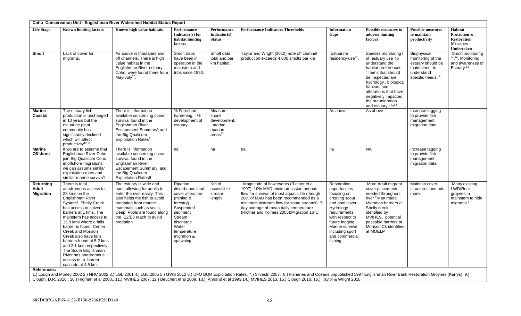|                                        | Coho Conservation Unit - Englishman River Watershed Habitat Status Report                                                                                                                                                                                                                                                                                                                                                                                  |                                                                                                                                                                                                                                                  |                                                                                                                                                                               |                                                                                |                                                                                                                                                                                                                                                                                                                |                                                                                                                                                                                                                        |                                                                                                                                                                                                                                                                                             |                                                                                                            |                                                                                                 |
|----------------------------------------|------------------------------------------------------------------------------------------------------------------------------------------------------------------------------------------------------------------------------------------------------------------------------------------------------------------------------------------------------------------------------------------------------------------------------------------------------------|--------------------------------------------------------------------------------------------------------------------------------------------------------------------------------------------------------------------------------------------------|-------------------------------------------------------------------------------------------------------------------------------------------------------------------------------|--------------------------------------------------------------------------------|----------------------------------------------------------------------------------------------------------------------------------------------------------------------------------------------------------------------------------------------------------------------------------------------------------------|------------------------------------------------------------------------------------------------------------------------------------------------------------------------------------------------------------------------|---------------------------------------------------------------------------------------------------------------------------------------------------------------------------------------------------------------------------------------------------------------------------------------------|------------------------------------------------------------------------------------------------------------|-------------------------------------------------------------------------------------------------|
| <b>Life Stage</b>                      | <b>Known limiting factors</b>                                                                                                                                                                                                                                                                                                                                                                                                                              | Known high value habitats                                                                                                                                                                                                                        | Performance<br>Indicator(s) for<br>habitat limiting<br>factors                                                                                                                | Performance<br>Indicator(s)<br><b>Status</b>                                   | <b>Performance Indicators Thresholds</b>                                                                                                                                                                                                                                                                       | <b>Information</b><br>Gaps                                                                                                                                                                                             | <b>Possible measures to</b><br>address limiting<br>factors                                                                                                                                                                                                                                  | <b>Possible measures</b><br>to maintain<br>productivity                                                    | <b>Habitat</b><br>Protection &<br><b>Restoration</b><br><b>Measures</b><br>Undertaken           |
| <b>Smolt</b>                           | Lack of cover for<br>migrants.                                                                                                                                                                                                                                                                                                                                                                                                                             | As above in tributaries and<br>off channels. There is high<br>value habitat in the<br>Englishman River estuary.<br>Coho were found there from<br>May-July <sup>12</sup> ,                                                                        | Smolt traps<br>have been in<br>operation in the<br>mainstem and<br>tribs since 1990.                                                                                          | Smolt data<br>total and per<br>km habitat                                      | Taylor and Wright (2010) note off channel<br>production exceeds 4,000 smolts per km                                                                                                                                                                                                                            | Estuarine<br>residency use <sup>12</sup> .                                                                                                                                                                             | Species monitoring t<br>of estuary use to<br>understand the<br>habitat preferences<br><sup>4</sup> Items that should<br>be inspected are:<br>hydrology, biological<br>habitats and<br>alterations that have<br>negatively impacted<br>the out-migration<br>and estuary life <sup>12</sup> . | Biophysical<br>monitoring of the<br>estuary should be<br>maintained to<br>understand<br>specific needs. 4. | Smolt monitoring<br><sup>14, 16</sup> , Monitoring<br>and awareness of<br>Estuary <sup>12</sup> |
| <b>Marine</b><br>Coastal               | The estuary fish<br>production is unchanged<br>in 10 years but the<br>estuarine plant<br>community has<br>significantly declined<br>which will affect<br>productivity <sup>12,13</sup> .                                                                                                                                                                                                                                                                   | There is information<br>available concerning ocean<br>survival found in the<br>Englishman River<br>Escapement Summary <sup>6</sup> and<br>the Big Qualicum<br>Exploitation Rates7                                                                | % Foreshore<br>hardening, , %<br>development of<br>estuary,                                                                                                                   | Measure<br>shore<br>development,<br>, marine<br>riparian<br>area <sup>12</sup> |                                                                                                                                                                                                                                                                                                                | As above                                                                                                                                                                                                               | As above                                                                                                                                                                                                                                                                                    | Increase tagging<br>to provide fish<br>management<br>migration data                                        |                                                                                                 |
| <b>Marine</b><br><b>Offshore</b>       | If we are to assume that<br>Englishman River Coho<br>join Big Qualicum Coho<br>in offshore migrations.<br>we can assume similar<br>exploitation rates and<br>similar marine surviva <sup>6</sup> l.                                                                                                                                                                                                                                                        | There is information<br>available concerning ocean<br>survival found in the<br>Englishman River<br>Escapement Summary and<br>the Big Qualicum<br><b>Exploitation Rates6</b>                                                                      | na                                                                                                                                                                            | na                                                                             | na                                                                                                                                                                                                                                                                                                             | na                                                                                                                                                                                                                     | <b>NA</b>                                                                                                                                                                                                                                                                                   | Increase tagging<br>to provide fish<br>management<br>migration data                                        |                                                                                                 |
| Returning<br>Adult<br><b>Migration</b> | There is total<br>anadromous access to<br>28 kms on the<br>Englishman River<br>System <sup>1</sup> . Shelly Creek<br>has access to culvert<br>barriers at 1 kms. The<br>mainstem has access to<br>15.8 kms where a falls<br>barrier is found. Center<br>Creek and Morison<br>Creek also have falls<br>barriers found at 5.2 kms<br>and 2.1 kns respectively.<br>The South Englishman<br>River has anadromous<br>access to a barrier<br>cascade at 4.5 kms. | The estuary is wide and<br>open allowing for adults to<br>enter the river easily. This<br>also helps the fish to avoid<br>predation from marine<br>mammals such as seals,<br>Deep Pools are found along<br>the E2/E3 reach to avoid<br>predation | Riparian<br>disturbance land<br>cover alteration<br>(mining &<br>forestry)<br>Suspended<br>sediment<br>Stream<br>discharge<br>Water<br>temperature<br>migration &<br>spawning | Km of<br>accessible<br>stream<br>length                                        | Magnitude of flow events (Richter et al.<br>1997): 10% MAD minimum instantaneous<br>flow for survival of most aquatic life (though<br>20% of MAD has been recommended as a<br>minimum instream flow for some streams) 7-<br>day average of mean daily temperature<br>(Ricther and Kolmes 2005): Migration 16°C | Restoration<br>opportunities<br>focusing on<br>creating scour<br>and pool cover.<br>Hydrology<br>requirements<br>with respect to<br>future logging.<br>Marine survival<br>including sport<br>and commercial<br>fishing | More Adult migrant<br>cover placements<br>needed throughout<br>river <sup>7</sup> Man made<br>Migration barriers at<br>Shelly creek<br>identified by<br>MVIHES, potential<br>passable barriers at<br>Morison Ck identified<br>at MOELP                                                      | Maintain cover<br>structures and add<br>more.                                                              | Many existing<br>LWD/Rock<br>groynes in<br>mainstem to hide<br>migrants <sup>7</sup>            |
| <b>References:</b>                     |                                                                                                                                                                                                                                                                                                                                                                                                                                                            |                                                                                                                                                                                                                                                  |                                                                                                                                                                               |                                                                                |                                                                                                                                                                                                                                                                                                                |                                                                                                                                                                                                                        |                                                                                                                                                                                                                                                                                             |                                                                                                            |                                                                                                 |

1.) Lough and Morley 2002 2.) NHC 2002 3.) LGL 2001 4.) LGL 2005 5.) GWS 2012 6.) DFO BQR Exploitation Rates. 7.) Silvestri 2007. 8.) Fisheries and Oceans unpublished 1997 Englishman River Bank Restoration Groynes (Kerrys) Clough, D.R. 2010,. 10.) Higman et al 2003,, 11.) MVIHES 2007. 12.) Beuchert et al 2009, 13.) Annand et al 1993.14.) MVIHES 2013. 15.) Clough 2010. 16.) Taylor & Wright 2010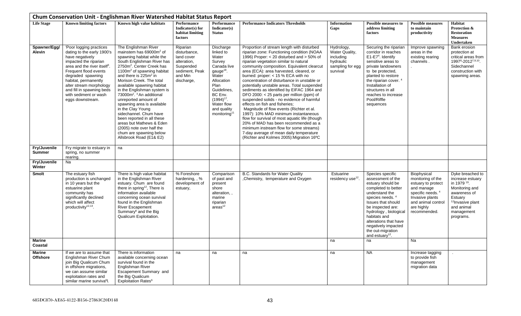<span id="page-42-0"></span>

|                                  |                                                                                                                                                                                                                                                                                                                          | Chum Conservation Unit - Englishman River Watershed Habitat Status Report                                                                                                                                                                                                                                                                                                                                                                                                                                                                                                                                                                      |                                                                                                               |                                                                                                                                                                                                                      |                                                                                                                                                                                                                                                                                                                                                                                                                                                                                                                                                                                                                                                                                                                                                                                                                                                                                                        |                                                                                        |                                                                                                                                                                                                                                                                                                                 |                                                                                                                                                                             |                                                                                                                                                                                       |
|----------------------------------|--------------------------------------------------------------------------------------------------------------------------------------------------------------------------------------------------------------------------------------------------------------------------------------------------------------------------|------------------------------------------------------------------------------------------------------------------------------------------------------------------------------------------------------------------------------------------------------------------------------------------------------------------------------------------------------------------------------------------------------------------------------------------------------------------------------------------------------------------------------------------------------------------------------------------------------------------------------------------------|---------------------------------------------------------------------------------------------------------------|----------------------------------------------------------------------------------------------------------------------------------------------------------------------------------------------------------------------|--------------------------------------------------------------------------------------------------------------------------------------------------------------------------------------------------------------------------------------------------------------------------------------------------------------------------------------------------------------------------------------------------------------------------------------------------------------------------------------------------------------------------------------------------------------------------------------------------------------------------------------------------------------------------------------------------------------------------------------------------------------------------------------------------------------------------------------------------------------------------------------------------------|----------------------------------------------------------------------------------------|-----------------------------------------------------------------------------------------------------------------------------------------------------------------------------------------------------------------------------------------------------------------------------------------------------------------|-----------------------------------------------------------------------------------------------------------------------------------------------------------------------------|---------------------------------------------------------------------------------------------------------------------------------------------------------------------------------------|
| <b>Life Stage</b>                | <b>Known limiting factors</b>                                                                                                                                                                                                                                                                                            | Known high value habitats                                                                                                                                                                                                                                                                                                                                                                                                                                                                                                                                                                                                                      | Performance<br>Indicator(s) for<br>habitat limiting<br>factors                                                | <b>Performance</b><br>Indicator(s)<br><b>Status</b>                                                                                                                                                                  | <b>Performance Indicators Thresholds</b>                                                                                                                                                                                                                                                                                                                                                                                                                                                                                                                                                                                                                                                                                                                                                                                                                                                               | <b>Information</b><br>Gaps                                                             | <b>Possible measures to</b><br>address limiting<br>factors                                                                                                                                                                                                                                                      | <b>Possible measures</b><br>to maintain<br>productivity                                                                                                                     | Habitat<br>Protection &<br><b>Restoration</b><br><b>Measures</b><br>Undertaken                                                                                                        |
| Spawner/Egg/<br><b>Alevin</b>    | 'Poor logging practices<br>dating to the early 1900's<br>have negatively<br>impacted the riparian<br>area and the river itself <sup>3</sup> .<br>Frequent flood events<br>degraded spawning<br>habitat, permanently<br>alter stream morphology<br>and fill in spawning beds<br>with sediment or wash<br>eggs downstream. | The Englishman River<br>mainstem has 69000m <sup>2</sup> of<br>spawning habitat while the<br>South Englishman River has<br>2750m <sup>2</sup> . Center Creek has<br>1100m <sup>2</sup> of spawning habitat<br>and there is 225m <sup>2</sup> in<br>Morison Creek. The total<br>available spawning habitat<br>in the Englishman system is<br>73000m <sup>2</sup> . <sup>3</sup> An additional<br>unreported amount of<br>spawning area is available<br>in the Clay Young<br>sidechannel. Chum have<br>been reported in all these<br>areas but Mathews & Eden<br>(2005) note over half the<br>chum are spawning below<br>Allsbrook Road (E1& E2) | Riparian<br>disturbance,<br>land cover<br>alteration,<br>Suspended<br>sediment, Peak<br>and Min<br>discharge, | Discharge<br>linked to<br>Water<br>Survey<br>Canada live<br>gauge <sup>18</sup><br>Water<br>Allocation<br>Plan<br>Guidelines,<br>BC Env.<br>$(1994)^{17}$ .<br>Water flow<br>and quality<br>monitoring <sup>11</sup> | Proportion of stream length with disturbed<br>riparian zone: Functioning condition (NOAA<br>1996) Proper: < 20 disturbed and > 50% of<br>riparian vegetation similar to natural<br>community composition. Equivalent clearcut<br>area (ECA): area harvested, cleared, or<br>burned: proper: < 15 % ECA with no<br>concentration of disturbance in unstable or<br>potentially unstable areas. Total suspended<br>sediments as identified by EIFAC 1964 and<br>DFO 2000: < 25 parts per million (ppm) of<br>suspended solids - no evidence of harmful<br>effects on fish and fisheries;<br>Magnitude of flow events (Richter et al.<br>1997): 10% MAD minimum instantaneous<br>flow for survival of most aquatic life (though<br>20% of MAD has been recommended as a<br>minimum instream flow for some streams)<br>7-day average of mean daily temperature<br>(Richter and Kolmes 2005): Migration 16°C | Hydrology,<br>Water Quality,<br>including<br>hydraulic<br>sampling for egg<br>survival | Securing the riparian<br>corridor in reaches<br>E1-E7 <sup>4</sup> . Identify<br>sensitive areas to<br>private landowners<br>to be protected,<br>planted to restore<br>the riparian cover. <sup>4</sup><br>Installation of<br>structures in all<br>reaches to increase<br>Pool/Riffle<br>sequences              | Improve spawning<br>areas in the<br>existing rearing<br>channels.                                                                                                           | Bank erosion<br>protection at<br>critical areas from<br>19978-20127,9,10.<br>Sidechannel<br>construction with<br>spawning areas.                                                      |
| Fry/Juvenile<br><b>Summer</b>    | Fry migrate to estuary in<br>spring, no summer<br>rearing.                                                                                                                                                                                                                                                               | na                                                                                                                                                                                                                                                                                                                                                                                                                                                                                                                                                                                                                                             |                                                                                                               |                                                                                                                                                                                                                      |                                                                                                                                                                                                                                                                                                                                                                                                                                                                                                                                                                                                                                                                                                                                                                                                                                                                                                        |                                                                                        |                                                                                                                                                                                                                                                                                                                 |                                                                                                                                                                             |                                                                                                                                                                                       |
| Fry/Juvenile<br>Winter           | Na                                                                                                                                                                                                                                                                                                                       |                                                                                                                                                                                                                                                                                                                                                                                                                                                                                                                                                                                                                                                |                                                                                                               |                                                                                                                                                                                                                      |                                                                                                                                                                                                                                                                                                                                                                                                                                                                                                                                                                                                                                                                                                                                                                                                                                                                                                        |                                                                                        |                                                                                                                                                                                                                                                                                                                 |                                                                                                                                                                             |                                                                                                                                                                                       |
| <b>Smolt</b>                     | The estuary fish<br>production is unchanged<br>in 10 years but the<br>estuarine plant<br>community has<br>significantly declined<br>which will affect<br>productivity <sup>12,13</sup> .                                                                                                                                 | There is high value habitat<br>in the Englishman River<br>estuary. Chum are found<br>there in spring <sup>12</sup> , There is<br>information available<br>concerning ocean survival<br>found in the Englishman<br><b>River Escapement</b><br>Summary <sup>6</sup> and the Big<br>Qualicum Exploitation.                                                                                                                                                                                                                                                                                                                                        | % Foreshore<br>hardening, , %<br>development of<br>estuary,                                                   | Comparison<br>of past and<br>present<br>shore<br>alteration,,<br>marine<br>riparian<br>$\arccos^{12}$                                                                                                                | B.C. Standards for Water Quality<br>, Chemistry, temperature and Oxygen                                                                                                                                                                                                                                                                                                                                                                                                                                                                                                                                                                                                                                                                                                                                                                                                                                | Estuarine<br>residency use <sup>12</sup> .                                             | Species specific<br>assessment of the<br>estuary should be<br>completed to better<br>understand the<br>species needs. 4<br>Issues that should<br>be inspected are:<br>hydrology, biological<br>habitats and<br>alterations that have<br>negatively impacted<br>the out-migration<br>and estuary <sup>12</sup> . | Biophysical<br>monitoring of the<br>estuary to protect<br>and manage<br>specific needs. <sup>4</sup><br>Invasive plants<br>and animal control<br>are highly<br>recommended. | Dyke breached to<br>increase estuary<br>in 1979 <sup>19</sup> .<br>Monitoring and<br>awareness of<br>Estuary<br><sup>12</sup> Invasive plant<br>and animal<br>management<br>programs. |
| Marine<br>Coastal                |                                                                                                                                                                                                                                                                                                                          |                                                                                                                                                                                                                                                                                                                                                                                                                                                                                                                                                                                                                                                |                                                                                                               |                                                                                                                                                                                                                      |                                                                                                                                                                                                                                                                                                                                                                                                                                                                                                                                                                                                                                                                                                                                                                                                                                                                                                        | na                                                                                     | na                                                                                                                                                                                                                                                                                                              | Na                                                                                                                                                                          |                                                                                                                                                                                       |
| <b>Marine</b><br><b>Offshore</b> | If we are to assume that<br>Englishman River Chum<br>join Big Qualicum Chum<br>in offshore migrations,<br>we can assume similar<br>exploitation rates and<br>similar marine surviva <sup>6</sup> l.                                                                                                                      | There is information<br>available concerning ocean<br>survival found in the<br>Englishman River<br>Escapement Summary and<br>the Big Qualicum<br>Exploitation Rates <sup>6</sup>                                                                                                                                                                                                                                                                                                                                                                                                                                                               | na                                                                                                            | na                                                                                                                                                                                                                   | na                                                                                                                                                                                                                                                                                                                                                                                                                                                                                                                                                                                                                                                                                                                                                                                                                                                                                                     | na                                                                                     | <b>NA</b>                                                                                                                                                                                                                                                                                                       | Increase tagging<br>to provide fish<br>management<br>migration data                                                                                                         |                                                                                                                                                                                       |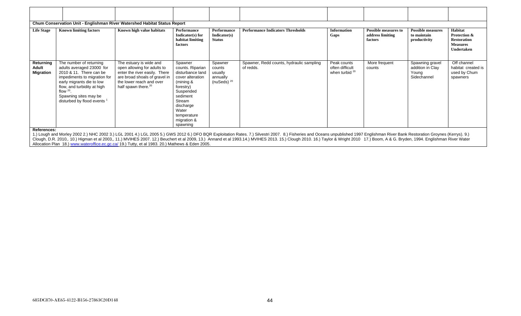|                                        |                                                                                                                                                                                                                                                               | Chum Conservation Unit - Englishman River Watershed Habitat Status Report                                                                                                               |                                                                                                                                                                                                     |                                                                    |                                                       |                                                  |                                                            |                                                             |                                                                                                  |
|----------------------------------------|---------------------------------------------------------------------------------------------------------------------------------------------------------------------------------------------------------------------------------------------------------------|-----------------------------------------------------------------------------------------------------------------------------------------------------------------------------------------|-----------------------------------------------------------------------------------------------------------------------------------------------------------------------------------------------------|--------------------------------------------------------------------|-------------------------------------------------------|--------------------------------------------------|------------------------------------------------------------|-------------------------------------------------------------|--------------------------------------------------------------------------------------------------|
| <b>Life Stage</b>                      | <b>Known limiting factors</b>                                                                                                                                                                                                                                 | Known high value habitats                                                                                                                                                               | Performance<br>Indicator $(s)$ for<br>habitat limiting<br>factors                                                                                                                                   | Performance<br>Indicator(s)<br><b>Status</b>                       | <b>Performance Indicators Thresholds</b>              | <b>Information</b><br>Gaps                       | <b>Possible measures to</b><br>address limiting<br>factors | <b>Possible measures</b><br>to maintain<br>productivity     | Habitat<br><b>Protection &amp;</b><br><b>Restoration</b><br><b>Measures</b><br><b>Undertaken</b> |
| Returning<br>Adult<br><b>Migration</b> | The number of returning<br>adults averaged 23000 for<br>2010 & 11. There can be<br>impediments to migration for<br>early migrants die to low<br>flow, and turbidity at high<br>flow $20$ .<br>Spawning sites may be<br>disturbed by flood events <sup>1</sup> | The estuary is wide and<br>open allowing for adults to<br>enter the river easily. There<br>are broad shoals of gravel in<br>the lower reach and over<br>half spawn there. <sup>20</sup> | Spawner<br>counts. Riparian<br>disturbance land<br>cover alteration<br>(mining $\&$<br>forestry)<br>Suspended<br>sediment<br>Stream<br>discharge<br>Water<br>temperature<br>migration &<br>spawning | Spawner<br>counts<br>usually<br>annually<br>(nuSeds) <sup>20</sup> | Spawner, Redd counts, hydraulic sampling<br>of redds. | Peak counts<br>often difficult<br>when turbid 20 | More frequent<br>counts                                    | Spawning gravel<br>addition in Clay<br>Young<br>Sidechannel | Off channel<br>habitat created is<br>used by Chum<br>spawners                                    |

Allocation Plan 18.[\) www.wateroffice.ec.gc.ca/](http://www.wateroffice.ec.gc.ca/) 19.) Tutty, et al 1983. 20.) Mathews & Eden 2005.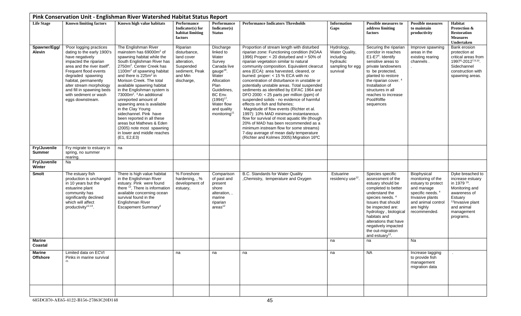<span id="page-44-0"></span>

|                               |                                                                                                                                                                                                                                                                                                                          | Pink Conservation Unit - Englishman River Watershed Habitat Status Report                                                                                                                                                                                                                                                                                                                                                                                                                                                                                                                                                               |                                                                                                               |                                                                                                                                                                                                                      |                                                                                                                                                                                                                                                                                                                                                                                                                                                                                                                                                                                                                                                                                                                                                                                                                                                                                                        |                                                                                        |                                                                                                                                                                                                                                                                                                                 |                                                                                                                                                                             |                                                                                                                                                                                       |
|-------------------------------|--------------------------------------------------------------------------------------------------------------------------------------------------------------------------------------------------------------------------------------------------------------------------------------------------------------------------|-----------------------------------------------------------------------------------------------------------------------------------------------------------------------------------------------------------------------------------------------------------------------------------------------------------------------------------------------------------------------------------------------------------------------------------------------------------------------------------------------------------------------------------------------------------------------------------------------------------------------------------------|---------------------------------------------------------------------------------------------------------------|----------------------------------------------------------------------------------------------------------------------------------------------------------------------------------------------------------------------|--------------------------------------------------------------------------------------------------------------------------------------------------------------------------------------------------------------------------------------------------------------------------------------------------------------------------------------------------------------------------------------------------------------------------------------------------------------------------------------------------------------------------------------------------------------------------------------------------------------------------------------------------------------------------------------------------------------------------------------------------------------------------------------------------------------------------------------------------------------------------------------------------------|----------------------------------------------------------------------------------------|-----------------------------------------------------------------------------------------------------------------------------------------------------------------------------------------------------------------------------------------------------------------------------------------------------------------|-----------------------------------------------------------------------------------------------------------------------------------------------------------------------------|---------------------------------------------------------------------------------------------------------------------------------------------------------------------------------------|
| <b>Life Stage</b>             | <b>Known limiting factors</b>                                                                                                                                                                                                                                                                                            | Known high value habitats                                                                                                                                                                                                                                                                                                                                                                                                                                                                                                                                                                                                               | Performance<br>Indicator(s) for<br>habitat limiting<br>factors                                                | <b>Performance</b><br>Indicator(s)<br><b>Status</b>                                                                                                                                                                  | <b>Performance Indicators Thresholds</b>                                                                                                                                                                                                                                                                                                                                                                                                                                                                                                                                                                                                                                                                                                                                                                                                                                                               | <b>Information</b><br>Gaps                                                             | <b>Possible measures to</b><br>address limiting<br>factors                                                                                                                                                                                                                                                      | <b>Possible measures</b><br>to maintain<br>productivity                                                                                                                     | Habitat<br>Protection &<br><b>Restoration</b><br><b>Measures</b><br>Undertaken                                                                                                        |
| Spawner/Egg/<br><b>Alevin</b> | 'Poor logging practices<br>dating to the early 1900's<br>have negatively<br>impacted the riparian<br>area and the river itself <sup>3</sup> .<br>Frequent flood events<br>degraded spawning<br>habitat, permanently<br>alter stream morphology<br>and fill in spawning beds<br>with sediment or wash<br>eggs downstream. | The Englishman River<br>mainstem has 69000m <sup>2</sup> of<br>spawning habitat while the<br>South Englishman River has<br>2750m <sup>2</sup> . Center Creek has<br>1100m <sup>2</sup> of spawning habitat<br>and there is 225m <sup>2</sup> in<br>Morison Creek. The total<br>available spawning habitat<br>in the Englishman system is<br>73000m <sup>2</sup> . <sup>3</sup> An additional<br>unreported amount of<br>spawning area is available<br>in the Clay Young<br>sidechannel. Pink have<br>been reported in all these<br>areas but Mathews & Eden<br>(2005) note most spawning<br>in lower and middle reaches<br>(E1, E2, E3) | Riparian<br>disturbance,<br>land cover<br>alteration,<br>Suspended<br>sediment. Peak<br>and Min<br>discharge, | Discharge<br>linked to<br>Water<br>Survey<br>Canada live<br>gauge <sup>18</sup><br>Water<br>Allocation<br>Plan<br>Guidelines,<br>BC Env.<br>$(1994)^{17}$ .<br>Water flow<br>and quality<br>monitoring <sup>11</sup> | Proportion of stream length with disturbed<br>riparian zone: Functioning condition (NOAA<br>1996) Proper: < 20 disturbed and > 50% of<br>riparian vegetation similar to natural<br>community composition. Equivalent clearcut<br>area (ECA): area harvested, cleared, or<br>burned: proper: < 15 % ECA with no<br>concentration of disturbance in unstable or<br>potentially unstable areas. Total suspended<br>sediments as identified by EIFAC 1964 and<br>DFO 2000: < 25 parts per million (ppm) of<br>suspended solids - no evidence of harmful<br>effects on fish and fisheries;<br>Magnitude of flow events (Richter et al.<br>1997): 10% MAD minimum instantaneous<br>flow for survival of most aquatic life (though<br>20% of MAD has been recommended as a<br>minimum instream flow for some streams)<br>7-day average of mean daily temperature<br>(Richter and Kolmes 2005): Migration 16°C | Hydrology,<br>Water Quality,<br>including<br>hydraulic<br>sampling for egg<br>survival | Securing the riparian<br>corridor in reaches<br>E1-E7 <sup>4</sup> . Identify<br>sensitive areas to<br>private landowners<br>to be protected,<br>planted to restore<br>the riparian cover. <sup>4</sup><br>Installation of<br>structures in all<br>reaches to increase<br>Pool/Riffle<br>sequences              | Improve spawning<br>areas in the<br>existing rearing<br>channels.                                                                                                           | Bank erosion<br>protection at<br>critical areas from<br>19978-20127,9,10<br>Sidechannel<br>construction with<br>spawning areas.                                                       |
| Fry/Juvenile<br><b>Summer</b> | Fry migrate to estuary in<br>spring, no summer<br>rearing.                                                                                                                                                                                                                                                               | na                                                                                                                                                                                                                                                                                                                                                                                                                                                                                                                                                                                                                                      |                                                                                                               |                                                                                                                                                                                                                      |                                                                                                                                                                                                                                                                                                                                                                                                                                                                                                                                                                                                                                                                                                                                                                                                                                                                                                        |                                                                                        |                                                                                                                                                                                                                                                                                                                 |                                                                                                                                                                             |                                                                                                                                                                                       |
| Fry/Juvenile<br>Winter        | Na                                                                                                                                                                                                                                                                                                                       |                                                                                                                                                                                                                                                                                                                                                                                                                                                                                                                                                                                                                                         |                                                                                                               |                                                                                                                                                                                                                      |                                                                                                                                                                                                                                                                                                                                                                                                                                                                                                                                                                                                                                                                                                                                                                                                                                                                                                        |                                                                                        |                                                                                                                                                                                                                                                                                                                 |                                                                                                                                                                             |                                                                                                                                                                                       |
| Smolt                         | The estuary fish<br>production is unchanged<br>in 10 years but the<br>estuarine plant<br>community has<br>significantly declined<br>which will affect<br>productivity <sup>12,13</sup> .                                                                                                                                 | There is high value habitat<br>in the Englishman River<br>estuary. Pink were found<br>there <sup>12</sup> , There is information<br>available concerning ocean<br>survival found in the<br>Englishman River<br>Escapement Summary <sup>6</sup>                                                                                                                                                                                                                                                                                                                                                                                          | % Foreshore<br>hardening, , %<br>development of<br>estuary,                                                   | Comparison<br>of past and<br>present<br>shore<br>alteration,,<br>marine<br>riparian<br>area <sup>12</sup>                                                                                                            | B.C. Standards for Water Quality<br>, Chemistry, temperature and Oxygen                                                                                                                                                                                                                                                                                                                                                                                                                                                                                                                                                                                                                                                                                                                                                                                                                                | Estuarine<br>residency use <sup>12</sup> .                                             | Species specific<br>assessment of the<br>estuary should be<br>completed to better<br>understand the<br>species needs. 4<br>Issues that should<br>be inspected are:<br>hydrology, biological<br>habitats and<br>alterations that have<br>negatively impacted<br>the out-migration<br>and estuary <sup>12</sup> . | Biophysical<br>monitoring of the<br>estuary to protect<br>and manage<br>specific needs. <sup>4</sup><br>Invasive plants<br>and animal control<br>are highly<br>recommended. | Dyke breached to<br>increase estuary<br>in 1979 <sup>19</sup> .<br>Monitoring and<br>awareness of<br>Estuary<br><sup>12</sup> Invasive plant<br>and animal<br>management<br>programs. |
| <b>Marine</b><br>Coastal      |                                                                                                                                                                                                                                                                                                                          |                                                                                                                                                                                                                                                                                                                                                                                                                                                                                                                                                                                                                                         |                                                                                                               |                                                                                                                                                                                                                      |                                                                                                                                                                                                                                                                                                                                                                                                                                                                                                                                                                                                                                                                                                                                                                                                                                                                                                        | na                                                                                     | na                                                                                                                                                                                                                                                                                                              | Na                                                                                                                                                                          |                                                                                                                                                                                       |
| Marine<br><b>Offshore</b>     | Limited data on ECVI<br>Pinks in marine survival                                                                                                                                                                                                                                                                         |                                                                                                                                                                                                                                                                                                                                                                                                                                                                                                                                                                                                                                         | na                                                                                                            | na                                                                                                                                                                                                                   | na                                                                                                                                                                                                                                                                                                                                                                                                                                                                                                                                                                                                                                                                                                                                                                                                                                                                                                     | na                                                                                     | <b>NA</b>                                                                                                                                                                                                                                                                                                       | Increase tagging<br>to provide fish<br>management<br>migration data                                                                                                         |                                                                                                                                                                                       |
|                               |                                                                                                                                                                                                                                                                                                                          |                                                                                                                                                                                                                                                                                                                                                                                                                                                                                                                                                                                                                                         |                                                                                                               |                                                                                                                                                                                                                      |                                                                                                                                                                                                                                                                                                                                                                                                                                                                                                                                                                                                                                                                                                                                                                                                                                                                                                        |                                                                                        |                                                                                                                                                                                                                                                                                                                 |                                                                                                                                                                             |                                                                                                                                                                                       |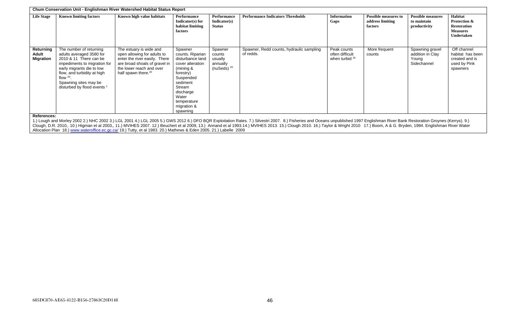|                                        |                                                                                                                                                                                                                                                  | Chum Conservation Unit - Englishman River Watershed Habitat Status Report                                                                                                               |                                                                                                                                                                                                  |                                                           |                                                                                                                                                                                                                                                                                                                                                                                                                                                                  |                                                  |                                                            |                                                             |                                                                                       |
|----------------------------------------|--------------------------------------------------------------------------------------------------------------------------------------------------------------------------------------------------------------------------------------------------|-----------------------------------------------------------------------------------------------------------------------------------------------------------------------------------------|--------------------------------------------------------------------------------------------------------------------------------------------------------------------------------------------------|-----------------------------------------------------------|------------------------------------------------------------------------------------------------------------------------------------------------------------------------------------------------------------------------------------------------------------------------------------------------------------------------------------------------------------------------------------------------------------------------------------------------------------------|--------------------------------------------------|------------------------------------------------------------|-------------------------------------------------------------|---------------------------------------------------------------------------------------|
| <b>Life Stage</b>                      | <b>Known limiting factors</b>                                                                                                                                                                                                                    | Known high value habitats                                                                                                                                                               | Performance<br>Indicator(s) for<br>habitat limiting<br>factors                                                                                                                                   | Performance<br>Indicator(s)<br><b>Status</b>              | <b>Performance Indicators Thresholds</b>                                                                                                                                                                                                                                                                                                                                                                                                                         | <b>Information</b><br>Gaps                       | <b>Possible measures to</b><br>address limiting<br>factors | <b>Possible measures</b><br>to maintain<br>productivity     | Habitat<br>Protection &<br><b>Restoration</b><br><b>Measures</b><br><b>Undertaken</b> |
| Returning<br>Adult<br><b>Migration</b> | The number of returning<br>adults averaged 3580 for<br>2010 & 11 There can be<br>impediments to migration for<br>early migrants die to low<br>flow, and turbidity at high<br>flow $20$ .<br>Spawning sites may be<br>disturbed by flood events 1 | The estuary is wide and<br>open allowing for adults to<br>enter the river easily. There<br>are broad shoals of gravel in<br>the lower reach and over<br>half spawn there. <sup>20</sup> | Spawner<br>counts. Riparian<br>disturbance land<br>cover alteration<br>(mining &<br>forestry)<br>Suspended<br>sediment<br>Stream<br>discharge<br>Water<br>temperature<br>migration &<br>spawning | Spawner<br>counts<br>usually<br>annually<br>(nuSeds) $20$ | Spawner, Redd counts, hydraulic sampling<br>of redds.                                                                                                                                                                                                                                                                                                                                                                                                            | Peak counts<br>often difficult<br>when turbid 20 | More frequent<br>counts                                    | Spawning gravel<br>addition in Clay<br>Young<br>Sidechannel | Off channel<br>habitat has been<br>created and is<br>used by Pink<br>spawners         |
| References:                            |                                                                                                                                                                                                                                                  |                                                                                                                                                                                         |                                                                                                                                                                                                  |                                                           | 1.) Lough and Morley 2002 2.) NHC 2002 3.) LGL 2001 4.) LGL 2005 5.) GWS 2012 6.) DFO BQR Exploitation Rates. 7.) Silvestri 2007. 8.) Fisheries and Oceans unpublished 1997 Englishman River Bank Restoration Groynes (Kerrys)<br>Clough, D.R. 2010,. 10.) Higman et al 2003,, 11.) MVIHES 2007. 12.) Beuchert et al 2009, 13.) Annand et al 1993.14.) MVIHES 2013. 15.) Clough 2010. 16.) Taylor & Wright 2010 17.) Boom, A & G. Bryden, 1994. Englishman River |                                                  |                                                            |                                                             |                                                                                       |

Allocation Plan 18.) <u>www.wateroffice.ec.gc.ca/</u> 19.) Tutty, et al 1983. 20.) Mathews & Eden 2005. 21.) Labelle 2009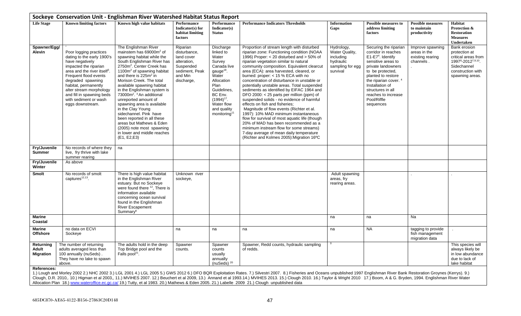<span id="page-46-0"></span>

|                                        |                                                                                                                                                                                                                                                                                                                         | Sockeye Conservation Unit - Englishman River Watershed Habitat Status Report                                                                                                                                                                                                                                                                                                                                                                                                                                                                                                                                                   |                                                                                                               |                                                                                                                                                                                                                        |                                                                                                                                                                                                                                                                                                                                                                                                                                                                                                                                                                                                                                                                                                                                                                                                                                                                                                            |                                                                                        |                                                                                                                                                                                                                                                                                          |                                                                   |                                                                                                                                 |
|----------------------------------------|-------------------------------------------------------------------------------------------------------------------------------------------------------------------------------------------------------------------------------------------------------------------------------------------------------------------------|--------------------------------------------------------------------------------------------------------------------------------------------------------------------------------------------------------------------------------------------------------------------------------------------------------------------------------------------------------------------------------------------------------------------------------------------------------------------------------------------------------------------------------------------------------------------------------------------------------------------------------|---------------------------------------------------------------------------------------------------------------|------------------------------------------------------------------------------------------------------------------------------------------------------------------------------------------------------------------------|------------------------------------------------------------------------------------------------------------------------------------------------------------------------------------------------------------------------------------------------------------------------------------------------------------------------------------------------------------------------------------------------------------------------------------------------------------------------------------------------------------------------------------------------------------------------------------------------------------------------------------------------------------------------------------------------------------------------------------------------------------------------------------------------------------------------------------------------------------------------------------------------------------|----------------------------------------------------------------------------------------|------------------------------------------------------------------------------------------------------------------------------------------------------------------------------------------------------------------------------------------------------------------------------------------|-------------------------------------------------------------------|---------------------------------------------------------------------------------------------------------------------------------|
| <b>Life Stage</b>                      | <b>Known limiting factors</b>                                                                                                                                                                                                                                                                                           | Known high value habitats                                                                                                                                                                                                                                                                                                                                                                                                                                                                                                                                                                                                      | Performance<br>$Indicator(s)$ for<br>habitat limiting<br>factors                                              | Performance<br>Indicator(s)<br><b>Status</b>                                                                                                                                                                           | <b>Performance Indicators Thresholds</b>                                                                                                                                                                                                                                                                                                                                                                                                                                                                                                                                                                                                                                                                                                                                                                                                                                                                   | <b>Information</b><br>Gaps                                                             | <b>Possible measures to</b><br>address limiting<br>factors                                                                                                                                                                                                                               | <b>Possible measures</b><br>to maintain<br>productivity           | Habitat<br>Protection &<br><b>Restoration</b><br><b>Measures</b><br>Undertaken                                                  |
| Spawner/Egg/<br>Alevin                 | Poor logging practices<br>dating to the early 1900's<br>have negatively<br>impacted the riparian<br>area and the river itself <sup>3</sup> .<br>Frequent flood events<br>degraded spawning<br>habitat, permanently<br>alter stream morphology<br>and fill in spawning beds<br>with sediment or wash<br>eggs downstream. | The Englishman River<br>mainstem has 69000m <sup>2</sup> of<br>spawning habitat while the<br>South Englishman River has<br>2750m <sup>2</sup> . Center Creek has<br>1100 $m2$ of spawning habitat<br>and there is 225m <sup>2</sup> in<br>Morison Creek. The total<br>available spawning habitat<br>in the Englishman system is<br>73000m <sup>2</sup> . <sup>3</sup> An additional<br>unreported amount of<br>spawning area is available<br>in the Clay Young<br>sidechannel. Pink have<br>been reported in all these<br>areas but Mathews & Eden<br>(2005) note most spawning<br>in lower and middle reaches<br>(E1, E2, E3) | Riparian<br>disturbance,<br>land cover<br>alteration,<br>Suspended<br>sediment, Peak<br>and Min<br>discharge, | Discharge<br>linked to<br>Water<br>Survey<br>Canada live<br>gauge <sup>18</sup> .<br>Water<br>Allocation<br>Plan<br>Guidelines.<br>BC Env.<br>$(1994)^{17}$ .<br>Water flow<br>and quality<br>monitoring <sup>11</sup> | Proportion of stream length with disturbed<br>riparian zone: Functioning condition (NOAA<br>1996) Proper: $<$ 20 disturbed and $>$ 50% of<br>riparian vegetation similar to natural<br>community composition. Equivalent clearcut<br>area (ECA): area harvested, cleared, or<br>burned: proper: < 15 % ECA with no<br>concentration of disturbance in unstable or<br>potentially unstable areas. Total suspended<br>sediments as identified by EIFAC 1964 and<br>DFO 2000: < 25 parts per million (ppm) of<br>suspended solids - no evidence of harmful<br>effects on fish and fisheries;<br>Magnitude of flow events (Richter et al.<br>1997): 10% MAD minimum instantaneous<br>flow for survival of most aquatic life (though<br>20% of MAD has been recommended as a<br>minimum instream flow for some streams)<br>7-day average of mean daily temperature<br>(Richter and Kolmes 2005): Migration 16°C | Hydrology,<br>Water Quality,<br>including<br>hydraulic<br>sampling for egg<br>survival | Securing the riparian<br>corridor in reaches<br>$E1-E74$ . Identify<br>sensitive areas to<br>private landowners<br>to be protected,<br>planted to restore<br>the riparian cover. <sup>4</sup><br>Installation of<br>structures in all<br>reaches to increase<br>Pool/Riffle<br>sequences | Improve spawning<br>areas in the<br>existing rearing<br>channels. | Bank erosion<br>protection at<br>critical areas from<br>19978-20127,9,10<br>Sidechannel<br>construction with<br>spawning areas. |
| Fry/Juvenile<br><b>Summer</b>          | No records of where they<br>live, fry thrive with lake<br>summer rearing                                                                                                                                                                                                                                                | na                                                                                                                                                                                                                                                                                                                                                                                                                                                                                                                                                                                                                             |                                                                                                               |                                                                                                                                                                                                                        |                                                                                                                                                                                                                                                                                                                                                                                                                                                                                                                                                                                                                                                                                                                                                                                                                                                                                                            |                                                                                        |                                                                                                                                                                                                                                                                                          |                                                                   |                                                                                                                                 |
| Fry/Juvenile<br>Winter                 | As above                                                                                                                                                                                                                                                                                                                |                                                                                                                                                                                                                                                                                                                                                                                                                                                                                                                                                                                                                                |                                                                                                               |                                                                                                                                                                                                                        |                                                                                                                                                                                                                                                                                                                                                                                                                                                                                                                                                                                                                                                                                                                                                                                                                                                                                                            |                                                                                        |                                                                                                                                                                                                                                                                                          |                                                                   |                                                                                                                                 |
| Smolt                                  | No records of smolt<br>captures <sup>12,13</sup> .                                                                                                                                                                                                                                                                      | There is high value habitat<br>in the Englishman River<br>estuary. But no Sockeye<br>were found there $12$ , There is<br>information available<br>concerning ocean survival<br>found in the Englishman<br><b>River Escapement</b><br>Summary <sup>6</sup>                                                                                                                                                                                                                                                                                                                                                                      | Unknown river<br>sockeye,                                                                                     |                                                                                                                                                                                                                        |                                                                                                                                                                                                                                                                                                                                                                                                                                                                                                                                                                                                                                                                                                                                                                                                                                                                                                            | Adult spawning<br>areas, fry<br>rearing areas.                                         |                                                                                                                                                                                                                                                                                          |                                                                   |                                                                                                                                 |
| Marine<br>Coastal                      |                                                                                                                                                                                                                                                                                                                         |                                                                                                                                                                                                                                                                                                                                                                                                                                                                                                                                                                                                                                |                                                                                                               |                                                                                                                                                                                                                        |                                                                                                                                                                                                                                                                                                                                                                                                                                                                                                                                                                                                                                                                                                                                                                                                                                                                                                            | na                                                                                     | na                                                                                                                                                                                                                                                                                       | Na                                                                |                                                                                                                                 |
| <b>Marine</b><br><b>Offshore</b>       | no data on ECVI<br>Sockeye                                                                                                                                                                                                                                                                                              |                                                                                                                                                                                                                                                                                                                                                                                                                                                                                                                                                                                                                                | na                                                                                                            | na                                                                                                                                                                                                                     | na                                                                                                                                                                                                                                                                                                                                                                                                                                                                                                                                                                                                                                                                                                                                                                                                                                                                                                         | na                                                                                     | <b>NA</b>                                                                                                                                                                                                                                                                                | tagging to provide<br>fish management<br>migration data           |                                                                                                                                 |
| Returning<br>Adult<br><b>Migration</b> | The number of returning<br>adults averaged less than<br>100 annually (nuSeds).<br>They have no lake to spawn<br>above.                                                                                                                                                                                                  | The adults hold in the deep<br>Top Bridge pool and the<br>Falls pool <sup>21</sup> .                                                                                                                                                                                                                                                                                                                                                                                                                                                                                                                                           | Spawner<br>counts.                                                                                            | Spawner<br>counts<br>usually<br>annually<br>(nuSeds) $20$                                                                                                                                                              | Spawner, Redd counts, hydraulic sampling<br>of redds.                                                                                                                                                                                                                                                                                                                                                                                                                                                                                                                                                                                                                                                                                                                                                                                                                                                      |                                                                                        |                                                                                                                                                                                                                                                                                          |                                                                   | This species will<br>always likely be<br>in low abundance<br>due to lack of<br>lake habitat                                     |
| References:                            |                                                                                                                                                                                                                                                                                                                         |                                                                                                                                                                                                                                                                                                                                                                                                                                                                                                                                                                                                                                |                                                                                                               |                                                                                                                                                                                                                        | 1.) Lough and Morley 2002 2.) NHC 2002 3.) LGL 2001 4.) LGL 2005 5.) GWS 2012 6.) DFO BQR Exploitation Rates. 7.) Silvestri 2007. 8.) Fisheries and Oceans unpublished 1997 Englishman River Bank Restoration Groynes (Kerrys)<br>Clough, D.R. 2010,. 10.) Higman et al 2003,, 11.) MVIHES 2007. 12.) Beuchert et al 2009, 13.) Annand et al 1993.14.) MVIHES 2013. 15.) Clough 2010. 16.) Taylor & Wright 2010 17.) Boom, A & G. Bryden, 1994. Englishman River                                                                                                                                                                                                                                                                                                                                                                                                                                           |                                                                                        |                                                                                                                                                                                                                                                                                          |                                                                   |                                                                                                                                 |

Allocation Plan 18.) <u>www.wateroffice.ec.gc.ca/</u> 19.) Tutty, et al 1983. 20.) Mathews & Eden 2005. 21.) Labelle 2009 21.) Clough unpublished data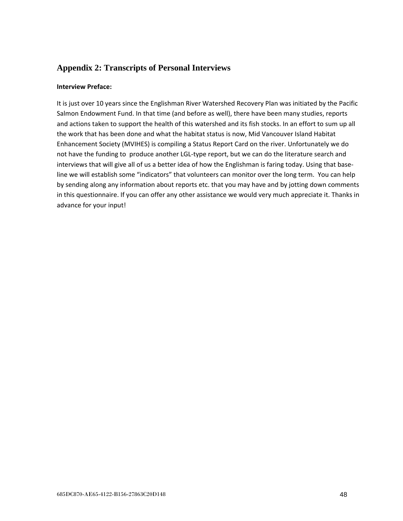## <span id="page-47-0"></span>**Appendix 2: Transcripts of Personal Interviews**

#### **Interview Preface:**

It is just over 10 years since the Englishman River Watershed Recovery Plan was initiated by the Pacific Salmon Endowment Fund. In that time (and before as well), there have been many studies, reports and actions taken to support the health of this watershed and its fish stocks. In an effort to sum up all the work that has been done and what the habitat status is now, Mid Vancouver Island Habitat Enhancement Society (MVIHES) is compiling a Status Report Card on the river. Unfortunately we do not have the funding to produce another LGL-type report, but we can do the literature search and interviews that will give all of us a better idea of how the Englishman is faring today. Using that baseline we will establish some "indicators" that volunteers can monitor over the long term. You can help by sending along any information about reports etc. that you may have and by jotting down comments in this questionnaire. If you can offer any other assistance we would very much appreciate it. Thanks in advance for your input!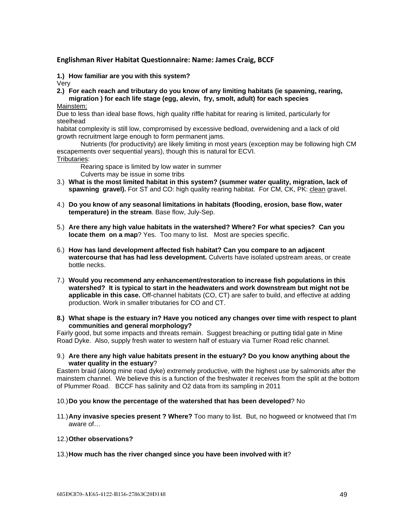#### <span id="page-48-0"></span>**Englishman River Habitat Questionnaire: Name: James Craig, BCCF**

**1.) How familiar are you with this system?**

Very

- **2.) For each reach and tributary do you know of any limiting habitats (ie spawning, rearing, migration ) for each life stage (egg, alevin, fry, smolt, adult) for each species**
- Mainstem:

Due to less than ideal base flows, high quality riffle habitat for rearing is limited, particularly for steelhead

habitat complexity is still low, compromised by excessive bedload, overwidening and a lack of old growth recruitment large enough to form permanent jams.

Nutrients (for productivity) are likely limiting in most years (exception may be following high CM escapements over sequential years), though this is natural for ECVI.

#### Tributaries:

Rearing space is limited by low water in summer

Culverts may be issue in some tribs

- 3.) **What is the most limited habitat in this system? (summer water quality, migration, lack of spawning gravel).** For ST and CO: high quality rearing habitat. For CM, CK, PK: clean gravel.
- 4.) **Do you know of any seasonal limitations in habitats (flooding, erosion, base flow, water temperature) in the stream**. Base flow, July-Sep.
- 5.) **Are there any high value habitats in the watershed? Where? For what species? Can you locate them on a map**? Yes. Too many to list. Most are species specific.
- 6.) **How has land development affected fish habitat? Can you compare to an adjacent watercourse that has had less development.** Culverts have isolated upstream areas, or create bottle necks.
- 7.) **Would you recommend any enhancement/restoration to increase fish populations in this watershed? It is typical to start in the headwaters and work downstream but might not be applicable in this case.** Off-channel habitats (CO, CT) are safer to build, and effective at adding production. Work in smaller tributaries for CO and CT.
- **8.) What shape is the estuary in? Have you noticed any changes over time with respect to plant communities and general morphology?**

Fairly good, but some impacts and threats remain. Suggest breaching or putting tidal gate in Mine Road Dyke. Also, supply fresh water to western half of estuary via Turner Road relic channel.

9.) **Are there any high value habitats present in the estuary? Do you know anything about the water quality in the estuary**?

Eastern braid (along mine road dyke) extremely productive, with the highest use by salmonids after the mainstem channel. We believe this is a function of the freshwater it receives from the split at the bottom of Plummer Road. BCCF has salinity and O2 data from its sampling in 2011

#### 10.)**Do you know the percentage of the watershed that has been developed**? No

11.)**Any invasive species present ? Where?** Too many to list. But, no hogweed or knotweed that I'm aware of…

#### 12.)**Other observations?**

13.)**How much has the river changed since you have been involved with it**?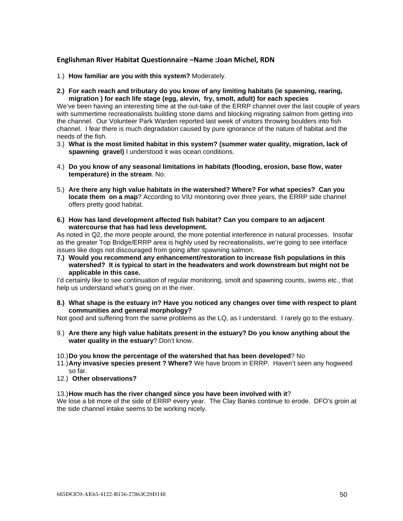#### <span id="page-49-0"></span>**Englishman River Habitat Questionnaire –Name :Joan Michel, RDN**

- 1.) **How familiar are you with this system?** Moderately.
- **2.) For each reach and tributary do you know of any limiting habitats (ie spawning, rearing, migration ) for each life stage (egg, alevin, fry, smolt, adult) for each species**

We've been having an interesting time at the out-take of the ERRP channel over the last couple of years with summertime recreationalists building stone dams and blocking migrating salmon from getting into the channel. Our Volunteer Park Warden reported last week of visitors throwing boulders into fish channel. I fear there is much degradation caused by pure ignorance of the nature of habitat and the needs of the fish.

- 3.) **What is the most limited habitat in this system? (summer water quality, migration, lack of spawning gravel)** I understood it was ocean conditions.
- 4.) **Do you know of any seasonal limitations in habitats (flooding, erosion, base flow, water temperature) in the stream**. No.
- 5.) **Are there any high value habitats in the watershed? Where? For what species? Can you locate them on a map**? According to VIU monitoring over three years, the ERRP side channel offers pretty good habitat.
- **6.) How has land development affected fish habitat? Can you compare to an adjacent watercourse that has had less development.**

As noted in Q2, the more people around, the more potential interference in natural processes. Insofar as the greater Top Bridge/ERRP area is highly used by recreationalists, we're going to see interface issues like dogs not discouraged from going after spawning salmon.

**7.) Would you recommend any enhancement/restoration to increase fish populations in this watershed? It is typical to start in the headwaters and work downstream but might not be applicable in this case.**

I'd certainly like to see continuation of regular monitoring, smolt and spawning counts, swims etc., that help us understand what's going on in the river.

**8.) What shape is the estuary in? Have you noticed any changes over time with respect to plant communities and general morphology?**

Not good and suffering from the same problems as the LQ, as I understand. I rarely go to the estuary.

- 9.) **Are there any high value habitats present in the estuary? Do you know anything about the water quality in the estuary**? Don't know.
- 10.)**Do you know the percentage of the watershed that has been developed**? No
- 11.)**Any invasive species present ? Where?** We have broom in ERRP. Haven't seen any hogweed so far.
- 12.) **Other observations?**

#### 13.)**How much has the river changed since you have been involved with it**?

We lose a bit more of the side of ERRP every year. The Clay Banks continue to erode. DFO's groin at the side channel intake seems to be working nicely.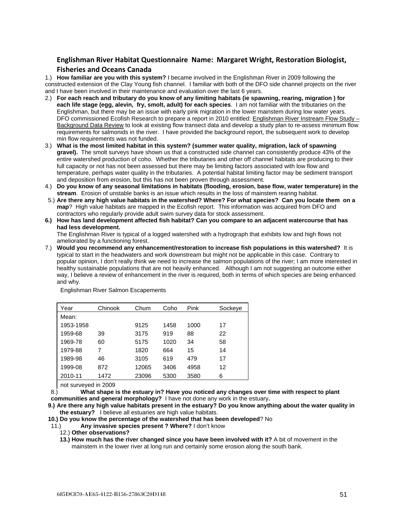### <span id="page-50-0"></span>**Englishman River Habitat Questionnaire Name: Margaret Wright, Restoration Biologist, Fisheries and Oceans Canada**

1.) **How familiar are you with this system?** I became involved in the Englishman River in 2009 following the constructed extension of the Clay Young fish channel. I familiar with both of the DFO side channel projects on the river and I have been involved in their maintenance and evaluation over the last 6 years*.* 

- 2.) **For each reach and tributary do you know of any limiting habitats (ie spawning, rearing, migration ) for each life stage (egg, alevin, fry, smolt, adult) for each species**. I am not familiar with the tributaries on the Englishman, but there may be an issue with early pink migration in the lower mainstem during low water years. DFO commissioned Ecofish Research to prepare a report in 2010 entitled: Englishman River Instream Flow Study -Background Data Review to look at existing flow transect data and develop a study plan to re-assess minimum flow requirements for salmonids in the river. I have provided the background report, the subsequent work to develop min flow requirements was not funded.
- 3.) **What is the most limited habitat in this system? (summer water quality, migration, lack of spawning gravel).** The smolt surveys have shown us that a constructed side channel can consistently produce 43% of the entire watershed production of coho. Whether the tributaries and other off channel habitats are producing to their full capacity or not has not been assessed but there may be limiting factors associated with low flow and temperature, perhaps water quality in the tributaries. A potential habitat limiting factor may be sediment transport and deposition from erosion, but this has not been proven through assessment.
- 4.) **Do you know of any seasonal limitations in habitats (flooding, erosion, base flow, water temperature) in the stream**. Erosion of unstable banks is an issue which results in the loss of mainstem rearing habitat.
- 5.) **Are there any high value habitats in the watershed? Where? For what species? Can you locate them on a map**? High value habitats are mapped in the Ecofish report. This information was acquired from DFO and contractors who regularly provide adult swim survey data for stock assessment.
- **6.) How has land development affected fish habitat? Can you compare to an adjacent watercourse that has had less development.**

The Englishman River is typical of a logged watershed with a hydrograph that exhibits low and high flows not ameliorated by a functioning forest.

7.) **Would you recommend any enhancement/restoration to increase fish populations in this watershed?** It is typical to start in the headwaters and work downstream but might not be applicable in this case. Contrary to popular opinion, I don't really think we need to increase the salmon populations of the river; I am more interested in healthy sustainable populations that are not heavily enhanced. Although I am not suggesting an outcome either way, I believe a review of enhancement in the river is required, both in terms of which species are being enhanced and why.

| Year      | Chinook | Chum  | Coho | Pink | Sockeye |
|-----------|---------|-------|------|------|---------|
| Mean:     |         |       |      |      |         |
| 1953-1958 |         | 9125  | 1458 | 1000 | 17      |
| 1959-68   | 39      | 3175  | 919  | 88   | 22      |
| 1969-78   | 60      | 5175  | 1020 | 34   | 58      |
| 1979-88   | 7       | 1820  | 664  | 15   | 14      |
| 1989-98   | 46      | 3105  | 619  | 479  | 17      |
| 1999-08   | 872     | 12065 | 3406 | 4958 | 12      |
| 2010-11   | 1472    | 23096 | 5300 | 3580 | 6       |

Englishman River Salmon Escapements

not surveyed in 2009

8.) **What shape is the estuary in? Have you noticed any changes over time with respect to plant communities and general morphology?** I have not done any work in the estuary**.**

**9.) Are there any high value habitats present in the estuary? Do you know anything about the water quality in the estuary?** I believe all estuaries are high value habitats.

**10.) Do you know the percentage of the watershed that has been developed**? No

11.) **Any invasive species present ? Where?** I don't know

12.) **Other observations?**

**13.) How much has the river changed since you have been involved with it?** A bit of movement in the mainstem in the lower river at long run and certainly some erosion along the south bank.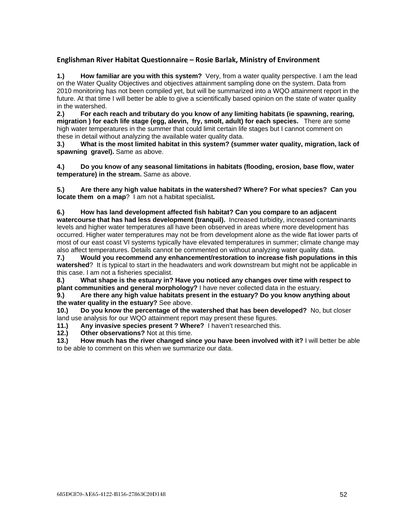### <span id="page-51-0"></span>**Englishman River Habitat Questionnaire – Rosie Barlak, Ministry of Environment**

**1.) How familiar are you with this system?** Very, from a water quality perspective. I am the lead on the Water Quality Objectives and objectives attainment sampling done on the system. Data from 2010 monitoring has not been compiled yet, but will be summarized into a WQO attainment report in the future. At that time I will better be able to give a scientifically based opinion on the state of water quality in the watershed.<br>2.) For each

**2.) For each reach and tributary do you know of any limiting habitats (ie spawning, rearing, migration ) for each life stage (egg, alevin, fry, smolt, adult) for each species.** There are some high water temperatures in the summer that could limit certain life stages but I cannot comment on these in detail without analyzing the available water quality data.

**3.) What is the most limited habitat in this system? (summer water quality, migration, lack of spawning gravel).** Same as above.

**4.) Do you know of any seasonal limitations in habitats (flooding, erosion, base flow, water temperature) in the stream.** Same as above.

**5.) Are there any high value habitats in the watershed? Where? For what species? Can you locate them on a map**? I am not a habitat specialist**.**

**6.) How has land development affected fish habitat? Can you compare to an adjacent** 

**watercourse that has had less development (tranquil).** Increased turbidity, increased contaminants levels and higher water temperatures all have been observed in areas where more development has occurred. Higher water temperatures may not be from development alone as the wide flat lower parts of most of our east coast VI systems typically have elevated temperatures in summer; climate change may also affect temperatures. Details cannot be commented on without analyzing water quality data.

**7.) Would you recommend any enhancement/restoration to increase fish populations in this watershed**? It is typical to start in the headwaters and work downstream but might not be applicable in this case. I am not a fisheries specialist.

**8.) What shape is the estuary in? Have you noticed any changes over time with respect to plant communities and general morphology?** I have never collected data in the estuary.

**9.) Are there any high value habitats present in the estuary? Do you know anything about the water quality in the estuary?** See above.

**10.) Do you know the percentage of the watershed that has been developed?** No, but closer land use analysis for our WQO attainment report may present these figures.

**11.)** Any invasive species present ? Where? I haven't researched this.<br>**12.)** Other observations? Not at this time.

**12.) Other observations?** Not at this time.

**13.) How much has the river changed since you have been involved with it?** I will better be able to be able to comment on this when we summarize our data.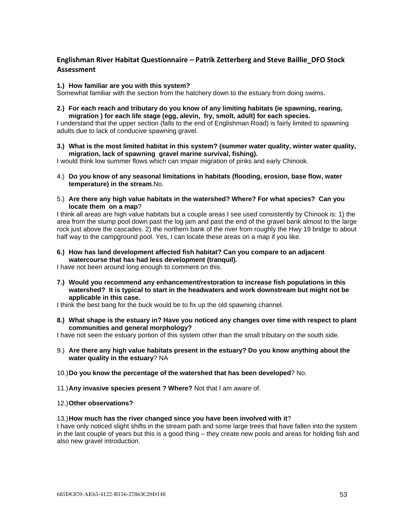### <span id="page-52-0"></span>**Englishman River Habitat Questionnaire – Patrik Zetterberg and Steve Baillie\_DFO Stock Assessment**

#### **1.) How familiar are you with this system?**

Somewhat familiar with the section from the hatchery down to the estuary from doing swims.

**2.) For each reach and tributary do you know of any limiting habitats (ie spawning, rearing, migration ) for each life stage (egg, alevin, fry, smolt, adult) for each species.**

I understand that the upper section (falls to the end of Englishman Road) is fairly limited to spawning adults due to lack of conducive spawning gravel.

#### **3.) What is the most limited habitat in this system? (summer water quality, winter water quality, migration, lack of spawning gravel marine survival, fishing).**

I would think low summer flows which can impair migration of pinks and early Chinook.

- 4.) **Do you know of any seasonal limitations in habitats (flooding, erosion, base flow, water temperature) in the stream**.No.
- 5.) **Are there any high value habitats in the watershed? Where? For what species? Can you locate them on a map**?

I think all areas are high value habitats but a couple areas I see used consistently by Chinook is: 1) the area from the stump pool down past the log jam and past the end of the gravel bank almost to the large rock just above the cascades. 2) the northern bank of the river from roughly the Hwy 19 bridge to about half way to the campground pool. Yes, I can locate these areas on a map if you like.

**6.) How has land development affected fish habitat? Can you compare to an adjacent watercourse that has had less development (tranquil).**

I have not been around long enough to comment on this.

**7.) Would you recommend any enhancement/restoration to increase fish populations in this watershed? It is typical to start in the headwaters and work downstream but might not be applicable in this case.**

I think the best bang for the buck would be to fix up the old spawning channel.

**8.) What shape is the estuary in? Have you noticed any changes over time with respect to plant communities and general morphology?**

I have not seen the estuary portion of this system other than the small tributary on the south side.

- 9.) **Are there any high value habitats present in the estuary? Do you know anything about the water quality in the estuary**? NA
- 10.)**Do you know the percentage of the watershed that has been developed**? No.
- 11.)**Any invasive species present ? Where?** Not that I am aware of.

#### 12.)**Other observations?**

#### 13.)**How much has the river changed since you have been involved with it**?

I have only noticed slight shifts in the stream path and some large trees that have fallen into the system in the last couple of years but this is a good thing – they create new pools and areas for holding fish and also new gravel introduction.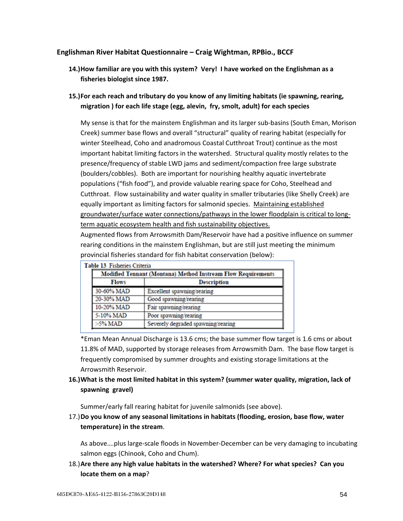#### <span id="page-53-0"></span>**Englishman River Habitat Questionnaire – Craig Wightman, RPBio., BCCF**

- **14.)How familiar are you with this system? Very! I have worked on the Englishman as a fisheries biologist since 1987.**
- **15.)For each reach and tributary do you know of any limiting habitats (ie spawning, rearing, migration ) for each life stage (egg, alevin, fry, smolt, adult) for each species**

My sense is that for the mainstem Englishman and its larger sub-basins (South Eman, Morison Creek) summer base flows and overall "structural" quality of rearing habitat (especially for winter Steelhead, Coho and anadromous Coastal Cutthroat Trout) continue as the most important habitat limiting factors in the watershed. Structural quality mostly relates to the presence/frequency of stable LWD jams and sediment/compaction free large substrate (boulders/cobbles). Both are important for nourishing healthy aquatic invertebrate populations ("fish food"), and provide valuable rearing space for Coho, Steelhead and Cutthroat. Flow sustainability and water quality in smaller tributaries (like Shelly Creek) are equally important as limiting factors for salmonid species. Maintaining established groundwater/surface water connections/pathways in the lower floodplain is critical to longterm aquatic ecosystem health and fish sustainability objectives.

Augmented flows from Arrowsmith Dam/Reservoir have had a positive influence on summer rearing conditions in the mainstem Englishman, but are still just meeting the minimum provincial fisheries standard for fish habitat conservation (below):

|              |                    | Modified Tennant (Montana) Method Instream Flow Requirements |
|--------------|--------------------|--------------------------------------------------------------|
| <b>Flows</b> | <b>Description</b> |                                                              |
|              | 30-60% MAD         | Excellent spawning/rearing                                   |
|              | 20-30% MAD         | Good spawning/rearing                                        |
|              | 10-20% MAD         | Fair spawning/rearing                                        |
| 5-10% MAD    |                    | Poor spawning/rearing                                        |
| $>5\%$ MAD   |                    | Severely degraded spawning/rearing                           |

\*Eman Mean Annual Discharge is 13.6 cms; the base summer flow target is 1.6 cms or about 11.8% of MAD, supported by storage releases from Arrowsmith Dam. The base flow target is

frequently compromised by summer droughts and existing storage limitations at the Arrowsmith Reservoir.

### **16.)What is the most limited habitat in this system? (summer water quality, migration, lack of spawning gravel)**

Summer/early fall rearing habitat for juvenile salmonids (see above).

17.)**Do you know of any seasonal limitations in habitats (flooding, erosion, base flow, water temperature) in the stream**.

As above….plus large-scale floods in November-December can be very damaging to incubating salmon eggs (Chinook, Coho and Chum).

18.)**Are there any high value habitats in the watershed? Where? For what species? Can you locate them on a map**?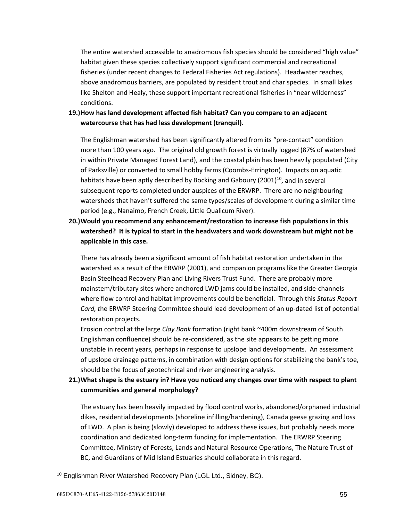The entire watershed accessible to anadromous fish species should be considered "high value" habitat given these species collectively support significant commercial and recreational fisheries (under recent changes to Federal Fisheries Act regulations). Headwater reaches, above anadromous barriers, are populated by resident trout and char species. In small lakes like Shelton and Healy, these support important recreational fisheries in "near wilderness" conditions.

### **19.)How has land development affected fish habitat? Can you compare to an adjacent watercourse that has had less development (tranquil).**

The Englishman watershed has been significantly altered from its "pre-contact" condition more than 100 years ago. The original old growth forest is virtually logged (87% of watershed in within Private Managed Forest Land), and the coastal plain has been heavily populated (City of Parksville) or converted to small hobby farms (Coombs-Errington). Impacts on aquatic habitats have been aptly described by Bocking and Gaboury (2001)<sup>10</sup>, and in several subsequent reports completed under auspices of the ERWRP. There are no neighbouring watersheds that haven't suffered the same types/scales of development during a similar time period (e.g., Nanaimo, French Creek, Little Qualicum River).

**20.)Would you recommend any enhancement/restoration to increase fish populations in this watershed? It is typical to start in the headwaters and work downstream but might not be applicable in this case.**

There has already been a significant amount of fish habitat restoration undertaken in the watershed as a result of the ERWRP (2001), and companion programs like the Greater Georgia Basin Steelhead Recovery Plan and Living Rivers Trust Fund. There are probably more mainstem/tributary sites where anchored LWD jams could be installed, and side-channels where flow control and habitat improvements could be beneficial. Through this *Status Report Card, t*he ERWRP Steering Committee should lead development of an up-dated list of potential restoration projects.

Erosion control at the large *Clay Bank* formation (right bank ~400m downstream of South Englishman confluence) should be re-considered, as the site appears to be getting more unstable in recent years, perhaps in response to upslope land developments. An assessment of upslope drainage patterns, in combination with design options for stabilizing the bank's toe, should be the focus of geotechnical and river engineering analysis.

### **21.)What shape is the estuary in? Have you noticed any changes over time with respect to plant communities and general morphology?**

The estuary has been heavily impacted by flood control works, abandoned/orphaned industrial dikes, residential developments (shoreline infilling/hardening), Canada geese grazing and loss of LWD. A plan is being (slowly) developed to address these issues, but probably needs more coordination and dedicated long-term funding for implementation. The ERWRP Steering Committee, Ministry of Forests, Lands and Natural Resource Operations, The Nature Trust of BC, and Guardians of Mid Island Estuaries should collaborate in this regard.

 <sup>10</sup> Englishman River Watershed Recovery Plan (LGL Ltd., Sidney, BC).